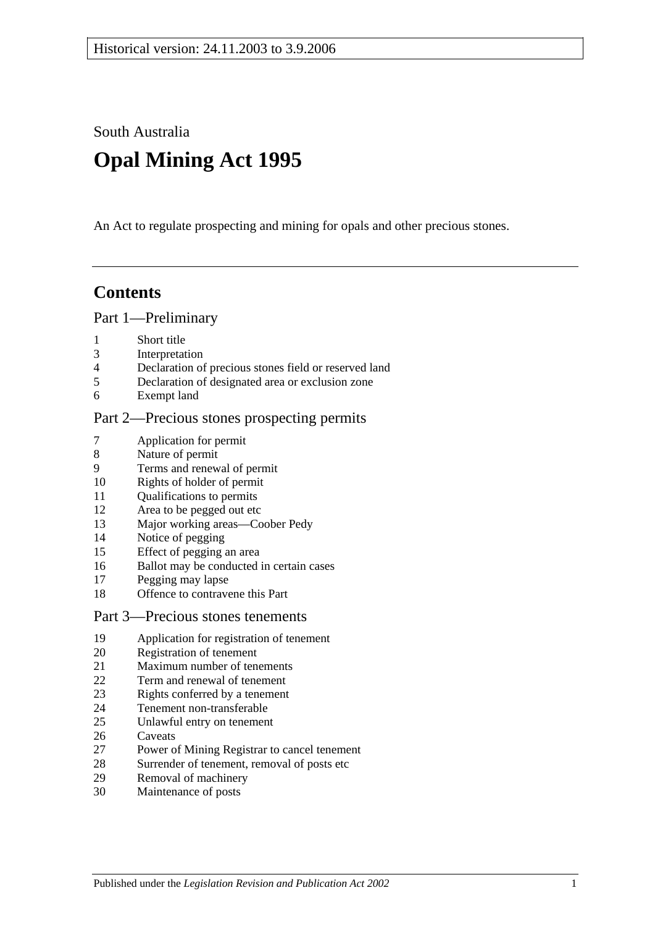South Australia

# **Opal Mining Act 1995**

An Act to regulate prospecting and mining for opals and other precious stones.

## **Contents**

### [Part 1—Preliminary](#page-4-0)

- [Short title](#page-4-1)
- [Interpretation](#page-4-2)
- [Declaration of precious stones field or reserved land](#page-7-0)
- [Declaration of designated area or exclusion zone](#page-7-1)
- [Exempt land](#page-7-2)

### [Part 2—Precious stones prospecting permits](#page-10-0)

- [Application for permit](#page-10-1)
- [Nature of permit](#page-10-2)
- [Terms and renewal of permit](#page-10-3)
- [Rights of holder of permit](#page-11-0)
- [Qualifications to permits](#page-11-1)
- [Area to be pegged out etc](#page-13-0)
- [Major working areas—Coober Pedy](#page-13-1)
- [Notice of pegging](#page-14-0)
- [Effect of pegging an area](#page-14-1)
- [Ballot may be conducted in certain cases](#page-14-2)
- [Pegging may lapse](#page-16-0)
- [Offence to contravene this Part](#page-16-1)

### [Part 3—Precious stones tenements](#page-18-0)

- [Application for registration of tenement](#page-18-1)
- [Registration of tenement](#page-18-2)
- [Maximum number of tenements](#page-19-0)
- [Term and renewal of tenement](#page-19-1)
- [Rights conferred by a tenement](#page-20-0)
- [Tenement non-transferable](#page-20-1)
- [Unlawful entry on tenement](#page-20-2)
- [Caveats](#page-21-0)
- [Power of Mining Registrar to cancel tenement](#page-22-0)
- [Surrender of tenement, removal of posts etc](#page-22-1)<br>29 Removal of machinery
- [Removal of machinery](#page-23-0)
- [Maintenance of posts](#page-24-0)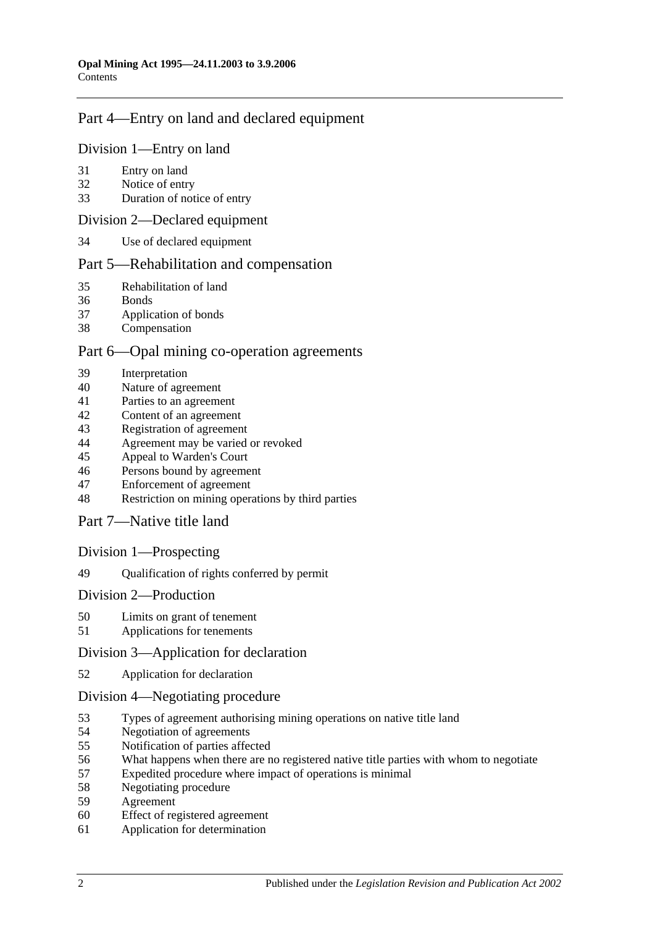### [Part 4—Entry on land and declared equipment](#page-26-0)

### [Division 1—Entry on land](#page-26-1)

- [Entry on land](#page-26-2)
- [Notice of entry](#page-26-3)
- [Duration of notice of entry](#page-27-0)

### [Division 2—Declared equipment](#page-28-0)

[Use of declared equipment](#page-28-1)

### [Part 5—Rehabilitation and compensation](#page-30-0)

- [Rehabilitation of land](#page-30-1)
- [Bonds](#page-31-0)
- [Application of bonds](#page-31-1)
- [Compensation](#page-32-0)

### [Part 6—Opal mining co-operation agreements](#page-34-0)

- [Interpretation](#page-34-1)
- [Nature of agreement](#page-34-2)
- [Parties to an agreement](#page-34-3)
- [Content of an agreement](#page-34-4)
- [Registration of agreement](#page-35-0)<br>44 Agreement may be varied
- [Agreement may be varied or revoked](#page-35-1)
- [Appeal to Warden's Court](#page-36-0)
- [Persons bound by agreement](#page-36-1)
- [Enforcement of agreement](#page-36-2)
- [Restriction on mining operations by third parties](#page-37-0)

[Part 7—Native title land](#page-38-0)

### [Division 1—Prospecting](#page-38-1)

[Qualification of rights conferred by permit](#page-38-2)

### [Division 2—Production](#page-38-3)

- [Limits on grant of tenement](#page-38-4)
- [Applications for tenements](#page-38-5)

### [Division 3—Application for declaration](#page-39-0)

[Application for declaration](#page-39-1)

### [Division 4—Negotiating procedure](#page-39-2)

- [Types of agreement authorising mining operations on native title land](#page-39-3)<br>54 Negotiation of agreements
- [Negotiation of agreements](#page-40-0)
- [Notification of parties affected](#page-40-1)
- [What happens when there are no registered native title parties with whom to negotiate](#page-41-0)
- [Expedited procedure where impact of operations is minimal](#page-41-1)
- [Negotiating procedure](#page-41-2)
- [Agreement](#page-42-0)
- [Effect of registered agreement](#page-42-1)
- [Application for determination](#page-43-0)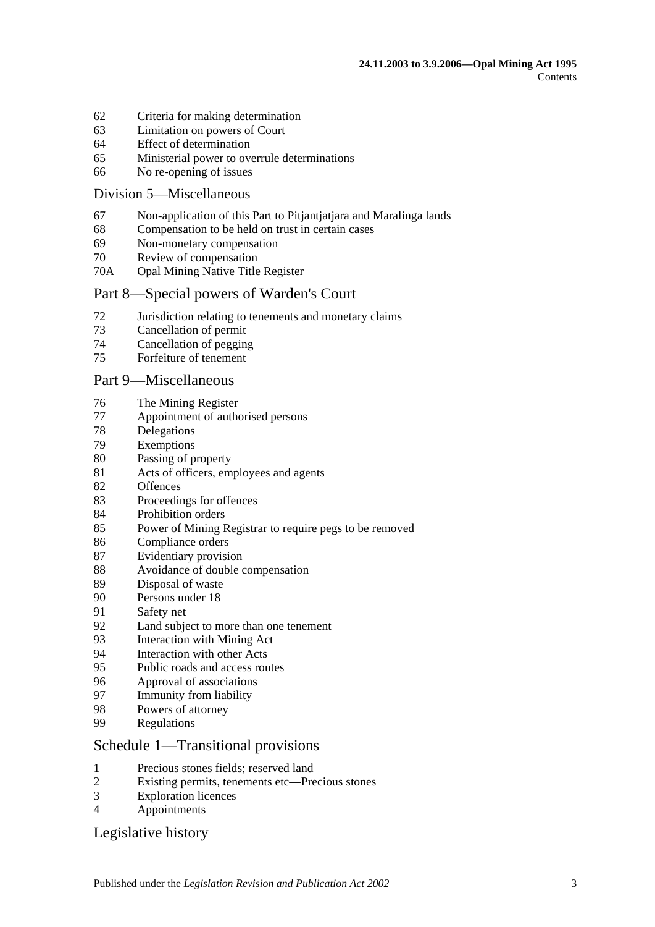- [Criteria for making determination](#page-43-1)
- [Limitation on powers of Court](#page-44-0)
- [Effect of determination](#page-45-0)
- [Ministerial power to overrule determinations](#page-45-1)
- [No re-opening of issues](#page-46-0)

### [Division 5—Miscellaneous](#page-46-1)

- Non-application [of this Part to Pitjantjatjara and Maralinga lands](#page-46-2)
- [Compensation to be held on trust in certain cases](#page-46-3)
- [Non-monetary compensation](#page-46-4)
- [Review of compensation](#page-47-0)
- 70A [Opal Mining Native Title Register](#page-48-0)

#### [Part 8—Special powers of Warden's Court](#page-50-0)

- [Jurisdiction relating to tenements and monetary claims](#page-50-1)
- [Cancellation of permit](#page-50-2)
- [Cancellation of pegging](#page-51-0)
- [Forfeiture of tenement](#page-51-1)

### [Part 9—Miscellaneous](#page-54-0)

- [The Mining Register](#page-54-1)
- [Appointment of authorised persons](#page-54-2)
- [Delegations](#page-56-0)
- [Exemptions](#page-56-1)
- [Passing of property](#page-56-2)
- [Acts of officers, employees and agents](#page-56-3)
- [Offences](#page-57-0)
- [Proceedings for offences](#page-57-1)
- [Prohibition orders](#page-58-0)
- [Power of Mining Registrar to require pegs to be removed](#page-58-1)
- [Compliance orders](#page-58-2)
- [Evidentiary provision](#page-59-0)
- [Avoidance of double compensation](#page-59-1)
- [Disposal of waste](#page-59-2)
- [Persons under 18](#page-60-0)
- [Safety net](#page-60-1)
- [Land subject to more than one tenement](#page-60-2)
- [Interaction with Mining Act](#page-60-3)
- [Interaction with other Acts](#page-61-0)
- [Public roads and access routes](#page-61-1)
- [Approval of associations](#page-61-2)
- [Immunity from liability](#page-62-0)
- [Powers of attorney](#page-62-1)
- [Regulations](#page-62-2)

### [Schedule 1—Transitional provisions](#page-64-0)

- [Precious stones fields; reserved land](#page-64-1)
- [Existing permits, tenements etc—Precious stones](#page-64-2)
- [Exploration licences](#page-64-3)
- [Appointments](#page-64-4)

#### [Legislative history](#page-66-0)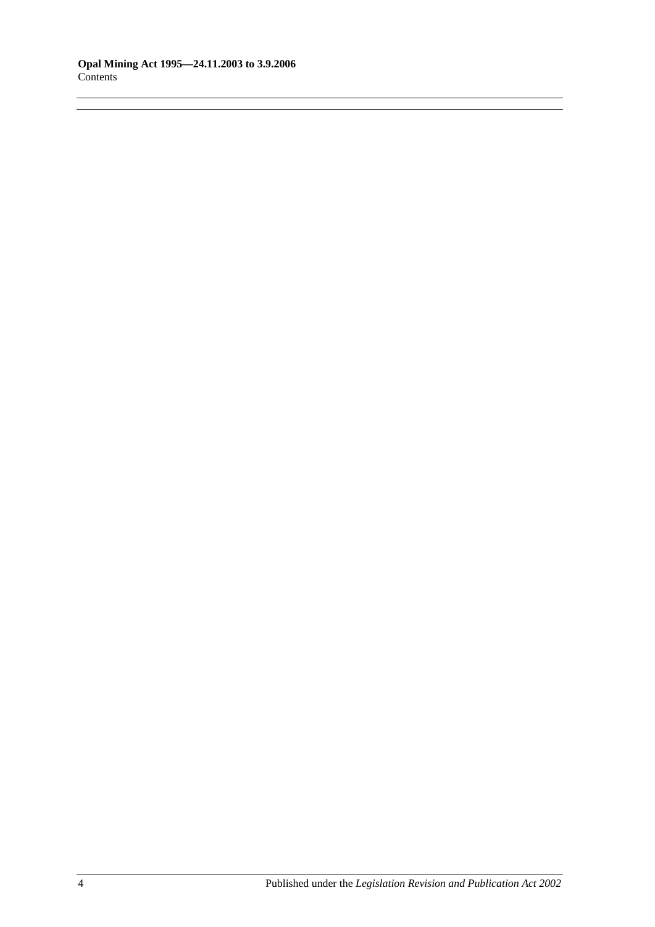**Opal Mining Act 1995—24.11.2003 to 3.9.2006** Contents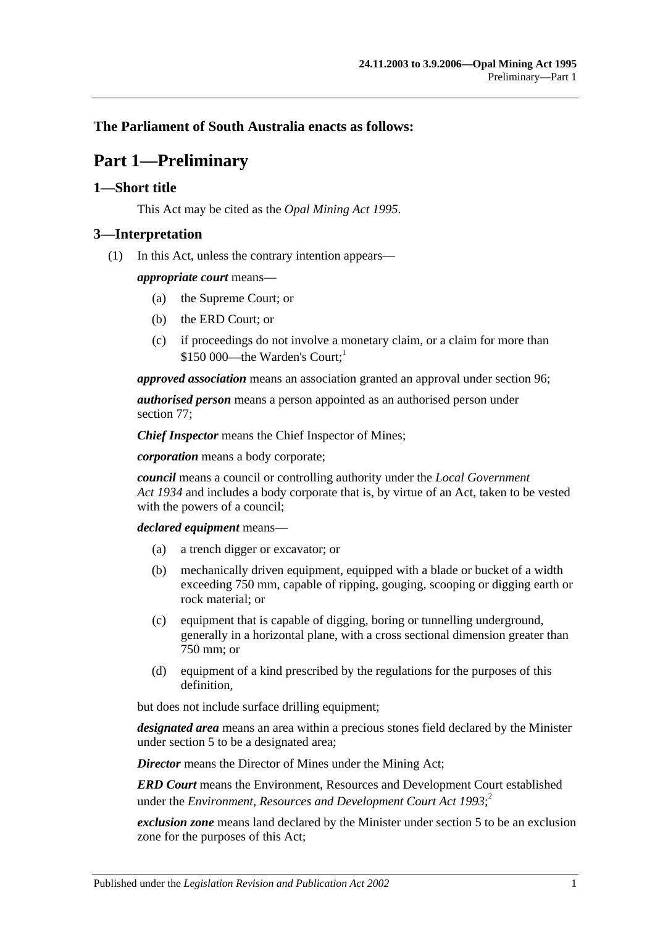### <span id="page-4-0"></span>**The Parliament of South Australia enacts as follows:**

## **Part 1—Preliminary**

### <span id="page-4-1"></span>**1—Short title**

This Act may be cited as the *Opal Mining Act 1995*.

### <span id="page-4-2"></span>**3—Interpretation**

(1) In this Act, unless the contrary intention appears—

*appropriate court* means—

- (a) the Supreme Court; or
- (b) the ERD Court; or
- (c) if proceedings do not involve a monetary claim, or a claim for more than  $$150,000$ —the Warden's Court:

*approved association* means an association granted an approval under [section](#page-61-2) 96;

*authorised person* means a person appointed as an authorised person under [section](#page-54-2) 77;

*Chief Inspector* means the Chief Inspector of Mines;

*corporation* means a body corporate;

*council* means a council or controlling authority under the *[Local Government](http://www.legislation.sa.gov.au/index.aspx?action=legref&type=act&legtitle=Local%20Government%20Act%201934)  Act [1934](http://www.legislation.sa.gov.au/index.aspx?action=legref&type=act&legtitle=Local%20Government%20Act%201934)* and includes a body corporate that is, by virtue of an Act, taken to be vested with the powers of a council;

*declared equipment* means—

- (a) a trench digger or excavator; or
- (b) mechanically driven equipment, equipped with a blade or bucket of a width exceeding 750 mm, capable of ripping, gouging, scooping or digging earth or rock material; or
- (c) equipment that is capable of digging, boring or tunnelling underground, generally in a horizontal plane, with a cross sectional dimension greater than 750 mm; or
- (d) equipment of a kind prescribed by the regulations for the purposes of this definition,

but does not include surface drilling equipment;

*designated area* means an area within a precious stones field declared by the Minister under [section](#page-7-1) 5 to be a designated area;

*Director* means the Director of Mines under the Mining Act;

*ERD Court* means the Environment, Resources and Development Court established under the *[Environment, Resources and Development Court Act](http://www.legislation.sa.gov.au/index.aspx?action=legref&type=act&legtitle=Environment%20Resources%20and%20Development%20Court%20Act%201993) 1993*; 2

*exclusion zone* means land declared by the Minister under [section](#page-7-1) 5 to be an exclusion zone for the purposes of this Act;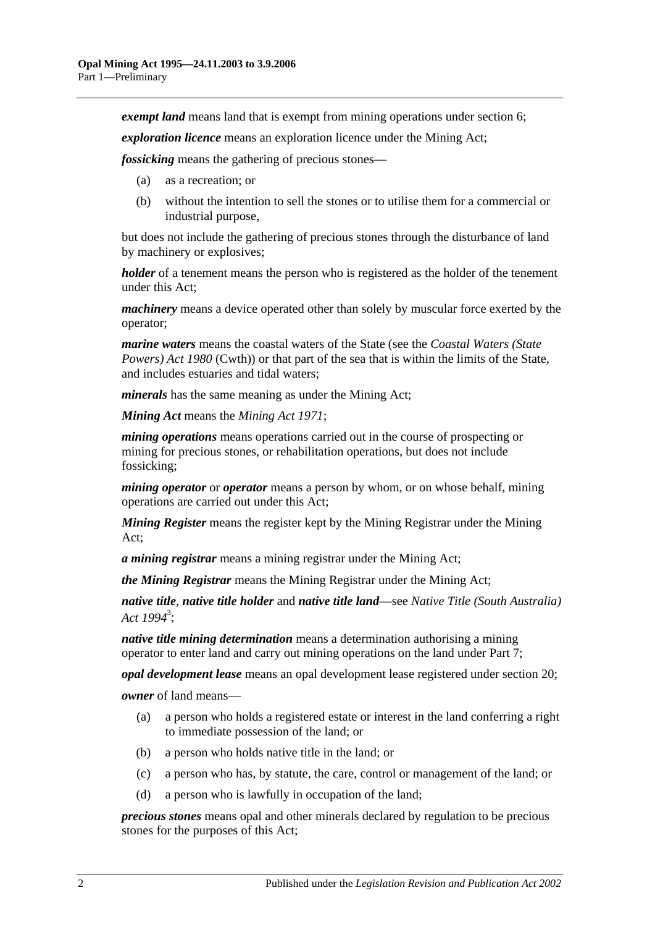*exempt land* means land that is exempt from mining operations under [section](#page-7-2) 6;

*exploration licence* means an exploration licence under the Mining Act;

*fossicking* means the gathering of precious stones—

- (a) as a recreation; or
- (b) without the intention to sell the stones or to utilise them for a commercial or industrial purpose,

but does not include the gathering of precious stones through the disturbance of land by machinery or explosives;

*holder* of a tenement means the person who is registered as the holder of the tenement under this Act;

*machinery* means a device operated other than solely by muscular force exerted by the operator;

*marine waters* means the coastal waters of the State (see the *Coastal Waters (State Powers) Act 1980* (Cwth)) or that part of the sea that is within the limits of the State, and includes estuaries and tidal waters;

*minerals* has the same meaning as under the Mining Act;

*Mining Act* means the *[Mining Act](http://www.legislation.sa.gov.au/index.aspx?action=legref&type=act&legtitle=Mining%20Act%201971) 1971*;

*mining operations* means operations carried out in the course of prospecting or mining for precious stones, or rehabilitation operations, but does not include fossicking;

*mining operator* or *operator* means a person by whom, or on whose behalf, mining operations are carried out under this Act;

*Mining Register* means the register kept by the Mining Registrar under the Mining Act;

*a mining registrar* means a mining registrar under the Mining Act;

*the Mining Registrar* means the Mining Registrar under the Mining Act;

*native title*, *native title holder* and *native title land*—see *[Native Title \(South Australia\)](http://www.legislation.sa.gov.au/index.aspx?action=legref&type=act&legtitle=Native%20Title%20(South%20Australia)%20Act%201994)  Act [1994](http://www.legislation.sa.gov.au/index.aspx?action=legref&type=act&legtitle=Native%20Title%20(South%20Australia)%20Act%201994)*<sup>3</sup> ;

*native title mining determination* means a determination authorising a mining operator to enter land and carry out mining operations on the land under [Part 7;](#page-38-0)

*opal development lease* means an opal development lease registered under [section](#page-18-2) 20;

*owner* of land means—

- (a) a person who holds a registered estate or interest in the land conferring a right to immediate possession of the land; or
- (b) a person who holds native title in the land; or
- (c) a person who has, by statute, the care, control or management of the land; or
- (d) a person who is lawfully in occupation of the land;

*precious stones* means opal and other minerals declared by regulation to be precious stones for the purposes of this Act;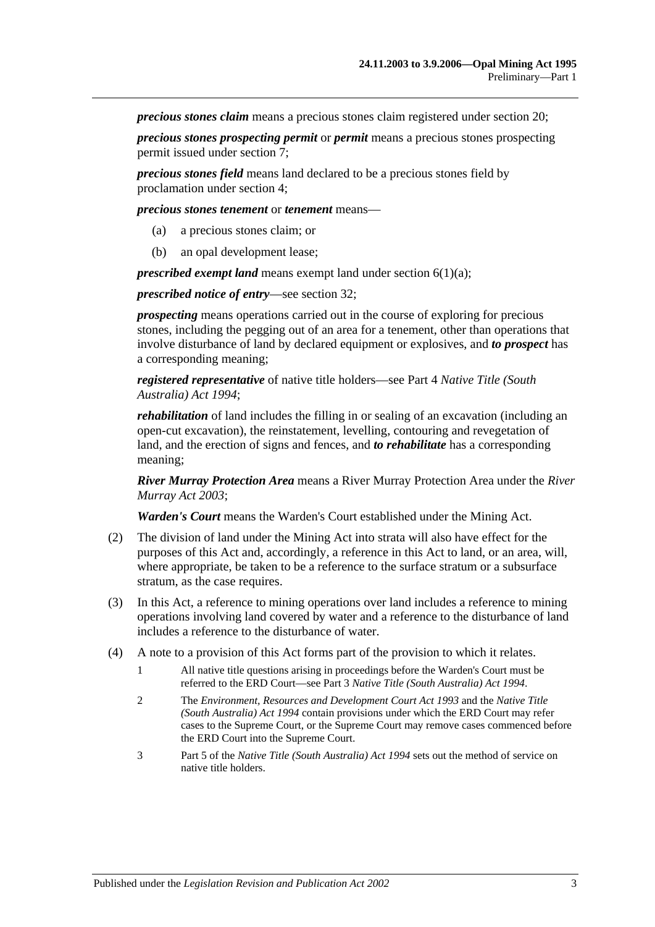*precious stones claim* means a precious stones claim registered under [section](#page-18-2) 20;

*precious stones prospecting permit* or *permit* means a precious stones prospecting permit issued under [section](#page-10-1) 7;

*precious stones field* means land declared to be a precious stones field by proclamation under [section](#page-7-0) 4;

*precious stones tenement* or *tenement* means—

- (a) a precious stones claim; or
- (b) an opal development lease;

*prescribed exempt land* means exempt land under [section](#page-7-3) 6(1)(a);

*prescribed notice of entry*—see [section](#page-26-3) 32;

*prospecting* means operations carried out in the course of exploring for precious stones, including the pegging out of an area for a tenement, other than operations that involve disturbance of land by declared equipment or explosives, and *to prospect* has a corresponding meaning;

*registered representative* of native title holders—see Part 4 *[Native Title \(South](http://www.legislation.sa.gov.au/index.aspx?action=legref&type=act&legtitle=Native%20Title%20(South%20Australia)%20Act%201994)  [Australia\) Act](http://www.legislation.sa.gov.au/index.aspx?action=legref&type=act&legtitle=Native%20Title%20(South%20Australia)%20Act%201994) 1994*;

*rehabilitation* of land includes the filling in or sealing of an excavation (including an open-cut excavation), the reinstatement, levelling, contouring and revegetation of land, and the erection of signs and fences, and *to rehabilitate* has a corresponding meaning;

*River Murray Protection Area* means a River Murray Protection Area under the *[River](http://www.legislation.sa.gov.au/index.aspx?action=legref&type=act&legtitle=River%20Murray%20Act%202003)  [Murray Act](http://www.legislation.sa.gov.au/index.aspx?action=legref&type=act&legtitle=River%20Murray%20Act%202003) 2003*;

*Warden's Court* means the Warden's Court established under the Mining Act.

- (2) The division of land under the Mining Act into strata will also have effect for the purposes of this Act and, accordingly, a reference in this Act to land, or an area, will, where appropriate, be taken to be a reference to the surface stratum or a subsurface stratum, as the case requires.
- (3) In this Act, a reference to mining operations over land includes a reference to mining operations involving land covered by water and a reference to the disturbance of land includes a reference to the disturbance of water.
- (4) A note to a provision of this Act forms part of the provision to which it relates.
	- 1 All native title questions arising in proceedings before the Warden's Court must be referred to the ERD Court—see Part 3 *[Native Title \(South Australia\) Act](http://www.legislation.sa.gov.au/index.aspx?action=legref&type=act&legtitle=Native%20Title%20(South%20Australia)%20Act%201994) 1994*.
	- 2 The *[Environment, Resources and Development Court Act](http://www.legislation.sa.gov.au/index.aspx?action=legref&type=act&legtitle=Environment%20Resources%20and%20Development%20Court%20Act%201993) 1993* and the *[Native Title](http://www.legislation.sa.gov.au/index.aspx?action=legref&type=act&legtitle=Native%20Title%20(South%20Australia)%20Act%201994)  [\(South Australia\) Act](http://www.legislation.sa.gov.au/index.aspx?action=legref&type=act&legtitle=Native%20Title%20(South%20Australia)%20Act%201994) 1994* contain provisions under which the ERD Court may refer cases to the Supreme Court, or the Supreme Court may remove cases commenced before the ERD Court into the Supreme Court.
	- 3 Part 5 of the *[Native Title \(South Australia\) Act](http://www.legislation.sa.gov.au/index.aspx?action=legref&type=act&legtitle=Native%20Title%20(South%20Australia)%20Act%201994) 1994* sets out the method of service on native title holders.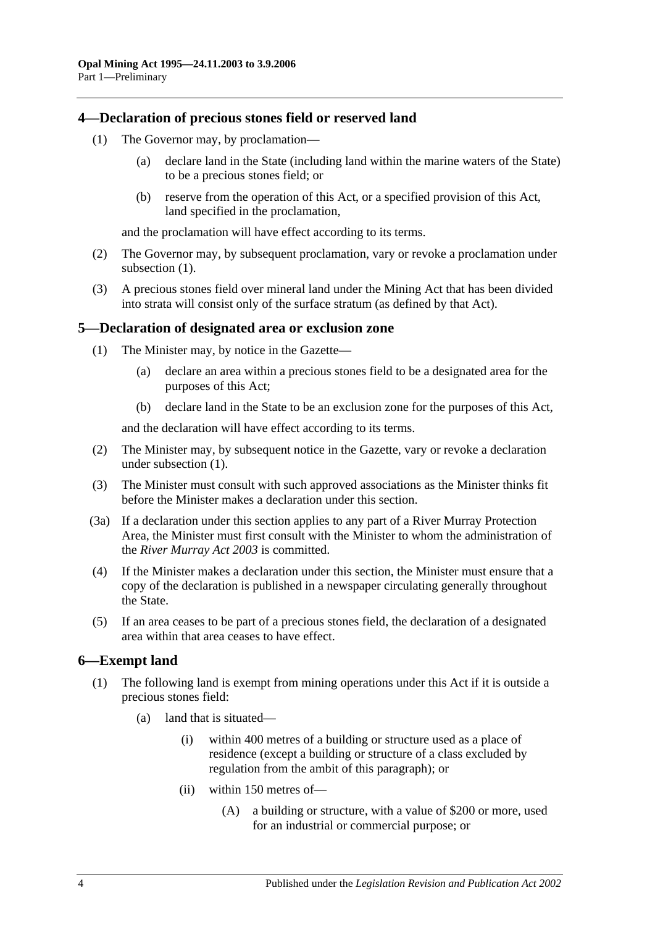### <span id="page-7-4"></span><span id="page-7-0"></span>**4—Declaration of precious stones field or reserved land**

- (1) The Governor may, by proclamation—
	- (a) declare land in the State (including land within the marine waters of the State) to be a precious stones field; or
	- (b) reserve from the operation of this Act, or a specified provision of this Act, land specified in the proclamation,

and the proclamation will have effect according to its terms.

- (2) The Governor may, by subsequent proclamation, vary or revoke a proclamation under [subsection](#page-7-4)  $(1)$ .
- (3) A precious stones field over mineral land under the Mining Act that has been divided into strata will consist only of the surface stratum (as defined by that Act).

### <span id="page-7-5"></span><span id="page-7-1"></span>**5—Declaration of designated area or exclusion zone**

- (1) The Minister may, by notice in the Gazette—
	- (a) declare an area within a precious stones field to be a designated area for the purposes of this Act;
	- (b) declare land in the State to be an exclusion zone for the purposes of this Act,

and the declaration will have effect according to its terms.

- (2) The Minister may, by subsequent notice in the Gazette, vary or revoke a declaration under [subsection](#page-7-5) (1).
- (3) The Minister must consult with such approved associations as the Minister thinks fit before the Minister makes a declaration under this section.
- (3a) If a declaration under this section applies to any part of a River Murray Protection Area, the Minister must first consult with the Minister to whom the administration of the *[River Murray Act](http://www.legislation.sa.gov.au/index.aspx?action=legref&type=act&legtitle=River%20Murray%20Act%202003) 2003* is committed.
- (4) If the Minister makes a declaration under this section, the Minister must ensure that a copy of the declaration is published in a newspaper circulating generally throughout the State.
- (5) If an area ceases to be part of a precious stones field, the declaration of a designated area within that area ceases to have effect.

### <span id="page-7-2"></span>**6—Exempt land**

- <span id="page-7-3"></span>(1) The following land is exempt from mining operations under this Act if it is outside a precious stones field:
	- (a) land that is situated—
		- (i) within 400 metres of a building or structure used as a place of residence (except a building or structure of a class excluded by regulation from the ambit of this paragraph); or
		- (ii) within 150 metres of—
			- (A) a building or structure, with a value of \$200 or more, used for an industrial or commercial purpose; or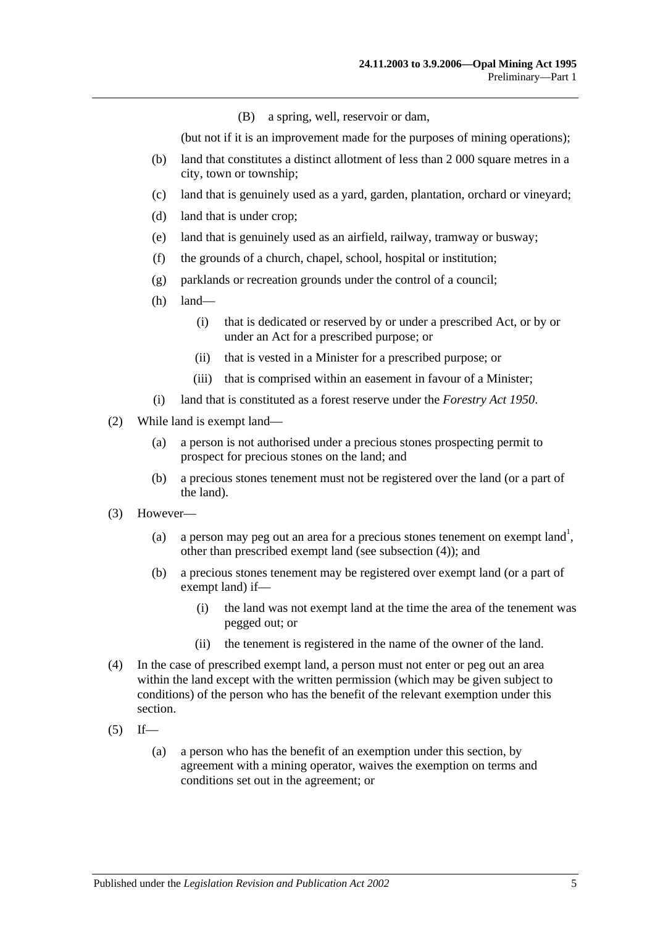(B) a spring, well, reservoir or dam,

(but not if it is an improvement made for the purposes of mining operations);

- (b) land that constitutes a distinct allotment of less than 2 000 square metres in a city, town or township;
- (c) land that is genuinely used as a yard, garden, plantation, orchard or vineyard;
- (d) land that is under crop;
- (e) land that is genuinely used as an airfield, railway, tramway or busway;
- (f) the grounds of a church, chapel, school, hospital or institution;
- (g) parklands or recreation grounds under the control of a council;
- (h) land—
	- (i) that is dedicated or reserved by or under a prescribed Act, or by or under an Act for a prescribed purpose; or
	- (ii) that is vested in a Minister for a prescribed purpose; or
	- (iii) that is comprised within an easement in favour of a Minister;
- (i) land that is constituted as a forest reserve under the *[Forestry Act](http://www.legislation.sa.gov.au/index.aspx?action=legref&type=act&legtitle=Forestry%20Act%201950) 1950*.
- (2) While land is exempt land—
	- (a) a person is not authorised under a precious stones prospecting permit to prospect for precious stones on the land; and
	- (b) a precious stones tenement must not be registered over the land (or a part of the land).
- (3) However—
	- (a) a person may peg out an area for a precious stones tenement on exempt land<sup>1</sup>, other than prescribed exempt land (see [subsection](#page-8-0) (4)); and
	- (b) a precious stones tenement may be registered over exempt land (or a part of exempt land) if—
		- (i) the land was not exempt land at the time the area of the tenement was pegged out; or
		- (ii) the tenement is registered in the name of the owner of the land.
- <span id="page-8-0"></span>(4) In the case of prescribed exempt land, a person must not enter or peg out an area within the land except with the written permission (which may be given subject to conditions) of the person who has the benefit of the relevant exemption under this section.
- <span id="page-8-1"></span> $(5)$  If—
	- (a) a person who has the benefit of an exemption under this section, by agreement with a mining operator, waives the exemption on terms and conditions set out in the agreement; or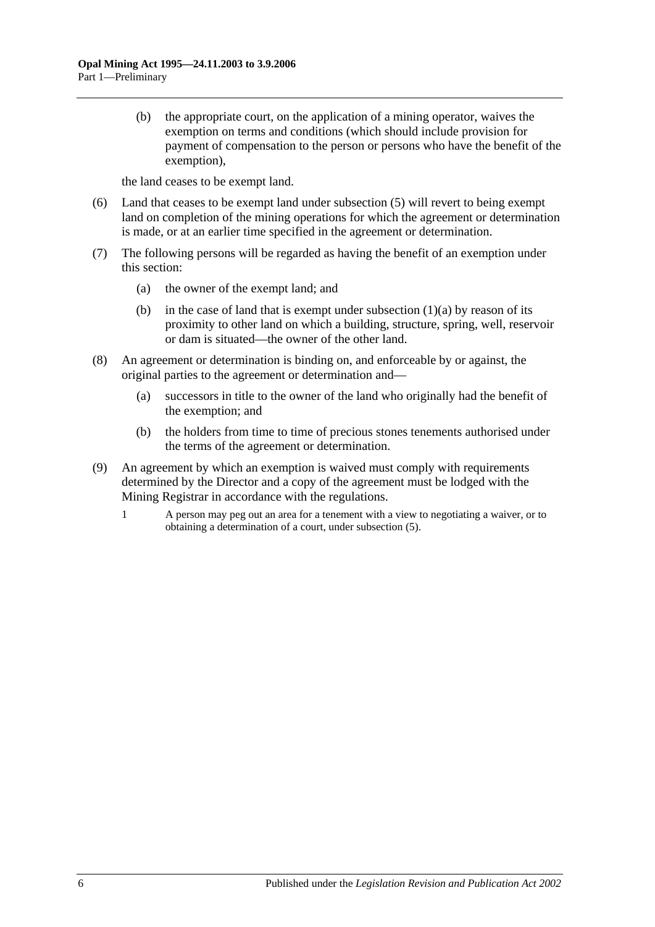(b) the appropriate court, on the application of a mining operator, waives the exemption on terms and conditions (which should include provision for payment of compensation to the person or persons who have the benefit of the exemption),

the land ceases to be exempt land.

- (6) Land that ceases to be exempt land under [subsection](#page-8-1) (5) will revert to being exempt land on completion of the mining operations for which the agreement or determination is made, or at an earlier time specified in the agreement or determination.
- (7) The following persons will be regarded as having the benefit of an exemption under this section:
	- (a) the owner of the exempt land; and
	- (b) in the case of land that is exempt under [subsection](#page-7-3)  $(1)(a)$  by reason of its proximity to other land on which a building, structure, spring, well, reservoir or dam is situated—the owner of the other land.
- (8) An agreement or determination is binding on, and enforceable by or against, the original parties to the agreement or determination and—
	- (a) successors in title to the owner of the land who originally had the benefit of the exemption; and
	- (b) the holders from time to time of precious stones tenements authorised under the terms of the agreement or determination.
- (9) An agreement by which an exemption is waived must comply with requirements determined by the Director and a copy of the agreement must be lodged with the Mining Registrar in accordance with the regulations.
	- 1 A person may peg out an area for a tenement with a view to negotiating a waiver, or to obtaining a determination of a court, under [subsection](#page-8-1) (5).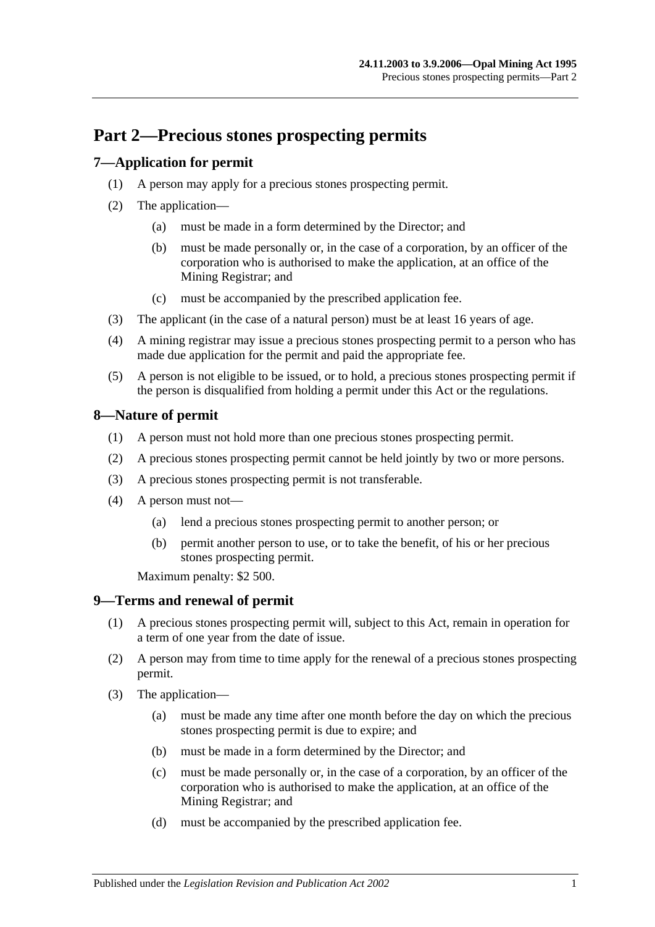## <span id="page-10-0"></span>**Part 2—Precious stones prospecting permits**

### <span id="page-10-1"></span>**7—Application for permit**

- (1) A person may apply for a precious stones prospecting permit.
- (2) The application—
	- (a) must be made in a form determined by the Director; and
	- (b) must be made personally or, in the case of a corporation, by an officer of the corporation who is authorised to make the application, at an office of the Mining Registrar; and
	- (c) must be accompanied by the prescribed application fee.
- (3) The applicant (in the case of a natural person) must be at least 16 years of age.
- (4) A mining registrar may issue a precious stones prospecting permit to a person who has made due application for the permit and paid the appropriate fee.
- (5) A person is not eligible to be issued, or to hold, a precious stones prospecting permit if the person is disqualified from holding a permit under this Act or the regulations.

### <span id="page-10-2"></span>**8—Nature of permit**

- (1) A person must not hold more than one precious stones prospecting permit.
- (2) A precious stones prospecting permit cannot be held jointly by two or more persons.
- (3) A precious stones prospecting permit is not transferable.
- (4) A person must not—
	- (a) lend a precious stones prospecting permit to another person; or
	- (b) permit another person to use, or to take the benefit, of his or her precious stones prospecting permit.

Maximum penalty: \$2 500.

### <span id="page-10-3"></span>**9—Terms and renewal of permit**

- (1) A precious stones prospecting permit will, subject to this Act, remain in operation for a term of one year from the date of issue.
- (2) A person may from time to time apply for the renewal of a precious stones prospecting permit.
- (3) The application—
	- (a) must be made any time after one month before the day on which the precious stones prospecting permit is due to expire; and
	- (b) must be made in a form determined by the Director; and
	- (c) must be made personally or, in the case of a corporation, by an officer of the corporation who is authorised to make the application, at an office of the Mining Registrar; and
	- (d) must be accompanied by the prescribed application fee.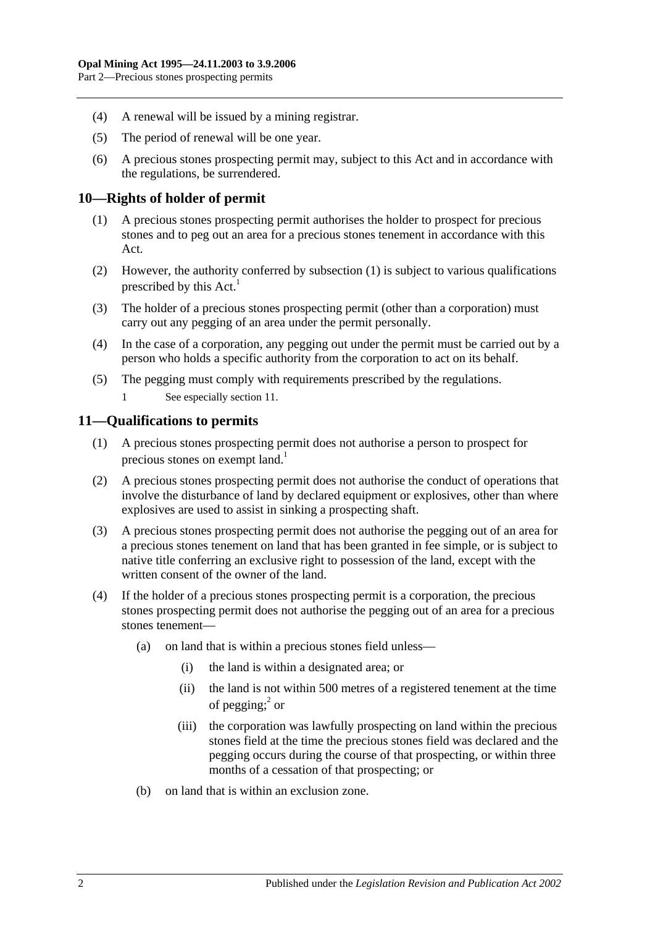- (4) A renewal will be issued by a mining registrar.
- (5) The period of renewal will be one year.
- (6) A precious stones prospecting permit may, subject to this Act and in accordance with the regulations, be surrendered.

### <span id="page-11-2"></span><span id="page-11-0"></span>**10—Rights of holder of permit**

- (1) A precious stones prospecting permit authorises the holder to prospect for precious stones and to peg out an area for a precious stones tenement in accordance with this Act.
- (2) However, the authority conferred by [subsection](#page-11-2) (1) is subject to various qualifications prescribed by this  $Act.<sup>1</sup>$
- (3) The holder of a precious stones prospecting permit (other than a corporation) must carry out any pegging of an area under the permit personally.
- (4) In the case of a corporation, any pegging out under the permit must be carried out by a person who holds a specific authority from the corporation to act on its behalf.
- (5) The pegging must comply with requirements prescribed by the regulations.
	- 1 See especiall[y section](#page-11-1) 11.

### <span id="page-11-1"></span>**11—Qualifications to permits**

- (1) A precious stones prospecting permit does not authorise a person to prospect for precious stones on exempt land.<sup>1</sup>
- (2) A precious stones prospecting permit does not authorise the conduct of operations that involve the disturbance of land by declared equipment or explosives, other than where explosives are used to assist in sinking a prospecting shaft.
- (3) A precious stones prospecting permit does not authorise the pegging out of an area for a precious stones tenement on land that has been granted in fee simple, or is subject to native title conferring an exclusive right to possession of the land, except with the written consent of the owner of the land.
- (4) If the holder of a precious stones prospecting permit is a corporation, the precious stones prospecting permit does not authorise the pegging out of an area for a precious stones tenement—
	- (a) on land that is within a precious stones field unless—
		- (i) the land is within a designated area; or
		- (ii) the land is not within 500 metres of a registered tenement at the time of pegging; $^{2}$  or
		- (iii) the corporation was lawfully prospecting on land within the precious stones field at the time the precious stones field was declared and the pegging occurs during the course of that prospecting, or within three months of a cessation of that prospecting; or
	- (b) on land that is within an exclusion zone.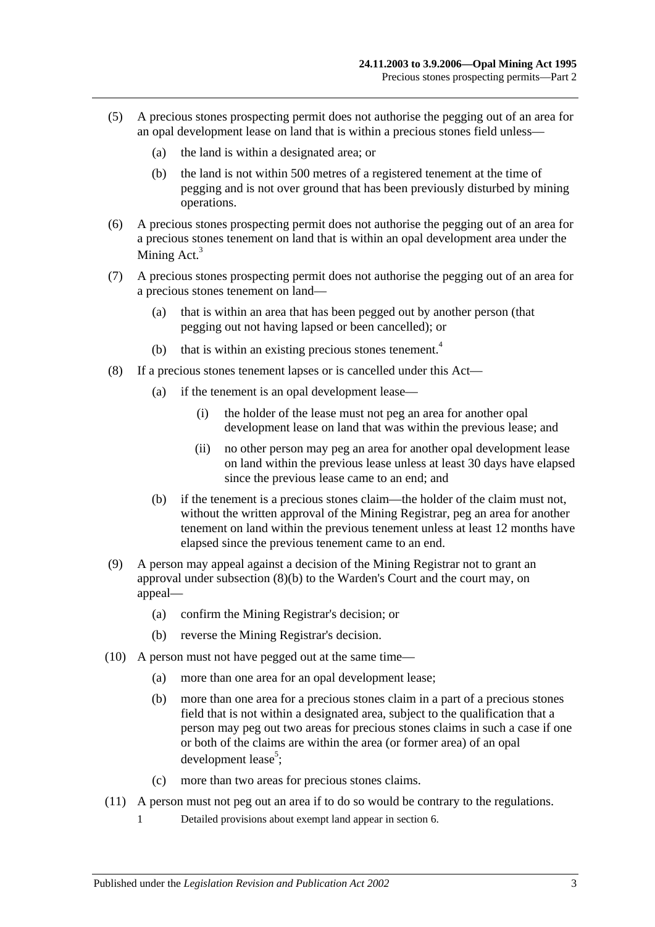- (5) A precious stones prospecting permit does not authorise the pegging out of an area for an opal development lease on land that is within a precious stones field unless—
	- (a) the land is within a designated area; or
	- (b) the land is not within 500 metres of a registered tenement at the time of pegging and is not over ground that has been previously disturbed by mining operations.
- (6) A precious stones prospecting permit does not authorise the pegging out of an area for a precious stones tenement on land that is within an opal development area under the Mining  $Act.<sup>3</sup>$
- (7) A precious stones prospecting permit does not authorise the pegging out of an area for a precious stones tenement on land—
	- (a) that is within an area that has been pegged out by another person (that pegging out not having lapsed or been cancelled); or
	- (b) that is within an existing precious stones tenement.<sup>4</sup>
- (8) If a precious stones tenement lapses or is cancelled under this Act—
	- (a) if the tenement is an opal development lease—
		- (i) the holder of the lease must not peg an area for another opal development lease on land that was within the previous lease; and
		- (ii) no other person may peg an area for another opal development lease on land within the previous lease unless at least 30 days have elapsed since the previous lease came to an end; and
	- (b) if the tenement is a precious stones claim—the holder of the claim must not, without the written approval of the Mining Registrar, peg an area for another tenement on land within the previous tenement unless at least 12 months have elapsed since the previous tenement came to an end.
- <span id="page-12-0"></span>(9) A person may appeal against a decision of the Mining Registrar not to grant an approval under [subsection](#page-12-0) (8)(b) to the Warden's Court and the court may, on appeal—
	- (a) confirm the Mining Registrar's decision; or
	- (b) reverse the Mining Registrar's decision.
- (10) A person must not have pegged out at the same time—
	- (a) more than one area for an opal development lease;
	- (b) more than one area for a precious stones claim in a part of a precious stones field that is not within a designated area, subject to the qualification that a person may peg out two areas for precious stones claims in such a case if one or both of the claims are within the area (or former area) of an opal development lease<sup>5</sup>;
	- (c) more than two areas for precious stones claims.
- (11) A person must not peg out an area if to do so would be contrary to the regulations.
	- 1 Detailed provisions about exempt land appear in [section](#page-7-2) 6.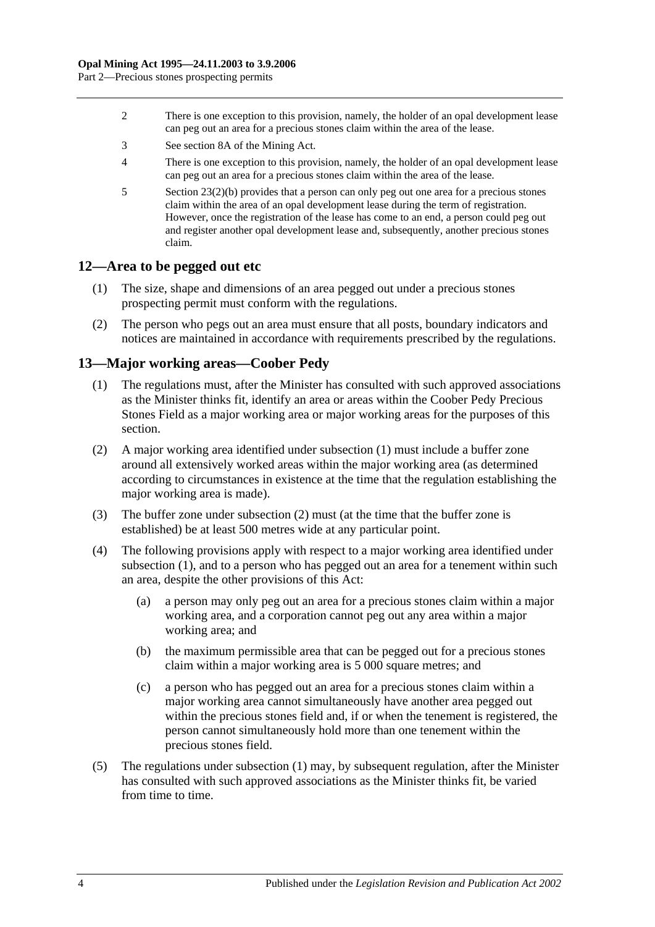Part 2—Precious stones prospecting permits

- 2 There is one exception to this provision, namely, the holder of an opal development lease can peg out an area for a precious stones claim within the area of the lease.
- 3 See section 8A of the Mining Act.
- 4 There is one exception to this provision, namely, the holder of an opal development lease can peg out an area for a precious stones claim within the area of the lease.
- 5 Section [23\(2\)\(b\)](#page-20-3) provides that a person can only peg out one area for a precious stones claim within the area of an opal development lease during the term of registration. However, once the registration of the lease has come to an end, a person could peg out and register another opal development lease and, subsequently, another precious stones claim.

### <span id="page-13-0"></span>**12—Area to be pegged out etc**

- (1) The size, shape and dimensions of an area pegged out under a precious stones prospecting permit must conform with the regulations.
- (2) The person who pegs out an area must ensure that all posts, boundary indicators and notices are maintained in accordance with requirements prescribed by the regulations.

### <span id="page-13-2"></span><span id="page-13-1"></span>**13—Major working areas—Coober Pedy**

- (1) The regulations must, after the Minister has consulted with such approved associations as the Minister thinks fit, identify an area or areas within the Coober Pedy Precious Stones Field as a major working area or major working areas for the purposes of this section.
- <span id="page-13-3"></span>(2) A major working area identified under [subsection](#page-13-2) (1) must include a buffer zone around all extensively worked areas within the major working area (as determined according to circumstances in existence at the time that the regulation establishing the major working area is made).
- (3) The buffer zone under [subsection](#page-13-3) (2) must (at the time that the buffer zone is established) be at least 500 metres wide at any particular point.
- (4) The following provisions apply with respect to a major working area identified under [subsection](#page-13-2) (1), and to a person who has pegged out an area for a tenement within such an area, despite the other provisions of this Act:
	- (a) a person may only peg out an area for a precious stones claim within a major working area, and a corporation cannot peg out any area within a major working area; and
	- (b) the maximum permissible area that can be pegged out for a precious stones claim within a major working area is 5 000 square metres; and
	- (c) a person who has pegged out an area for a precious stones claim within a major working area cannot simultaneously have another area pegged out within the precious stones field and, if or when the tenement is registered, the person cannot simultaneously hold more than one tenement within the precious stones field.
- (5) The regulations under [subsection](#page-13-2) (1) may, by subsequent regulation, after the Minister has consulted with such approved associations as the Minister thinks fit, be varied from time to time.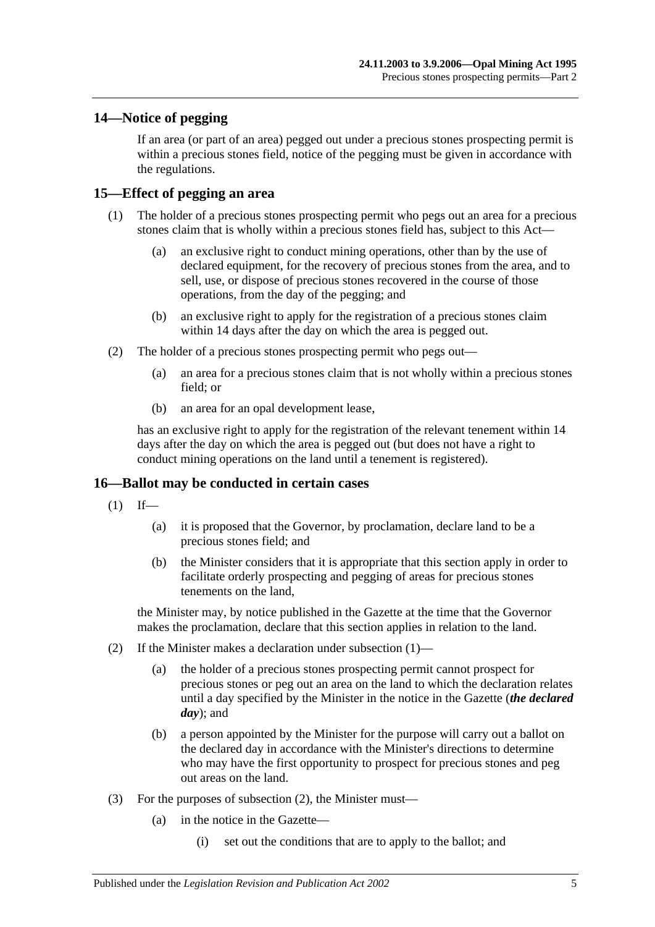### <span id="page-14-0"></span>**14—Notice of pegging**

If an area (or part of an area) pegged out under a precious stones prospecting permit is within a precious stones field, notice of the pegging must be given in accordance with the regulations.

### <span id="page-14-1"></span>**15—Effect of pegging an area**

- (1) The holder of a precious stones prospecting permit who pegs out an area for a precious stones claim that is wholly within a precious stones field has, subject to this Act—
	- (a) an exclusive right to conduct mining operations, other than by the use of declared equipment, for the recovery of precious stones from the area, and to sell, use, or dispose of precious stones recovered in the course of those operations, from the day of the pegging; and
	- (b) an exclusive right to apply for the registration of a precious stones claim within 14 days after the day on which the area is pegged out.
- (2) The holder of a precious stones prospecting permit who pegs out—
	- (a) an area for a precious stones claim that is not wholly within a precious stones field; or
	- (b) an area for an opal development lease,

has an exclusive right to apply for the registration of the relevant tenement within 14 days after the day on which the area is pegged out (but does not have a right to conduct mining operations on the land until a tenement is registered).

### <span id="page-14-3"></span><span id="page-14-2"></span>**16—Ballot may be conducted in certain cases**

- $(1)$  If—
	- (a) it is proposed that the Governor, by proclamation, declare land to be a precious stones field; and
	- (b) the Minister considers that it is appropriate that this section apply in order to facilitate orderly prospecting and pegging of areas for precious stones tenements on the land,

the Minister may, by notice published in the Gazette at the time that the Governor makes the proclamation, declare that this section applies in relation to the land.

- <span id="page-14-4"></span>(2) If the Minister makes a declaration under [subsection](#page-14-3) (1)—
	- (a) the holder of a precious stones prospecting permit cannot prospect for precious stones or peg out an area on the land to which the declaration relates until a day specified by the Minister in the notice in the Gazette (*the declared day*); and
	- (b) a person appointed by the Minister for the purpose will carry out a ballot on the declared day in accordance with the Minister's directions to determine who may have the first opportunity to prospect for precious stones and peg out areas on the land.
- <span id="page-14-5"></span>(3) For the purposes of [subsection](#page-14-4) (2), the Minister must—
	- (a) in the notice in the Gazette—
		- (i) set out the conditions that are to apply to the ballot; and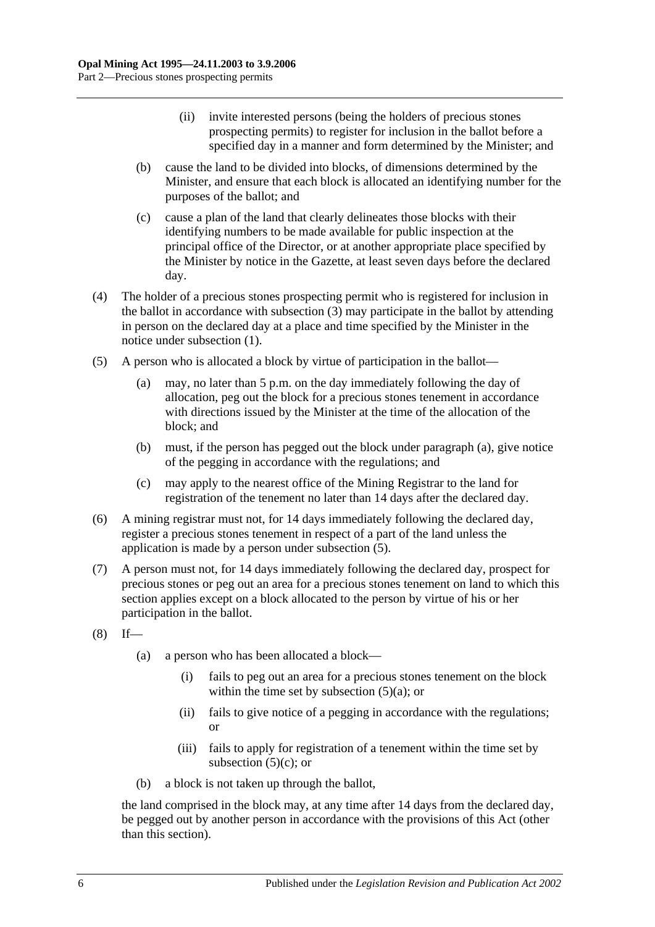- (ii) invite interested persons (being the holders of precious stones prospecting permits) to register for inclusion in the ballot before a specified day in a manner and form determined by the Minister; and
- (b) cause the land to be divided into blocks, of dimensions determined by the Minister, and ensure that each block is allocated an identifying number for the purposes of the ballot; and
- (c) cause a plan of the land that clearly delineates those blocks with their identifying numbers to be made available for public inspection at the principal office of the Director, or at another appropriate place specified by the Minister by notice in the Gazette, at least seven days before the declared day.
- (4) The holder of a precious stones prospecting permit who is registered for inclusion in the ballot in accordance with [subsection](#page-14-5) (3) may participate in the ballot by attending in person on the declared day at a place and time specified by the Minister in the notice under [subsection](#page-14-3) (1).
- <span id="page-15-1"></span><span id="page-15-0"></span>(5) A person who is allocated a block by virtue of participation in the ballot—
	- (a) may, no later than 5 p.m. on the day immediately following the day of allocation, peg out the block for a precious stones tenement in accordance with directions issued by the Minister at the time of the allocation of the block; and
	- (b) must, if the person has pegged out the block under [paragraph](#page-15-0) (a), give notice of the pegging in accordance with the regulations; and
	- (c) may apply to the nearest office of the Mining Registrar to the land for registration of the tenement no later than 14 days after the declared day.
- <span id="page-15-2"></span>(6) A mining registrar must not, for 14 days immediately following the declared day, register a precious stones tenement in respect of a part of the land unless the application is made by a person under [subsection](#page-15-1) (5).
- (7) A person must not, for 14 days immediately following the declared day, prospect for precious stones or peg out an area for a precious stones tenement on land to which this section applies except on a block allocated to the person by virtue of his or her participation in the ballot.
- $(8)$  If—
	- (a) a person who has been allocated a block—
		- (i) fails to peg out an area for a precious stones tenement on the block within the time set by [subsection](#page-15-0)  $(5)(a)$ ; or
		- (ii) fails to give notice of a pegging in accordance with the regulations; or
		- (iii) fails to apply for registration of a tenement within the time set by [subsection](#page-15-2)  $(5)(c)$ ; or
	- (b) a block is not taken up through the ballot,

the land comprised in the block may, at any time after 14 days from the declared day, be pegged out by another person in accordance with the provisions of this Act (other than this section).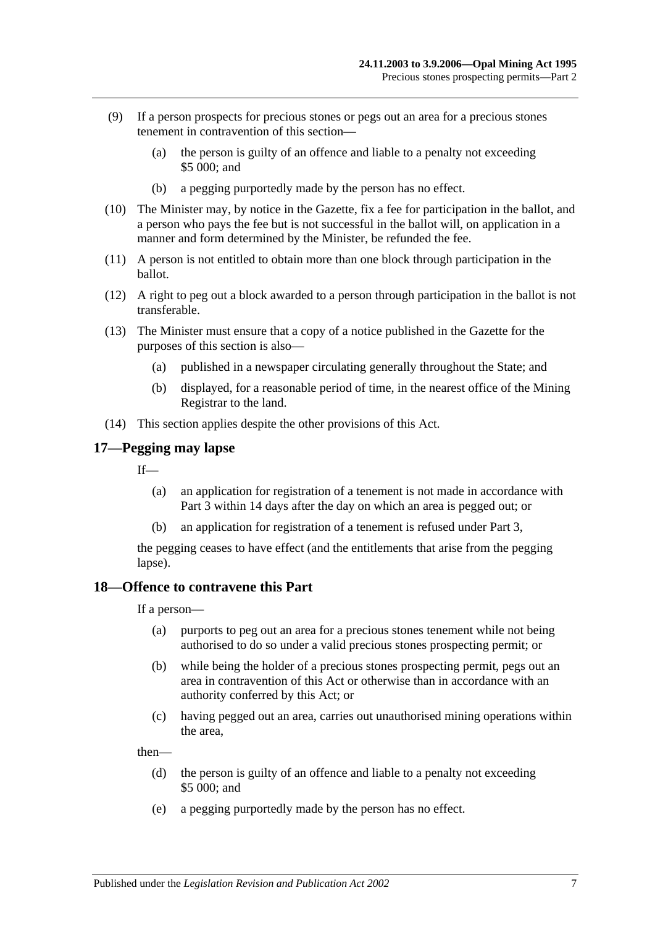- (9) If a person prospects for precious stones or pegs out an area for a precious stones tenement in contravention of this section—
	- (a) the person is guilty of an offence and liable to a penalty not exceeding \$5 000; and
	- (b) a pegging purportedly made by the person has no effect.
- (10) The Minister may, by notice in the Gazette, fix a fee for participation in the ballot, and a person who pays the fee but is not successful in the ballot will, on application in a manner and form determined by the Minister, be refunded the fee.
- (11) A person is not entitled to obtain more than one block through participation in the ballot.
- (12) A right to peg out a block awarded to a person through participation in the ballot is not transferable.
- (13) The Minister must ensure that a copy of a notice published in the Gazette for the purposes of this section is also—
	- (a) published in a newspaper circulating generally throughout the State; and
	- (b) displayed, for a reasonable period of time, in the nearest office of the Mining Registrar to the land.
- (14) This section applies despite the other provisions of this Act.

### <span id="page-16-0"></span>**17—Pegging may lapse**

If—

- (a) an application for registration of a tenement is not made in accordance with [Part 3](#page-18-0) within 14 days after the day on which an area is pegged out; or
- (b) an application for registration of a tenement is refused under [Part 3,](#page-18-0)

the pegging ceases to have effect (and the entitlements that arise from the pegging lapse).

### <span id="page-16-1"></span>**18—Offence to contravene this Part**

If a person—

- (a) purports to peg out an area for a precious stones tenement while not being authorised to do so under a valid precious stones prospecting permit; or
- (b) while being the holder of a precious stones prospecting permit, pegs out an area in contravention of this Act or otherwise than in accordance with an authority conferred by this Act; or
- (c) having pegged out an area, carries out unauthorised mining operations within the area,

then—

- (d) the person is guilty of an offence and liable to a penalty not exceeding \$5 000; and
- (e) a pegging purportedly made by the person has no effect.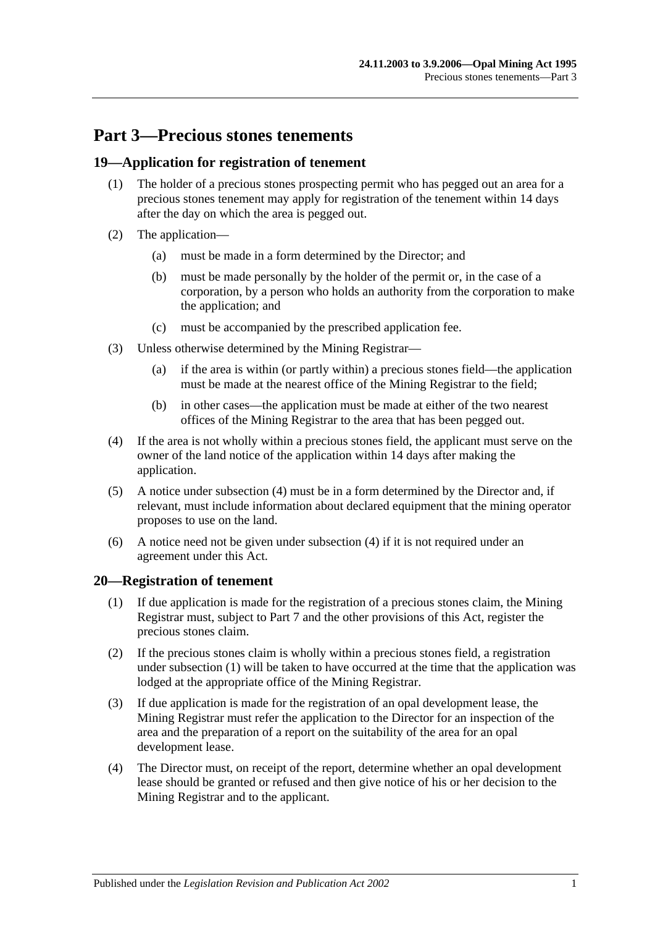## <span id="page-18-0"></span>**Part 3—Precious stones tenements**

### <span id="page-18-1"></span>**19—Application for registration of tenement**

- (1) The holder of a precious stones prospecting permit who has pegged out an area for a precious stones tenement may apply for registration of the tenement within 14 days after the day on which the area is pegged out.
- (2) The application—
	- (a) must be made in a form determined by the Director; and
	- (b) must be made personally by the holder of the permit or, in the case of a corporation, by a person who holds an authority from the corporation to make the application; and
	- (c) must be accompanied by the prescribed application fee.
- (3) Unless otherwise determined by the Mining Registrar—
	- (a) if the area is within (or partly within) a precious stones field—the application must be made at the nearest office of the Mining Registrar to the field;
	- (b) in other cases—the application must be made at either of the two nearest offices of the Mining Registrar to the area that has been pegged out.
- <span id="page-18-3"></span>(4) If the area is not wholly within a precious stones field, the applicant must serve on the owner of the land notice of the application within 14 days after making the application.
- (5) A notice under [subsection](#page-18-3) (4) must be in a form determined by the Director and, if relevant, must include information about declared equipment that the mining operator proposes to use on the land.
- (6) A notice need not be given under [subsection](#page-18-3) (4) if it is not required under an agreement under this Act.

### <span id="page-18-4"></span><span id="page-18-2"></span>**20—Registration of tenement**

- (1) If due application is made for the registration of a precious stones claim, the Mining Registrar must, subject to [Part 7](#page-38-0) and the other provisions of this Act, register the precious stones claim.
- <span id="page-18-6"></span>(2) If the precious stones claim is wholly within a precious stones field, a registration under [subsection](#page-18-4) (1) will be taken to have occurred at the time that the application was lodged at the appropriate office of the Mining Registrar.
- (3) If due application is made for the registration of an opal development lease, the Mining Registrar must refer the application to the Director for an inspection of the area and the preparation of a report on the suitability of the area for an opal development lease.
- <span id="page-18-5"></span>(4) The Director must, on receipt of the report, determine whether an opal development lease should be granted or refused and then give notice of his or her decision to the Mining Registrar and to the applicant.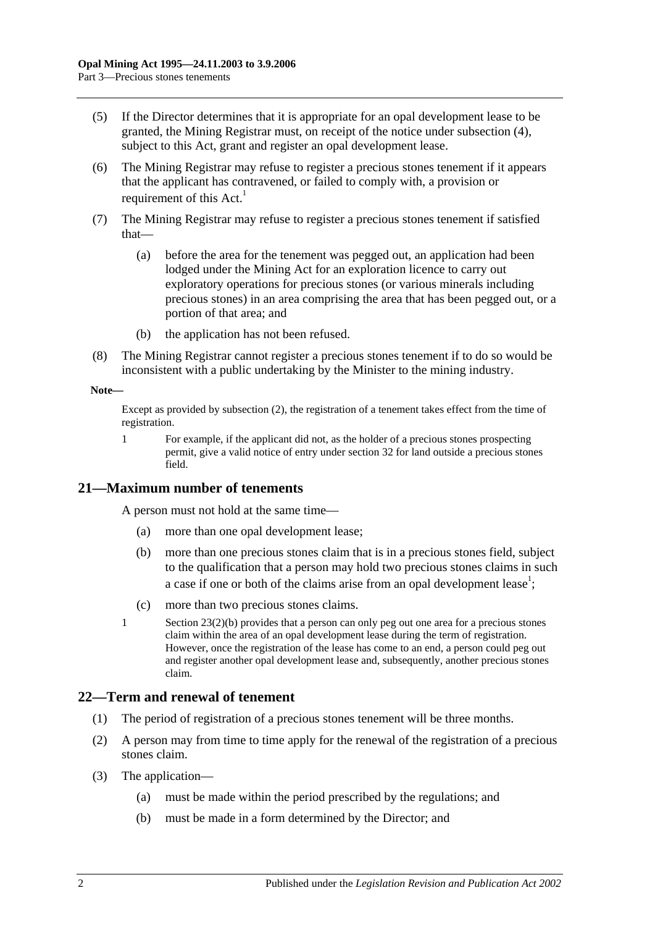- (5) If the Director determines that it is appropriate for an opal development lease to be granted, the Mining Registrar must, on receipt of the notice under [subsection](#page-18-5) (4), subject to this Act, grant and register an opal development lease.
- (6) The Mining Registrar may refuse to register a precious stones tenement if it appears that the applicant has contravened, or failed to comply with, a provision or requirement of this Act.<sup>1</sup>
- (7) The Mining Registrar may refuse to register a precious stones tenement if satisfied that—
	- (a) before the area for the tenement was pegged out, an application had been lodged under the Mining Act for an exploration licence to carry out exploratory operations for precious stones (or various minerals including precious stones) in an area comprising the area that has been pegged out, or a portion of that area; and
	- (b) the application has not been refused.
- (8) The Mining Registrar cannot register a precious stones tenement if to do so would be inconsistent with a public undertaking by the Minister to the mining industry.

#### **Note—**

Except as provided by [subsection](#page-18-6) (2), the registration of a tenement takes effect from the time of registration.

1 For example, if the applicant did not, as the holder of a precious stones prospecting permit, give a valid notice of entry unde[r section](#page-26-3) 32 for land outside a precious stones field.

### <span id="page-19-0"></span>**21—Maximum number of tenements**

A person must not hold at the same time—

- (a) more than one opal development lease;
- (b) more than one precious stones claim that is in a precious stones field, subject to the qualification that a person may hold two precious stones claims in such a case if one or both of the claims arise from an opal development lease<sup>1</sup>;
- (c) more than two precious stones claims.
- 1 Section [23\(2\)\(b\)](#page-20-3) provides that a person can only peg out one area for a precious stones claim within the area of an opal development lease during the term of registration. However, once the registration of the lease has come to an end, a person could peg out and register another opal development lease and, subsequently, another precious stones claim.

### <span id="page-19-1"></span>**22—Term and renewal of tenement**

- (1) The period of registration of a precious stones tenement will be three months.
- (2) A person may from time to time apply for the renewal of the registration of a precious stones claim.
- (3) The application—
	- (a) must be made within the period prescribed by the regulations; and
	- (b) must be made in a form determined by the Director; and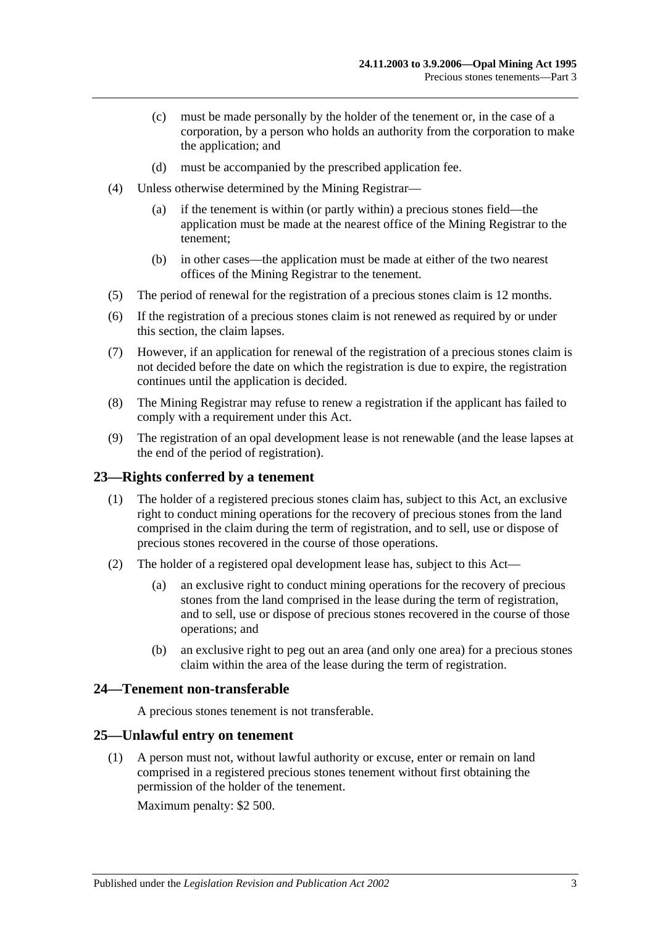- (c) must be made personally by the holder of the tenement or, in the case of a corporation, by a person who holds an authority from the corporation to make the application; and
- (d) must be accompanied by the prescribed application fee.
- (4) Unless otherwise determined by the Mining Registrar—
	- (a) if the tenement is within (or partly within) a precious stones field—the application must be made at the nearest office of the Mining Registrar to the tenement;
	- (b) in other cases—the application must be made at either of the two nearest offices of the Mining Registrar to the tenement.
- (5) The period of renewal for the registration of a precious stones claim is 12 months.
- (6) If the registration of a precious stones claim is not renewed as required by or under this section, the claim lapses.
- (7) However, if an application for renewal of the registration of a precious stones claim is not decided before the date on which the registration is due to expire, the registration continues until the application is decided.
- (8) The Mining Registrar may refuse to renew a registration if the applicant has failed to comply with a requirement under this Act.
- (9) The registration of an opal development lease is not renewable (and the lease lapses at the end of the period of registration).

### <span id="page-20-0"></span>**23—Rights conferred by a tenement**

- (1) The holder of a registered precious stones claim has, subject to this Act, an exclusive right to conduct mining operations for the recovery of precious stones from the land comprised in the claim during the term of registration, and to sell, use or dispose of precious stones recovered in the course of those operations.
- (2) The holder of a registered opal development lease has, subject to this Act—
	- (a) an exclusive right to conduct mining operations for the recovery of precious stones from the land comprised in the lease during the term of registration, and to sell, use or dispose of precious stones recovered in the course of those operations; and
	- (b) an exclusive right to peg out an area (and only one area) for a precious stones claim within the area of the lease during the term of registration.

#### <span id="page-20-3"></span><span id="page-20-1"></span>**24—Tenement non-transferable**

A precious stones tenement is not transferable.

#### <span id="page-20-2"></span>**25—Unlawful entry on tenement**

(1) A person must not, without lawful authority or excuse, enter or remain on land comprised in a registered precious stones tenement without first obtaining the permission of the holder of the tenement.

Maximum penalty: \$2 500.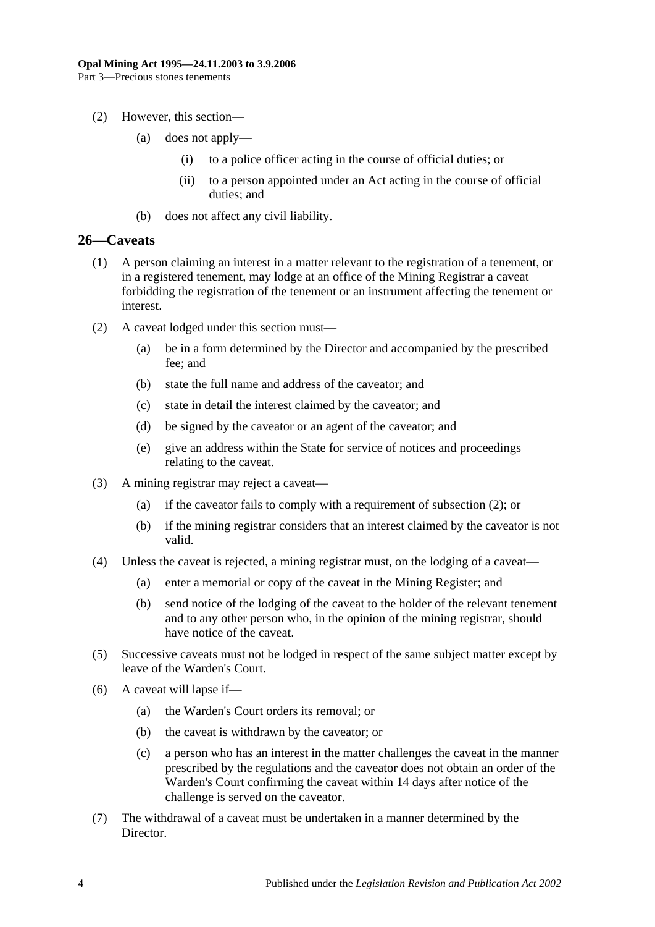- (2) However, this section—
	- (a) does not apply—
		- (i) to a police officer acting in the course of official duties; or
		- (ii) to a person appointed under an Act acting in the course of official duties; and
	- (b) does not affect any civil liability.

### <span id="page-21-0"></span>**26—Caveats**

- (1) A person claiming an interest in a matter relevant to the registration of a tenement, or in a registered tenement, may lodge at an office of the Mining Registrar a caveat forbidding the registration of the tenement or an instrument affecting the tenement or interest.
- <span id="page-21-1"></span>(2) A caveat lodged under this section must—
	- (a) be in a form determined by the Director and accompanied by the prescribed fee; and
	- (b) state the full name and address of the caveator; and
	- (c) state in detail the interest claimed by the caveator; and
	- (d) be signed by the caveator or an agent of the caveator; and
	- (e) give an address within the State for service of notices and proceedings relating to the caveat.
- (3) A mining registrar may reject a caveat—
	- (a) if the caveator fails to comply with a requirement of [subsection](#page-21-1) (2); or
	- (b) if the mining registrar considers that an interest claimed by the caveator is not valid.
- (4) Unless the caveat is rejected, a mining registrar must, on the lodging of a caveat—
	- (a) enter a memorial or copy of the caveat in the Mining Register; and
	- (b) send notice of the lodging of the caveat to the holder of the relevant tenement and to any other person who, in the opinion of the mining registrar, should have notice of the caveat.
- (5) Successive caveats must not be lodged in respect of the same subject matter except by leave of the Warden's Court.
- (6) A caveat will lapse if—
	- (a) the Warden's Court orders its removal; or
	- (b) the caveat is withdrawn by the caveator; or
	- (c) a person who has an interest in the matter challenges the caveat in the manner prescribed by the regulations and the caveator does not obtain an order of the Warden's Court confirming the caveat within 14 days after notice of the challenge is served on the caveator.
- (7) The withdrawal of a caveat must be undertaken in a manner determined by the Director.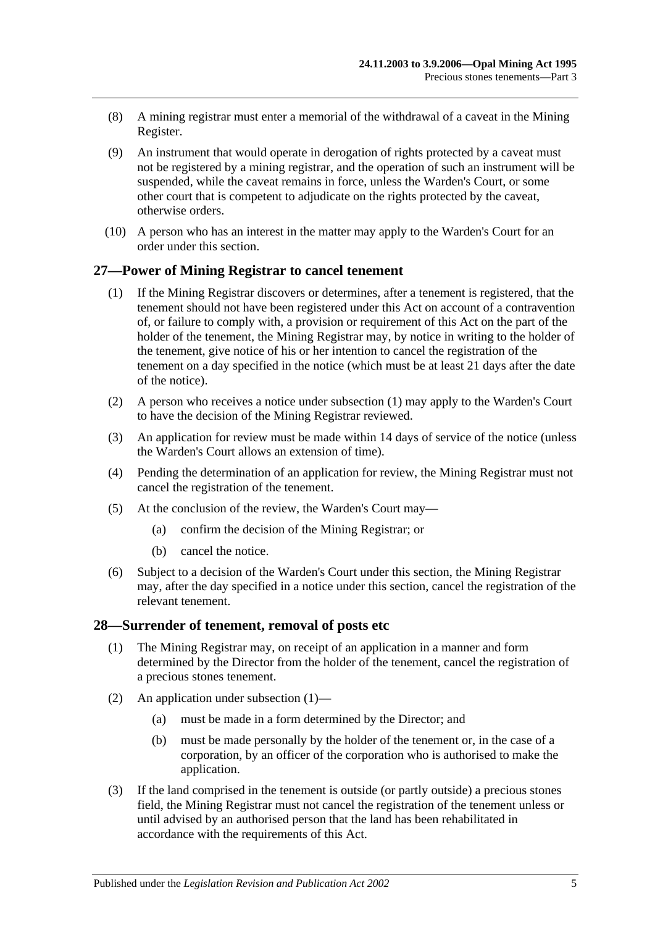- (8) A mining registrar must enter a memorial of the withdrawal of a caveat in the Mining Register.
- (9) An instrument that would operate in derogation of rights protected by a caveat must not be registered by a mining registrar, and the operation of such an instrument will be suspended, while the caveat remains in force, unless the Warden's Court, or some other court that is competent to adjudicate on the rights protected by the caveat, otherwise orders.
- (10) A person who has an interest in the matter may apply to the Warden's Court for an order under this section.

### <span id="page-22-2"></span><span id="page-22-0"></span>**27—Power of Mining Registrar to cancel tenement**

- (1) If the Mining Registrar discovers or determines, after a tenement is registered, that the tenement should not have been registered under this Act on account of a contravention of, or failure to comply with, a provision or requirement of this Act on the part of the holder of the tenement, the Mining Registrar may, by notice in writing to the holder of the tenement, give notice of his or her intention to cancel the registration of the tenement on a day specified in the notice (which must be at least 21 days after the date of the notice).
- (2) A person who receives a notice under [subsection](#page-22-2) (1) may apply to the Warden's Court to have the decision of the Mining Registrar reviewed.
- (3) An application for review must be made within 14 days of service of the notice (unless the Warden's Court allows an extension of time).
- (4) Pending the determination of an application for review, the Mining Registrar must not cancel the registration of the tenement.
- (5) At the conclusion of the review, the Warden's Court may—
	- (a) confirm the decision of the Mining Registrar; or
	- (b) cancel the notice.
- (6) Subject to a decision of the Warden's Court under this section, the Mining Registrar may, after the day specified in a notice under this section, cancel the registration of the relevant tenement.

### <span id="page-22-3"></span><span id="page-22-1"></span>**28—Surrender of tenement, removal of posts etc**

- (1) The Mining Registrar may, on receipt of an application in a manner and form determined by the Director from the holder of the tenement, cancel the registration of a precious stones tenement.
- (2) An application under [subsection](#page-22-3) (1)—
	- (a) must be made in a form determined by the Director; and
	- (b) must be made personally by the holder of the tenement or, in the case of a corporation, by an officer of the corporation who is authorised to make the application.
- (3) If the land comprised in the tenement is outside (or partly outside) a precious stones field, the Mining Registrar must not cancel the registration of the tenement unless or until advised by an authorised person that the land has been rehabilitated in accordance with the requirements of this Act.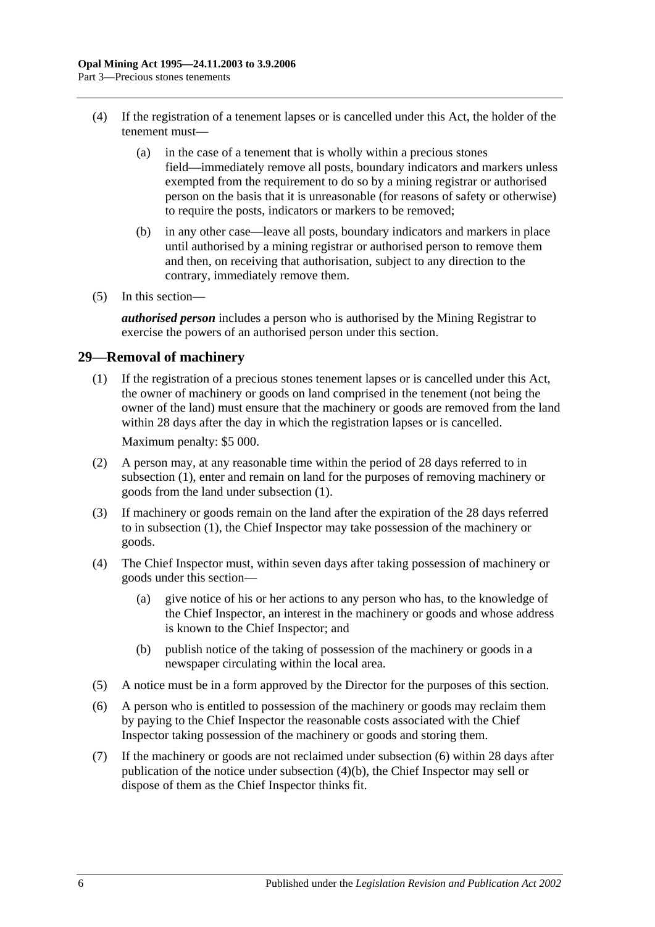- (4) If the registration of a tenement lapses or is cancelled under this Act, the holder of the tenement must—
	- (a) in the case of a tenement that is wholly within a precious stones field—immediately remove all posts, boundary indicators and markers unless exempted from the requirement to do so by a mining registrar or authorised person on the basis that it is unreasonable (for reasons of safety or otherwise) to require the posts, indicators or markers to be removed;
	- (b) in any other case—leave all posts, boundary indicators and markers in place until authorised by a mining registrar or authorised person to remove them and then, on receiving that authorisation, subject to any direction to the contrary, immediately remove them.
- (5) In this section—

*authorised person* includes a person who is authorised by the Mining Registrar to exercise the powers of an authorised person under this section.

### <span id="page-23-1"></span><span id="page-23-0"></span>**29—Removal of machinery**

- (1) If the registration of a precious stones tenement lapses or is cancelled under this Act, the owner of machinery or goods on land comprised in the tenement (not being the owner of the land) must ensure that the machinery or goods are removed from the land within 28 days after the day in which the registration lapses or is cancelled. Maximum penalty: \$5 000.
- (2) A person may, at any reasonable time within the period of 28 days referred to in [subsection](#page-23-1) (1), enter and remain on land for the purposes of removing machinery or goods from the land under [subsection](#page-23-1) (1).
- (3) If machinery or goods remain on the land after the expiration of the 28 days referred to in [subsection](#page-23-1) (1), the Chief Inspector may take possession of the machinery or goods.
- (4) The Chief Inspector must, within seven days after taking possession of machinery or goods under this section—
	- (a) give notice of his or her actions to any person who has, to the knowledge of the Chief Inspector, an interest in the machinery or goods and whose address is known to the Chief Inspector; and
	- (b) publish notice of the taking of possession of the machinery or goods in a newspaper circulating within the local area.
- <span id="page-23-3"></span>(5) A notice must be in a form approved by the Director for the purposes of this section.
- <span id="page-23-2"></span>(6) A person who is entitled to possession of the machinery or goods may reclaim them by paying to the Chief Inspector the reasonable costs associated with the Chief Inspector taking possession of the machinery or goods and storing them.
- (7) If the machinery or goods are not reclaimed under [subsection](#page-23-2) (6) within 28 days after publication of the notice under [subsection](#page-23-3) (4)(b), the Chief Inspector may sell or dispose of them as the Chief Inspector thinks fit.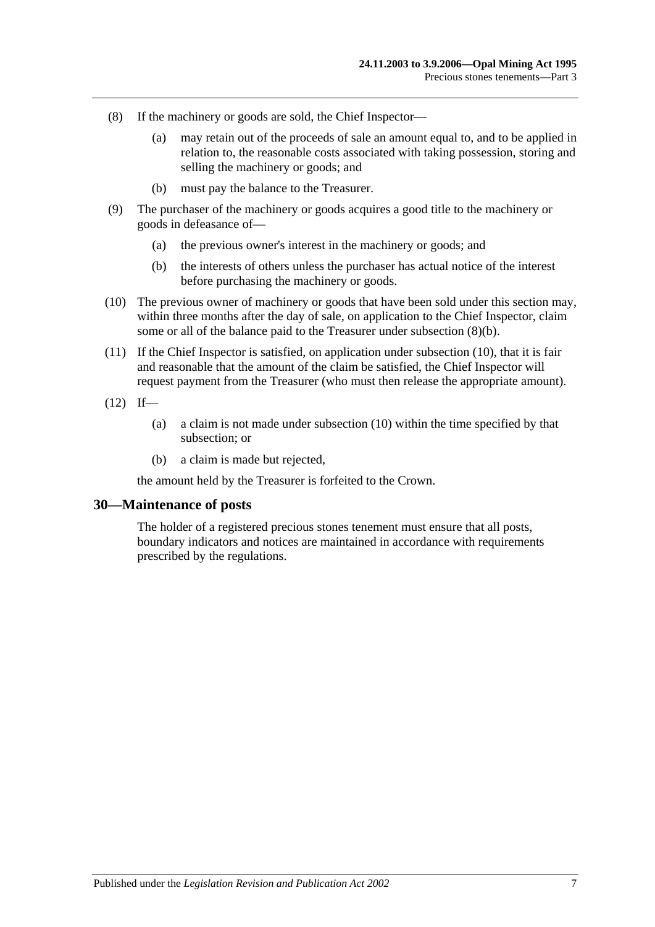- (8) If the machinery or goods are sold, the Chief Inspector—
	- (a) may retain out of the proceeds of sale an amount equal to, and to be applied in relation to, the reasonable costs associated with taking possession, storing and selling the machinery or goods; and
	- (b) must pay the balance to the Treasurer.
- <span id="page-24-1"></span>(9) The purchaser of the machinery or goods acquires a good title to the machinery or goods in defeasance of—
	- (a) the previous owner's interest in the machinery or goods; and
	- (b) the interests of others unless the purchaser has actual notice of the interest before purchasing the machinery or goods.
- <span id="page-24-2"></span>(10) The previous owner of machinery or goods that have been sold under this section may, within three months after the day of sale, on application to the Chief Inspector, claim some or all of the balance paid to the Treasurer under [subsection](#page-24-1) (8)(b).
- (11) If the Chief Inspector is satisfied, on application under [subsection](#page-24-2) (10), that it is fair and reasonable that the amount of the claim be satisfied, the Chief Inspector will request payment from the Treasurer (who must then release the appropriate amount).
- $(12)$  If—
	- (a) a claim is not made under [subsection](#page-24-2) (10) within the time specified by that subsection; or
	- (b) a claim is made but rejected,

the amount held by the Treasurer is forfeited to the Crown.

### <span id="page-24-0"></span>**30—Maintenance of posts**

The holder of a registered precious stones tenement must ensure that all posts, boundary indicators and notices are maintained in accordance with requirements prescribed by the regulations.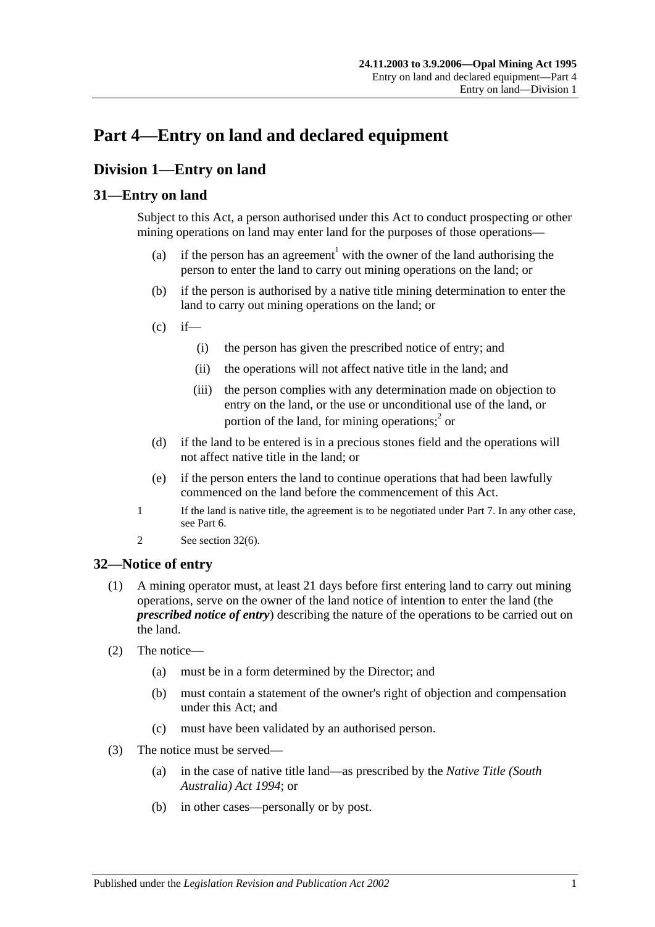## <span id="page-26-0"></span>**Part 4—Entry on land and declared equipment**

### <span id="page-26-1"></span>**Division 1—Entry on land**

### <span id="page-26-2"></span>**31—Entry on land**

Subject to this Act, a person authorised under this Act to conduct prospecting or other mining operations on land may enter land for the purposes of those operations—

- (a) if the person has an agreement<sup>1</sup> with the owner of the land authorising the person to enter the land to carry out mining operations on the land; or
- (b) if the person is authorised by a native title mining determination to enter the land to carry out mining operations on the land; or
- $(c)$  if—
	- (i) the person has given the prescribed notice of entry; and
	- (ii) the operations will not affect native title in the land; and
	- (iii) the person complies with any determination made on objection to entry on the land, or the use or unconditional use of the land, or portion of the land, for mining operations; $\hat{i}$  or
- (d) if the land to be entered is in a precious stones field and the operations will not affect native title in the land; or
- (e) if the person enters the land to continue operations that had been lawfully commenced on the land before the commencement of this Act.
- 1 If the land is native title, the agreement is to be negotiated under [Part 7.](#page-38-0) In any other case, see [Part 6.](#page-34-0)
- 2 See [section](#page-27-1) 32(6).

### <span id="page-26-4"></span><span id="page-26-3"></span>**32—Notice of entry**

- (1) A mining operator must, at least 21 days before first entering land to carry out mining operations, serve on the owner of the land notice of intention to enter the land (the *prescribed notice of entry*) describing the nature of the operations to be carried out on the land.
- <span id="page-26-5"></span>(2) The notice—
	- (a) must be in a form determined by the Director; and
	- (b) must contain a statement of the owner's right of objection and compensation under this Act; and
	- (c) must have been validated by an authorised person.
- (3) The notice must be served—
	- (a) in the case of native title land—as prescribed by the *[Native Title \(South](http://www.legislation.sa.gov.au/index.aspx?action=legref&type=act&legtitle=Native%20Title%20(South%20Australia)%20Act%201994)  [Australia\) Act](http://www.legislation.sa.gov.au/index.aspx?action=legref&type=act&legtitle=Native%20Title%20(South%20Australia)%20Act%201994) 1994*; or
	- (b) in other cases—personally or by post.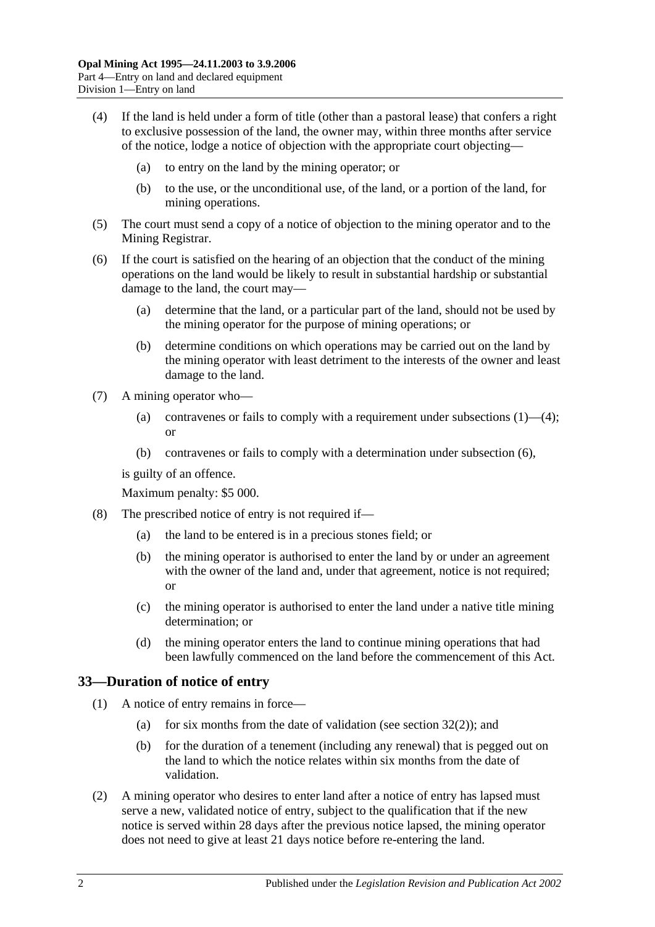- <span id="page-27-2"></span>(4) If the land is held under a form of title (other than a pastoral lease) that confers a right to exclusive possession of the land, the owner may, within three months after service of the notice, lodge a notice of objection with the appropriate court objecting—
	- (a) to entry on the land by the mining operator; or
	- (b) to the use, or the unconditional use, of the land, or a portion of the land, for mining operations.
- (5) The court must send a copy of a notice of objection to the mining operator and to the Mining Registrar.
- <span id="page-27-1"></span>(6) If the court is satisfied on the hearing of an objection that the conduct of the mining operations on the land would be likely to result in substantial hardship or substantial damage to the land, the court may—
	- (a) determine that the land, or a particular part of the land, should not be used by the mining operator for the purpose of mining operations; or
	- (b) determine conditions on which operations may be carried out on the land by the mining operator with least detriment to the interests of the owner and least damage to the land.
- (7) A mining operator who
	- (a) contravenes or fails to comply with a requirement under [subsections](#page-26-4)  $(1)$ — $(4)$ ; or
	- (b) contravenes or fails to comply with a determination under [subsection](#page-27-1) (6),

is guilty of an offence.

Maximum penalty: \$5 000.

- (8) The prescribed notice of entry is not required if—
	- (a) the land to be entered is in a precious stones field; or
	- (b) the mining operator is authorised to enter the land by or under an agreement with the owner of the land and, under that agreement, notice is not required; or
	- (c) the mining operator is authorised to enter the land under a native title mining determination; or
	- (d) the mining operator enters the land to continue mining operations that had been lawfully commenced on the land before the commencement of this Act.

### <span id="page-27-0"></span>**33—Duration of notice of entry**

- (1) A notice of entry remains in force
	- (a) for six months from the date of validation (see [section](#page-26-5)  $32(2)$ ); and
	- (b) for the duration of a tenement (including any renewal) that is pegged out on the land to which the notice relates within six months from the date of validation.
- (2) A mining operator who desires to enter land after a notice of entry has lapsed must serve a new, validated notice of entry, subject to the qualification that if the new notice is served within 28 days after the previous notice lapsed, the mining operator does not need to give at least 21 days notice before re-entering the land.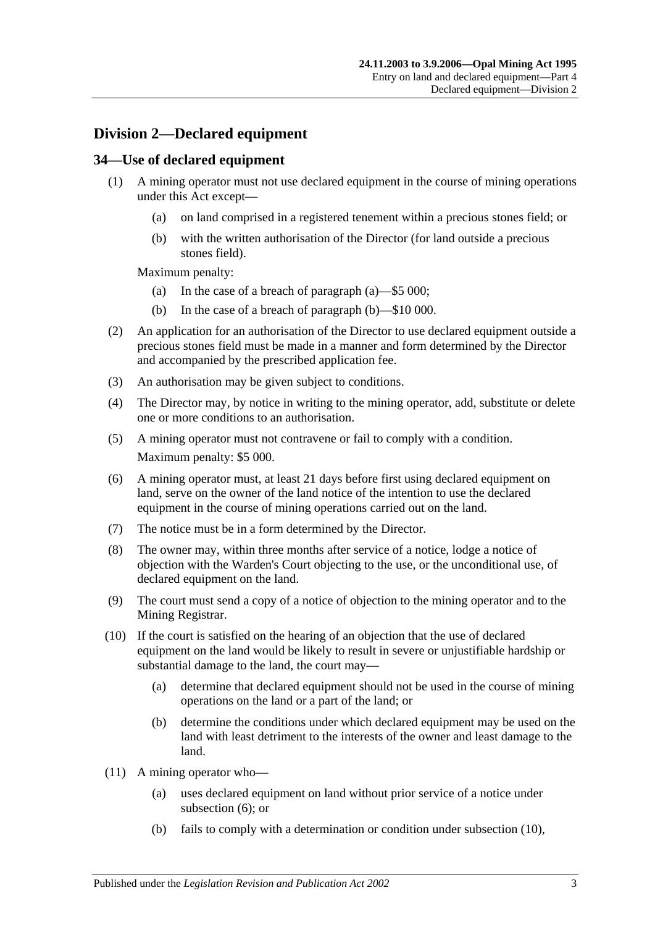### <span id="page-28-0"></span>**Division 2—Declared equipment**

### <span id="page-28-1"></span>**34—Use of declared equipment**

- <span id="page-28-3"></span><span id="page-28-2"></span>(1) A mining operator must not use declared equipment in the course of mining operations under this Act except—
	- (a) on land comprised in a registered tenement within a precious stones field; or
	- (b) with the written authorisation of the Director (for land outside a precious stones field).

Maximum penalty:

- (a) In the case of a breach of [paragraph](#page-28-2) (a)—\$5 000;
- (b) In the case of a breach of [paragraph](#page-28-3) (b)—\$10 000.
- (2) An application for an authorisation of the Director to use declared equipment outside a precious stones field must be made in a manner and form determined by the Director and accompanied by the prescribed application fee.
- (3) An authorisation may be given subject to conditions.
- (4) The Director may, by notice in writing to the mining operator, add, substitute or delete one or more conditions to an authorisation.
- (5) A mining operator must not contravene or fail to comply with a condition. Maximum penalty: \$5 000.
- <span id="page-28-4"></span>(6) A mining operator must, at least 21 days before first using declared equipment on land, serve on the owner of the land notice of the intention to use the declared equipment in the course of mining operations carried out on the land.
- (7) The notice must be in a form determined by the Director.
- (8) The owner may, within three months after service of a notice, lodge a notice of objection with the Warden's Court objecting to the use, or the unconditional use, of declared equipment on the land.
- (9) The court must send a copy of a notice of objection to the mining operator and to the Mining Registrar.
- <span id="page-28-5"></span>(10) If the court is satisfied on the hearing of an objection that the use of declared equipment on the land would be likely to result in severe or unjustifiable hardship or substantial damage to the land, the court may—
	- (a) determine that declared equipment should not be used in the course of mining operations on the land or a part of the land; or
	- (b) determine the conditions under which declared equipment may be used on the land with least detriment to the interests of the owner and least damage to the land.
- <span id="page-28-6"></span>(11) A mining operator who—
	- (a) uses declared equipment on land without prior service of a notice under [subsection](#page-28-4) (6); or
	- (b) fails to comply with a determination or condition under [subsection](#page-28-5) (10),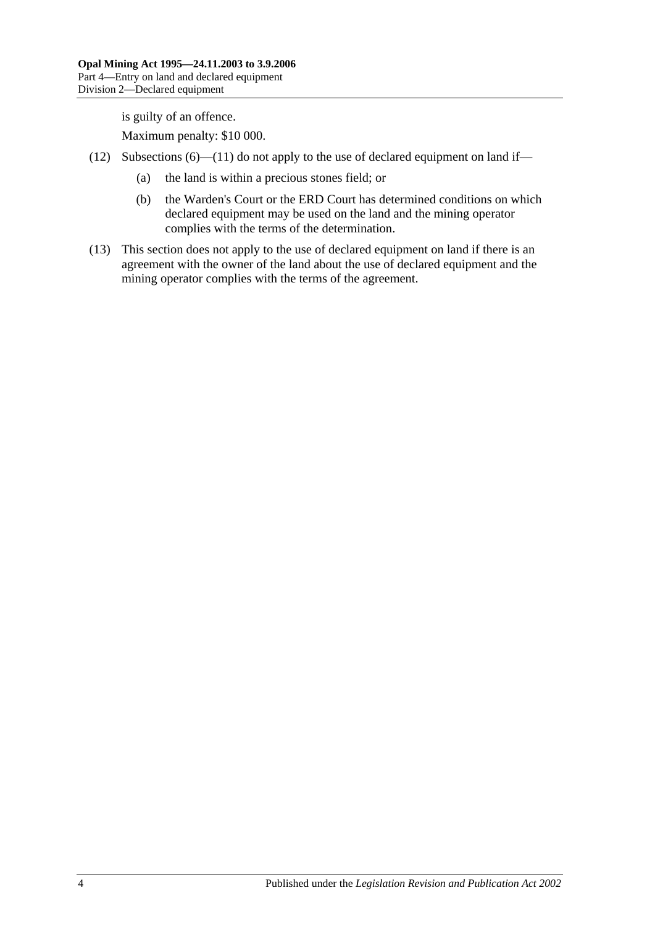is guilty of an offence.

Maximum penalty: \$10 000.

- (12) [Subsections](#page-28-4)  $(6)$ [—\(11\)](#page-28-6) do not apply to the use of declared equipment on land if—
	- (a) the land is within a precious stones field; or
	- (b) the Warden's Court or the ERD Court has determined conditions on which declared equipment may be used on the land and the mining operator complies with the terms of the determination.
- (13) This section does not apply to the use of declared equipment on land if there is an agreement with the owner of the land about the use of declared equipment and the mining operator complies with the terms of the agreement.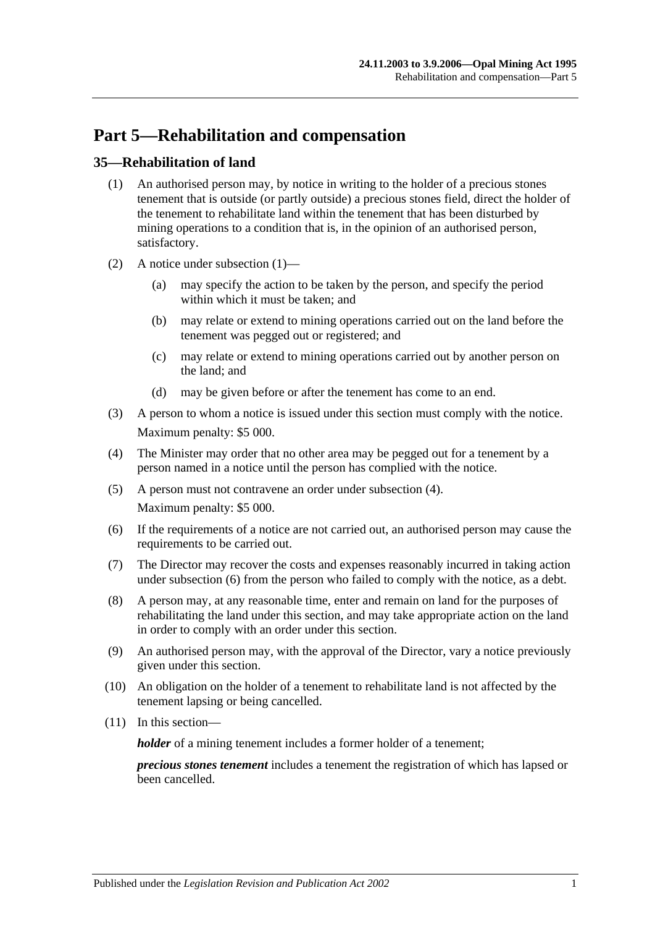## <span id="page-30-0"></span>**Part 5—Rehabilitation and compensation**

### <span id="page-30-2"></span><span id="page-30-1"></span>**35—Rehabilitation of land**

- (1) An authorised person may, by notice in writing to the holder of a precious stones tenement that is outside (or partly outside) a precious stones field, direct the holder of the tenement to rehabilitate land within the tenement that has been disturbed by mining operations to a condition that is, in the opinion of an authorised person, satisfactory.
- (2) A notice under [subsection](#page-30-2) (1)—
	- (a) may specify the action to be taken by the person, and specify the period within which it must be taken; and
	- (b) may relate or extend to mining operations carried out on the land before the tenement was pegged out or registered; and
	- (c) may relate or extend to mining operations carried out by another person on the land; and
	- (d) may be given before or after the tenement has come to an end.
- (3) A person to whom a notice is issued under this section must comply with the notice. Maximum penalty: \$5 000.
- <span id="page-30-3"></span>(4) The Minister may order that no other area may be pegged out for a tenement by a person named in a notice until the person has complied with the notice.
- (5) A person must not contravene an order under [subsection](#page-30-3) (4). Maximum penalty: \$5 000.
- <span id="page-30-4"></span>(6) If the requirements of a notice are not carried out, an authorised person may cause the requirements to be carried out.
- (7) The Director may recover the costs and expenses reasonably incurred in taking action under [subsection](#page-30-4) (6) from the person who failed to comply with the notice, as a debt.
- (8) A person may, at any reasonable time, enter and remain on land for the purposes of rehabilitating the land under this section, and may take appropriate action on the land in order to comply with an order under this section.
- (9) An authorised person may, with the approval of the Director, vary a notice previously given under this section.
- (10) An obligation on the holder of a tenement to rehabilitate land is not affected by the tenement lapsing or being cancelled.
- (11) In this section—

*holder* of a mining tenement includes a former holder of a tenement;

*precious stones tenement* includes a tenement the registration of which has lapsed or been cancelled.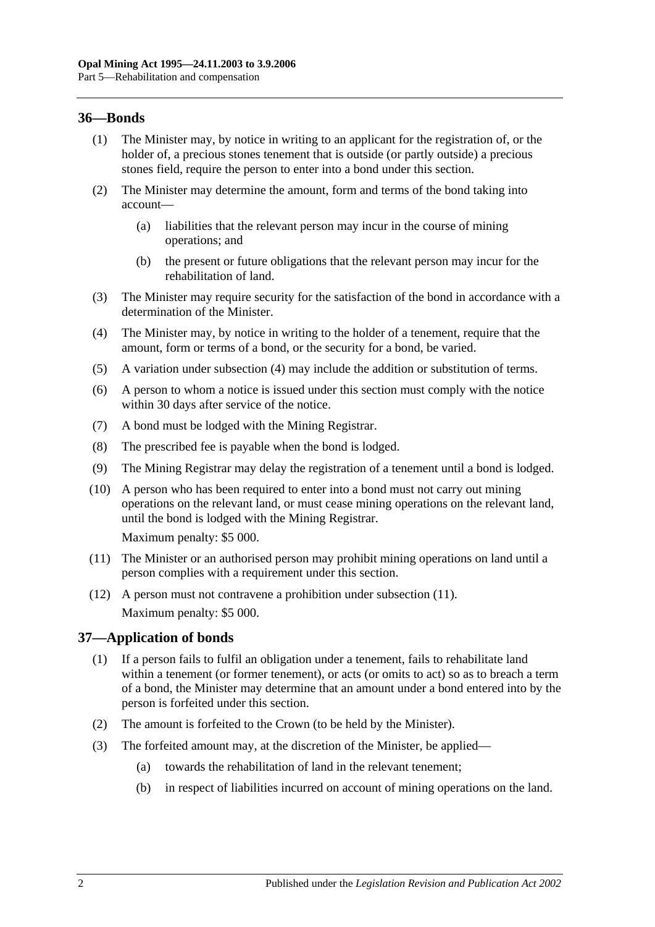### <span id="page-31-0"></span>**36—Bonds**

- (1) The Minister may, by notice in writing to an applicant for the registration of, or the holder of, a precious stones tenement that is outside (or partly outside) a precious stones field, require the person to enter into a bond under this section.
- (2) The Minister may determine the amount, form and terms of the bond taking into account—
	- (a) liabilities that the relevant person may incur in the course of mining operations; and
	- (b) the present or future obligations that the relevant person may incur for the rehabilitation of land.
- (3) The Minister may require security for the satisfaction of the bond in accordance with a determination of the Minister.
- (4) The Minister may, by notice in writing to the holder of a tenement, require that the amount, form or terms of a bond, or the security for a bond, be varied.
- (5) A variation under [subsection](#page-30-3) (4) may include the addition or substitution of terms.
- (6) A person to whom a notice is issued under this section must comply with the notice within 30 days after service of the notice.
- (7) A bond must be lodged with the Mining Registrar.
- (8) The prescribed fee is payable when the bond is lodged.
- (9) The Mining Registrar may delay the registration of a tenement until a bond is lodged.
- (10) A person who has been required to enter into a bond must not carry out mining operations on the relevant land, or must cease mining operations on the relevant land, until the bond is lodged with the Mining Registrar.

Maximum penalty: \$5 000.

- <span id="page-31-2"></span>(11) The Minister or an authorised person may prohibit mining operations on land until a person complies with a requirement under this section.
- (12) A person must not contravene a prohibition under [subsection](#page-31-2) (11). Maximum penalty: \$5 000.

### <span id="page-31-1"></span>**37—Application of bonds**

- (1) If a person fails to fulfil an obligation under a tenement, fails to rehabilitate land within a tenement (or former tenement), or acts (or omits to act) so as to breach a term of a bond, the Minister may determine that an amount under a bond entered into by the person is forfeited under this section.
- (2) The amount is forfeited to the Crown (to be held by the Minister).
- (3) The forfeited amount may, at the discretion of the Minister, be applied—
	- (a) towards the rehabilitation of land in the relevant tenement;
	- (b) in respect of liabilities incurred on account of mining operations on the land.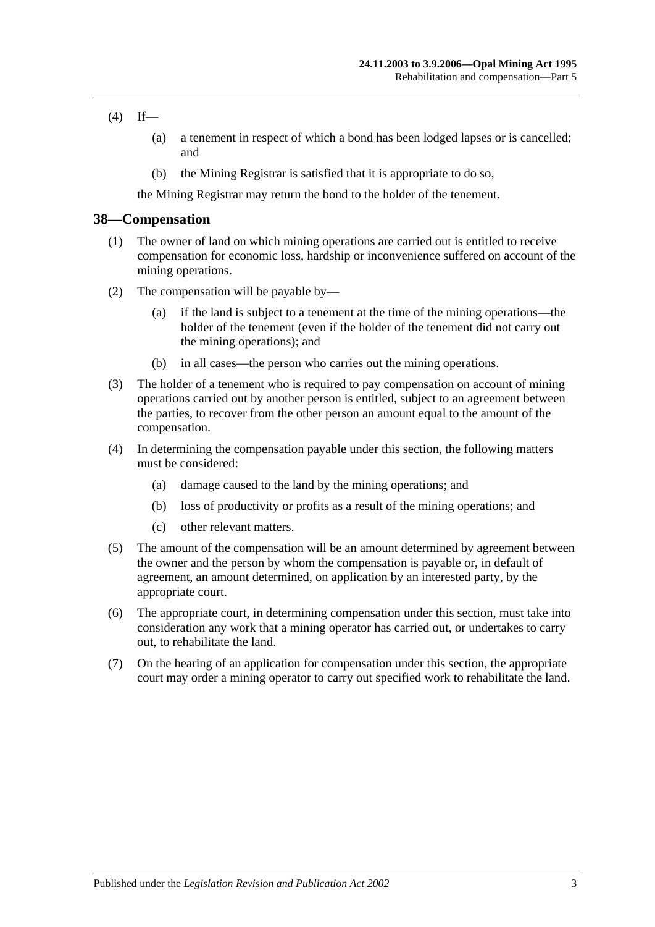### $(4)$  If—

- (a) a tenement in respect of which a bond has been lodged lapses or is cancelled; and
- (b) the Mining Registrar is satisfied that it is appropriate to do so,

the Mining Registrar may return the bond to the holder of the tenement.

### <span id="page-32-0"></span>**38—Compensation**

- (1) The owner of land on which mining operations are carried out is entitled to receive compensation for economic loss, hardship or inconvenience suffered on account of the mining operations.
- (2) The compensation will be payable by—
	- (a) if the land is subject to a tenement at the time of the mining operations—the holder of the tenement (even if the holder of the tenement did not carry out the mining operations); and
	- (b) in all cases—the person who carries out the mining operations.
- (3) The holder of a tenement who is required to pay compensation on account of mining operations carried out by another person is entitled, subject to an agreement between the parties, to recover from the other person an amount equal to the amount of the compensation.
- (4) In determining the compensation payable under this section, the following matters must be considered:
	- (a) damage caused to the land by the mining operations; and
	- (b) loss of productivity or profits as a result of the mining operations; and
	- (c) other relevant matters.
- (5) The amount of the compensation will be an amount determined by agreement between the owner and the person by whom the compensation is payable or, in default of agreement, an amount determined, on application by an interested party, by the appropriate court.
- (6) The appropriate court, in determining compensation under this section, must take into consideration any work that a mining operator has carried out, or undertakes to carry out, to rehabilitate the land.
- (7) On the hearing of an application for compensation under this section, the appropriate court may order a mining operator to carry out specified work to rehabilitate the land.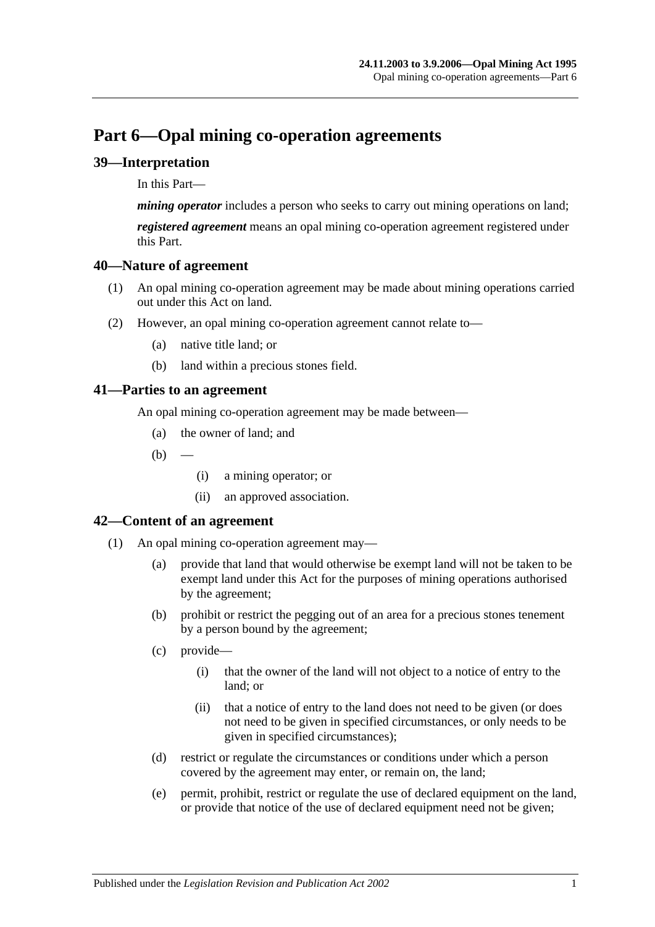## <span id="page-34-0"></span>**Part 6—Opal mining co-operation agreements**

### <span id="page-34-1"></span>**39—Interpretation**

In this Part—

*mining operator* includes a person who seeks to carry out mining operations on land;

*registered agreement* means an opal mining co-operation agreement registered under this Part.

### <span id="page-34-2"></span>**40—Nature of agreement**

- (1) An opal mining co-operation agreement may be made about mining operations carried out under this Act on land.
- (2) However, an opal mining co-operation agreement cannot relate to—
	- (a) native title land; or
	- (b) land within a precious stones field.

### <span id="page-34-3"></span>**41—Parties to an agreement**

An opal mining co-operation agreement may be made between—

- (a) the owner of land; and
- $(b)$
- (i) a mining operator; or
- (ii) an approved association.

### <span id="page-34-4"></span>**42—Content of an agreement**

- (1) An opal mining co-operation agreement may—
	- (a) provide that land that would otherwise be exempt land will not be taken to be exempt land under this Act for the purposes of mining operations authorised by the agreement;
	- (b) prohibit or restrict the pegging out of an area for a precious stones tenement by a person bound by the agreement;
	- (c) provide—
		- (i) that the owner of the land will not object to a notice of entry to the land; or
		- (ii) that a notice of entry to the land does not need to be given (or does not need to be given in specified circumstances, or only needs to be given in specified circumstances);
	- (d) restrict or regulate the circumstances or conditions under which a person covered by the agreement may enter, or remain on, the land;
	- (e) permit, prohibit, restrict or regulate the use of declared equipment on the land, or provide that notice of the use of declared equipment need not be given;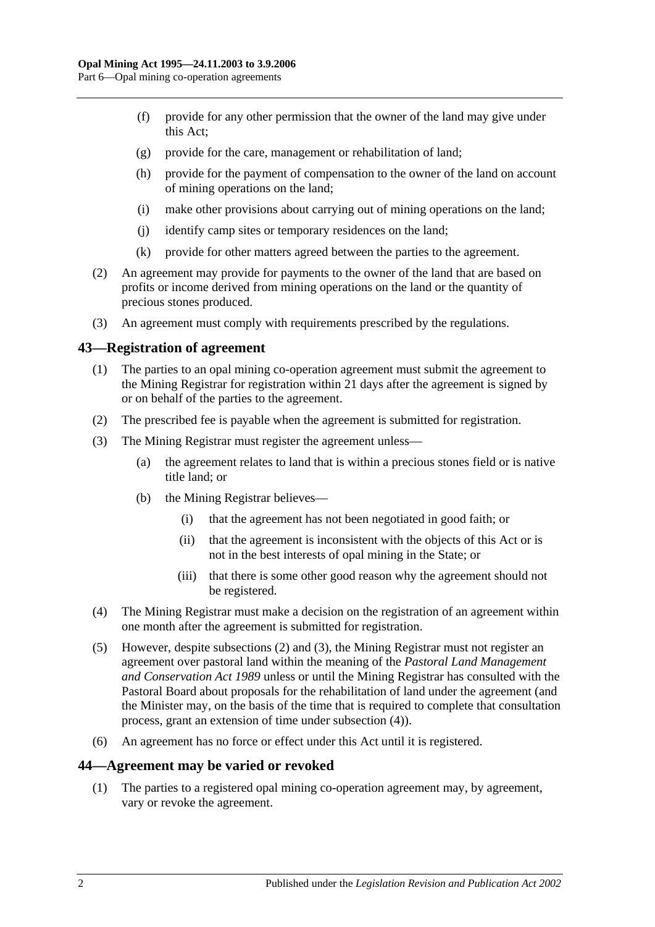- (f) provide for any other permission that the owner of the land may give under this Act;
- (g) provide for the care, management or rehabilitation of land;
- (h) provide for the payment of compensation to the owner of the land on account of mining operations on the land;
- (i) make other provisions about carrying out of mining operations on the land;
- (j) identify camp sites or temporary residences on the land;
- (k) provide for other matters agreed between the parties to the agreement.
- (2) An agreement may provide for payments to the owner of the land that are based on profits or income derived from mining operations on the land or the quantity of precious stones produced.
- (3) An agreement must comply with requirements prescribed by the regulations.

### <span id="page-35-0"></span>**43—Registration of agreement**

- (1) The parties to an opal mining co-operation agreement must submit the agreement to the Mining Registrar for registration within 21 days after the agreement is signed by or on behalf of the parties to the agreement.
- <span id="page-35-2"></span>(2) The prescribed fee is payable when the agreement is submitted for registration.
- <span id="page-35-3"></span>(3) The Mining Registrar must register the agreement unless—
	- (a) the agreement relates to land that is within a precious stones field or is native title land; or
	- (b) the Mining Registrar believes—
		- (i) that the agreement has not been negotiated in good faith; or
		- (ii) that the agreement is inconsistent with the objects of this Act or is not in the best interests of opal mining in the State; or
		- (iii) that there is some other good reason why the agreement should not be registered.
- <span id="page-35-4"></span>(4) The Mining Registrar must make a decision on the registration of an agreement within one month after the agreement is submitted for registration.
- (5) However, despite [subsections \(2\)](#page-35-2) and [\(3\),](#page-35-3) the Mining Registrar must not register an agreement over pastoral land within the meaning of the *[Pastoral Land Management](http://www.legislation.sa.gov.au/index.aspx?action=legref&type=act&legtitle=Pastoral%20Land%20Management%20and%20Conservation%20Act%201989)  [and Conservation Act](http://www.legislation.sa.gov.au/index.aspx?action=legref&type=act&legtitle=Pastoral%20Land%20Management%20and%20Conservation%20Act%201989) 1989* unless or until the Mining Registrar has consulted with the Pastoral Board about proposals for the rehabilitation of land under the agreement (and the Minister may, on the basis of the time that is required to complete that consultation process, grant an extension of time under [subsection](#page-35-4) (4)).
- (6) An agreement has no force or effect under this Act until it is registered.

### <span id="page-35-1"></span>**44—Agreement may be varied or revoked**

(1) The parties to a registered opal mining co-operation agreement may, by agreement, vary or revoke the agreement.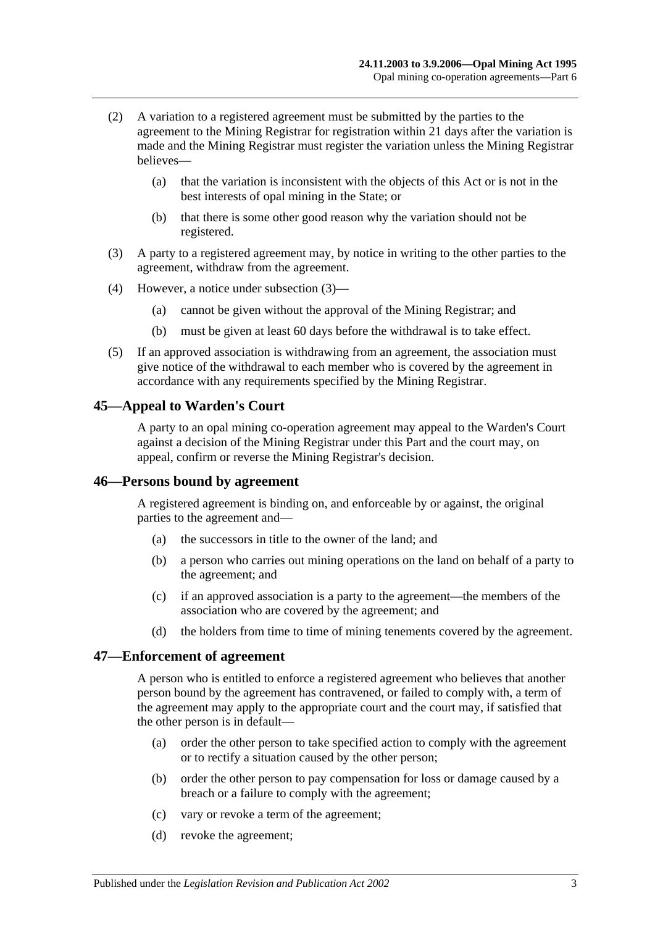- (2) A variation to a registered agreement must be submitted by the parties to the agreement to the Mining Registrar for registration within 21 days after the variation is made and the Mining Registrar must register the variation unless the Mining Registrar believes—
	- (a) that the variation is inconsistent with the objects of this Act or is not in the best interests of opal mining in the State; or
	- (b) that there is some other good reason why the variation should not be registered.
- <span id="page-36-3"></span>(3) A party to a registered agreement may, by notice in writing to the other parties to the agreement, withdraw from the agreement.
- (4) However, a notice under [subsection](#page-36-3) (3)—
	- (a) cannot be given without the approval of the Mining Registrar; and
	- (b) must be given at least 60 days before the withdrawal is to take effect.
- (5) If an approved association is withdrawing from an agreement, the association must give notice of the withdrawal to each member who is covered by the agreement in accordance with any requirements specified by the Mining Registrar.

### <span id="page-36-0"></span>**45—Appeal to Warden's Court**

A party to an opal mining co-operation agreement may appeal to the Warden's Court against a decision of the Mining Registrar under this Part and the court may, on appeal, confirm or reverse the Mining Registrar's decision.

### <span id="page-36-1"></span>**46—Persons bound by agreement**

A registered agreement is binding on, and enforceable by or against, the original parties to the agreement and—

- (a) the successors in title to the owner of the land; and
- (b) a person who carries out mining operations on the land on behalf of a party to the agreement; and
- (c) if an approved association is a party to the agreement—the members of the association who are covered by the agreement; and
- (d) the holders from time to time of mining tenements covered by the agreement.

#### <span id="page-36-2"></span>**47—Enforcement of agreement**

A person who is entitled to enforce a registered agreement who believes that another person bound by the agreement has contravened, or failed to comply with, a term of the agreement may apply to the appropriate court and the court may, if satisfied that the other person is in default—

- (a) order the other person to take specified action to comply with the agreement or to rectify a situation caused by the other person;
- (b) order the other person to pay compensation for loss or damage caused by a breach or a failure to comply with the agreement;
- (c) vary or revoke a term of the agreement;
- (d) revoke the agreement;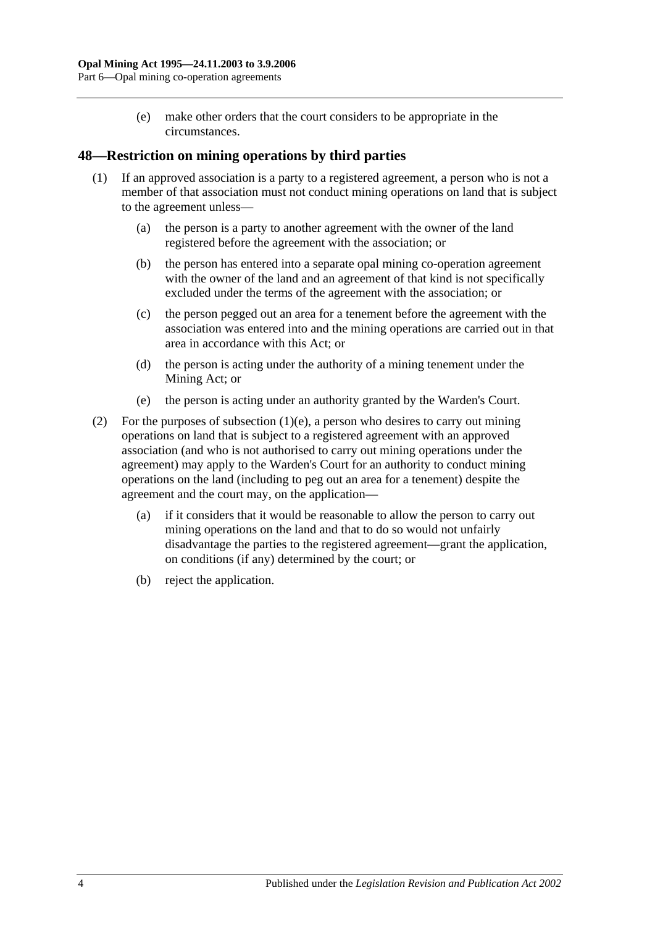(e) make other orders that the court considers to be appropriate in the circumstances.

### <span id="page-37-0"></span>**48—Restriction on mining operations by third parties**

- (1) If an approved association is a party to a registered agreement, a person who is not a member of that association must not conduct mining operations on land that is subject to the agreement unless—
	- (a) the person is a party to another agreement with the owner of the land registered before the agreement with the association; or
	- (b) the person has entered into a separate opal mining co-operation agreement with the owner of the land and an agreement of that kind is not specifically excluded under the terms of the agreement with the association; or
	- (c) the person pegged out an area for a tenement before the agreement with the association was entered into and the mining operations are carried out in that area in accordance with this Act; or
	- (d) the person is acting under the authority of a mining tenement under the Mining Act; or
	- (e) the person is acting under an authority granted by the Warden's Court.
- <span id="page-37-1"></span>(2) For the purposes of [subsection](#page-37-1)  $(1)(e)$ , a person who desires to carry out mining operations on land that is subject to a registered agreement with an approved association (and who is not authorised to carry out mining operations under the agreement) may apply to the Warden's Court for an authority to conduct mining operations on the land (including to peg out an area for a tenement) despite the agreement and the court may, on the application—
	- (a) if it considers that it would be reasonable to allow the person to carry out mining operations on the land and that to do so would not unfairly disadvantage the parties to the registered agreement—grant the application, on conditions (if any) determined by the court; or
	- (b) reject the application.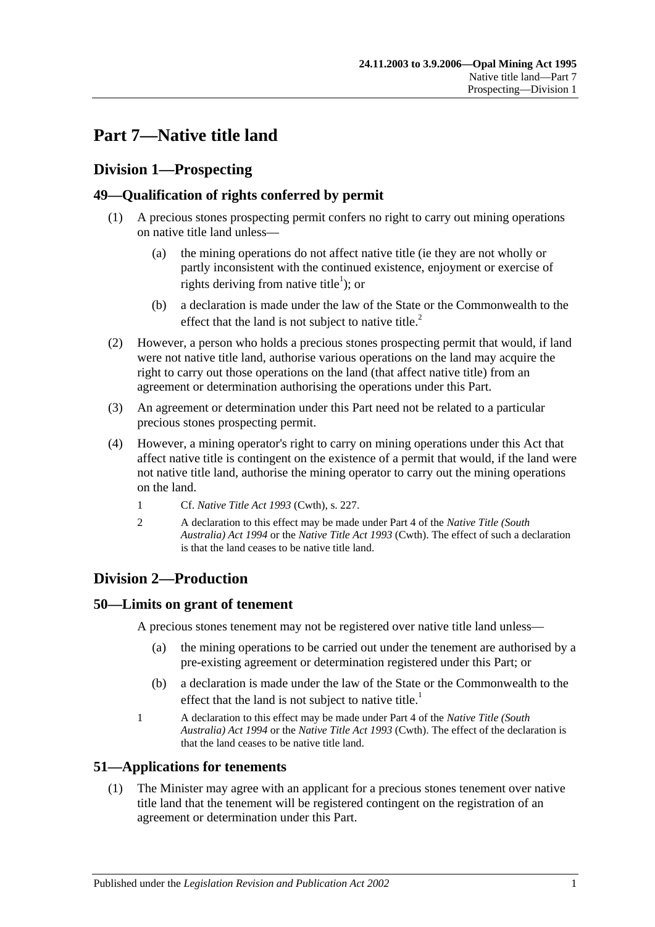## <span id="page-38-0"></span>**Part 7—Native title land**

### <span id="page-38-1"></span>**Division 1—Prospecting**

### <span id="page-38-2"></span>**49—Qualification of rights conferred by permit**

- (1) A precious stones prospecting permit confers no right to carry out mining operations on native title land unless—
	- (a) the mining operations do not affect native title (ie they are not wholly or partly inconsistent with the continued existence, enjoyment or exercise of rights deriving from native title<sup>1</sup>); or
	- (b) a declaration is made under the law of the State or the Commonwealth to the effect that the land is not subject to native title.<sup>2</sup>
- (2) However, a person who holds a precious stones prospecting permit that would, if land were not native title land, authorise various operations on the land may acquire the right to carry out those operations on the land (that affect native title) from an agreement or determination authorising the operations under this Part.
- (3) An agreement or determination under this Part need not be related to a particular precious stones prospecting permit.
- (4) However, a mining operator's right to carry on mining operations under this Act that affect native title is contingent on the existence of a permit that would, if the land were not native title land, authorise the mining operator to carry out the mining operations on the land.
	- 1 Cf. *Native Title Act 1993* (Cwth), s. 227.
	- 2 A declaration to this effect may be made under Part 4 of the *[Native Title \(South](http://www.legislation.sa.gov.au/index.aspx?action=legref&type=act&legtitle=Native%20Title%20(South%20Australia)%20Act%201994)  [Australia\) Act](http://www.legislation.sa.gov.au/index.aspx?action=legref&type=act&legtitle=Native%20Title%20(South%20Australia)%20Act%201994) 1994* or the *Native Title Act 1993* (Cwth). The effect of such a declaration is that the land ceases to be native title land.

### <span id="page-38-3"></span>**Division 2—Production**

### <span id="page-38-4"></span>**50—Limits on grant of tenement**

A precious stones tenement may not be registered over native title land unless—

- (a) the mining operations to be carried out under the tenement are authorised by a pre-existing agreement or determination registered under this Part; or
- (b) a declaration is made under the law of the State or the Commonwealth to the effect that the land is not subject to native title.<sup>1</sup>
- 1 A declaration to this effect may be made under Part 4 of the *[Native Title \(South](http://www.legislation.sa.gov.au/index.aspx?action=legref&type=act&legtitle=Native%20Title%20(South%20Australia)%20Act%201994)  [Australia\) Act](http://www.legislation.sa.gov.au/index.aspx?action=legref&type=act&legtitle=Native%20Title%20(South%20Australia)%20Act%201994) 1994* or the *Native Title Act 1993* (Cwth). The effect of the declaration is that the land ceases to be native title land.

### <span id="page-38-5"></span>**51—Applications for tenements**

(1) The Minister may agree with an applicant for a precious stones tenement over native title land that the tenement will be registered contingent on the registration of an agreement or determination under this Part.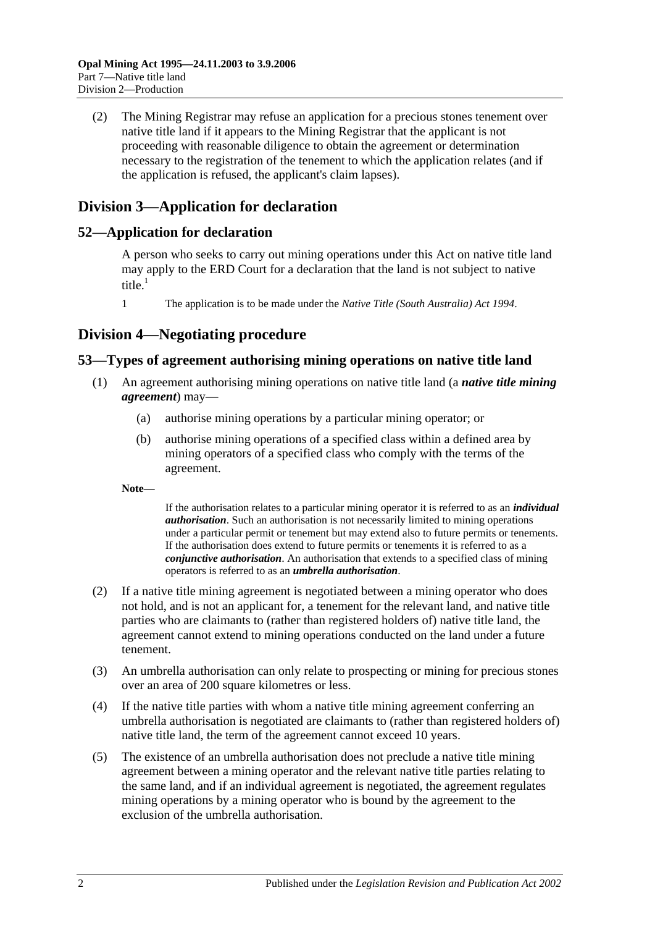(2) The Mining Registrar may refuse an application for a precious stones tenement over native title land if it appears to the Mining Registrar that the applicant is not proceeding with reasonable diligence to obtain the agreement or determination necessary to the registration of the tenement to which the application relates (and if the application is refused, the applicant's claim lapses).

## <span id="page-39-0"></span>**Division 3—Application for declaration**

### <span id="page-39-1"></span>**52—Application for declaration**

A person who seeks to carry out mining operations under this Act on native title land may apply to the ERD Court for a declaration that the land is not subject to native title $\frac{1}{1}$ 

1 The application is to be made under the *[Native Title \(South Australia\) Act](http://www.legislation.sa.gov.au/index.aspx?action=legref&type=act&legtitle=Native%20Title%20(South%20Australia)%20Act%201994) 1994*.

### <span id="page-39-2"></span>**Division 4—Negotiating procedure**

### <span id="page-39-4"></span><span id="page-39-3"></span>**53—Types of agreement authorising mining operations on native title land**

- (1) An agreement authorising mining operations on native title land (a *native title mining agreement*) may—
	- (a) authorise mining operations by a particular mining operator; or
	- (b) authorise mining operations of a specified class within a defined area by mining operators of a specified class who comply with the terms of the agreement.

**Note—**

If the authorisation relates to a particular mining operator it is referred to as an *individual authorisation*. Such an authorisation is not necessarily limited to mining operations under a particular permit or tenement but may extend also to future permits or tenements. If the authorisation does extend to future permits or tenements it is referred to as a *conjunctive authorisation*. An authorisation that extends to a specified class of mining operators is referred to as an *umbrella authorisation*.

- <span id="page-39-5"></span>(2) If a native title mining agreement is negotiated between a mining operator who does not hold, and is not an applicant for, a tenement for the relevant land, and native title parties who are claimants to (rather than registered holders of) native title land, the agreement cannot extend to mining operations conducted on the land under a future tenement.
- <span id="page-39-6"></span>(3) An umbrella authorisation can only relate to prospecting or mining for precious stones over an area of 200 square kilometres or less.
- <span id="page-39-7"></span>(4) If the native title parties with whom a native title mining agreement conferring an umbrella authorisation is negotiated are claimants to (rather than registered holders of) native title land, the term of the agreement cannot exceed 10 years.
- (5) The existence of an umbrella authorisation does not preclude a native title mining agreement between a mining operator and the relevant native title parties relating to the same land, and if an individual agreement is negotiated, the agreement regulates mining operations by a mining operator who is bound by the agreement to the exclusion of the umbrella authorisation.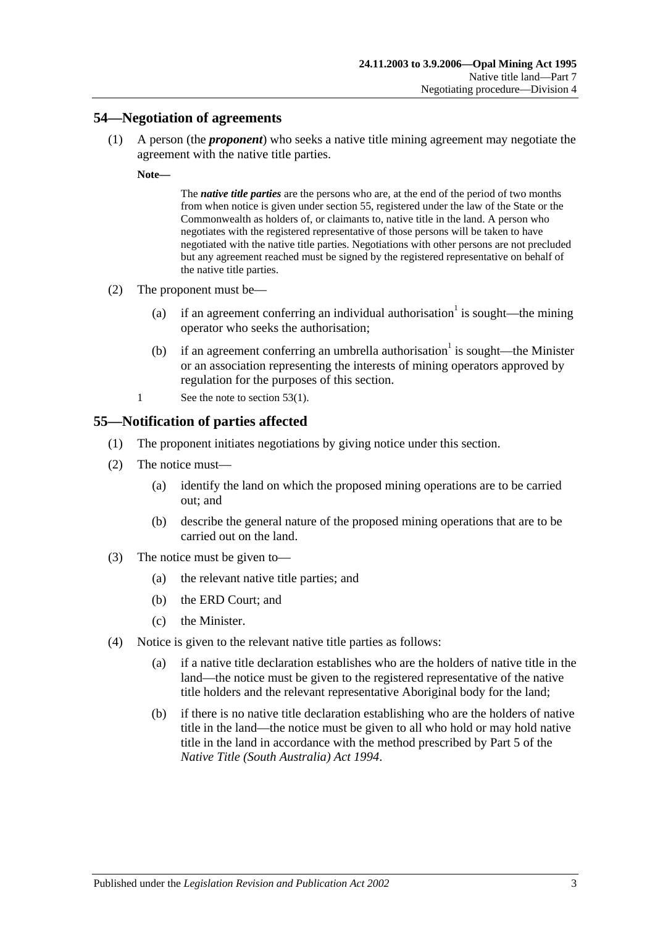### <span id="page-40-2"></span><span id="page-40-0"></span>**54—Negotiation of agreements**

(1) A person (the *proponent*) who seeks a native title mining agreement may negotiate the agreement with the native title parties.

**Note—**

The *native title parties* are the persons who are, at the end of the period of two months from when notice is given unde[r section](#page-40-1) 55, registered under the law of the State or the Commonwealth as holders of, or claimants to, native title in the land. A person who negotiates with the registered representative of those persons will be taken to have negotiated with the native title parties. Negotiations with other persons are not precluded but any agreement reached must be signed by the registered representative on behalf of the native title parties.

- (2) The proponent must be—
	- (a) if an agreement conferring an individual authorisation<sup>1</sup> is sought—the mining operator who seeks the authorisation;
	- (b) if an agreement conferring an umbrella authorisation<sup>1</sup> is sought—the Minister or an association representing the interests of mining operators approved by regulation for the purposes of this section.
	- 1 See the note to [section](#page-39-4) 53(1).

### <span id="page-40-1"></span>**55—Notification of parties affected**

- (1) The proponent initiates negotiations by giving notice under this section.
- (2) The notice must—
	- (a) identify the land on which the proposed mining operations are to be carried out; and
	- (b) describe the general nature of the proposed mining operations that are to be carried out on the land.
- (3) The notice must be given to—
	- (a) the relevant native title parties; and
	- (b) the ERD Court; and
	- (c) the Minister.
- (4) Notice is given to the relevant native title parties as follows:
	- (a) if a native title declaration establishes who are the holders of native title in the land—the notice must be given to the registered representative of the native title holders and the relevant representative Aboriginal body for the land;
	- (b) if there is no native title declaration establishing who are the holders of native title in the land—the notice must be given to all who hold or may hold native title in the land in accordance with the method prescribed by Part 5 of the *[Native Title \(South Australia\) Act](http://www.legislation.sa.gov.au/index.aspx?action=legref&type=act&legtitle=Native%20Title%20(South%20Australia)%20Act%201994) 1994*.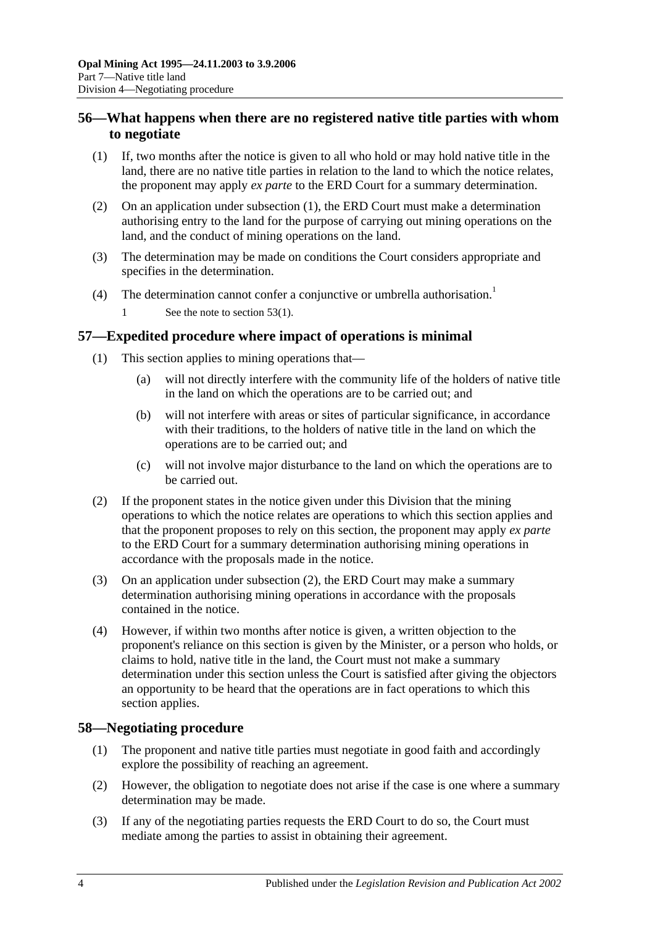### <span id="page-41-0"></span>**56—What happens when there are no registered native title parties with whom to negotiate**

- <span id="page-41-3"></span>(1) If, two months after the notice is given to all who hold or may hold native title in the land, there are no native title parties in relation to the land to which the notice relates, the proponent may apply *ex parte* to the ERD Court for a summary determination.
- (2) On an application under [subsection](#page-41-3) (1), the ERD Court must make a determination authorising entry to the land for the purpose of carrying out mining operations on the land, and the conduct of mining operations on the land.
- (3) The determination may be made on conditions the Court considers appropriate and specifies in the determination.
- (4) The determination cannot confer a conjunctive or umbrella authorisation.<sup>1</sup>
	- See the note to [section](#page-39-4)  $53(1)$ .

### <span id="page-41-1"></span>**57—Expedited procedure where impact of operations is minimal**

- (1) This section applies to mining operations that—
	- (a) will not directly interfere with the community life of the holders of native title in the land on which the operations are to be carried out; and
	- (b) will not interfere with areas or sites of particular significance, in accordance with their traditions, to the holders of native title in the land on which the operations are to be carried out; and
	- (c) will not involve major disturbance to the land on which the operations are to be carried out.
- <span id="page-41-4"></span>(2) If the proponent states in the notice given under this Division that the mining operations to which the notice relates are operations to which this section applies and that the proponent proposes to rely on this section, the proponent may apply *ex parte* to the ERD Court for a summary determination authorising mining operations in accordance with the proposals made in the notice.
- (3) On an application under [subsection](#page-41-4) (2), the ERD Court may make a summary determination authorising mining operations in accordance with the proposals contained in the notice.
- (4) However, if within two months after notice is given, a written objection to the proponent's reliance on this section is given by the Minister, or a person who holds, or claims to hold, native title in the land, the Court must not make a summary determination under this section unless the Court is satisfied after giving the objectors an opportunity to be heard that the operations are in fact operations to which this section applies.

### <span id="page-41-2"></span>**58—Negotiating procedure**

- (1) The proponent and native title parties must negotiate in good faith and accordingly explore the possibility of reaching an agreement.
- (2) However, the obligation to negotiate does not arise if the case is one where a summary determination may be made.
- (3) If any of the negotiating parties requests the ERD Court to do so, the Court must mediate among the parties to assist in obtaining their agreement.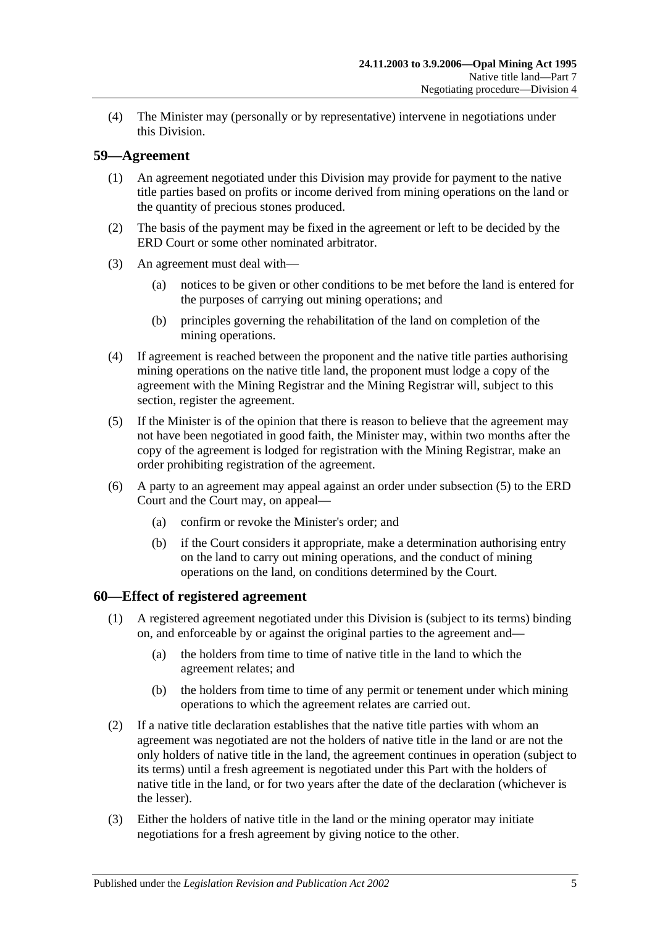(4) The Minister may (personally or by representative) intervene in negotiations under this Division.

### <span id="page-42-0"></span>**59—Agreement**

- (1) An agreement negotiated under this Division may provide for payment to the native title parties based on profits or income derived from mining operations on the land or the quantity of precious stones produced.
- (2) The basis of the payment may be fixed in the agreement or left to be decided by the ERD Court or some other nominated arbitrator.
- (3) An agreement must deal with—
	- (a) notices to be given or other conditions to be met before the land is entered for the purposes of carrying out mining operations; and
	- (b) principles governing the rehabilitation of the land on completion of the mining operations.
- (4) If agreement is reached between the proponent and the native title parties authorising mining operations on the native title land, the proponent must lodge a copy of the agreement with the Mining Registrar and the Mining Registrar will, subject to this section, register the agreement.
- <span id="page-42-2"></span>(5) If the Minister is of the opinion that there is reason to believe that the agreement may not have been negotiated in good faith, the Minister may, within two months after the copy of the agreement is lodged for registration with the Mining Registrar, make an order prohibiting registration of the agreement.
- (6) A party to an agreement may appeal against an order under [subsection](#page-42-2) (5) to the ERD Court and the Court may, on appeal—
	- (a) confirm or revoke the Minister's order; and
	- (b) if the Court considers it appropriate, make a determination authorising entry on the land to carry out mining operations, and the conduct of mining operations on the land, on conditions determined by the Court.

### <span id="page-42-1"></span>**60—Effect of registered agreement**

- (1) A registered agreement negotiated under this Division is (subject to its terms) binding on, and enforceable by or against the original parties to the agreement and—
	- (a) the holders from time to time of native title in the land to which the agreement relates; and
	- (b) the holders from time to time of any permit or tenement under which mining operations to which the agreement relates are carried out.
- (2) If a native title declaration establishes that the native title parties with whom an agreement was negotiated are not the holders of native title in the land or are not the only holders of native title in the land, the agreement continues in operation (subject to its terms) until a fresh agreement is negotiated under this Part with the holders of native title in the land, or for two years after the date of the declaration (whichever is the lesser).
- (3) Either the holders of native title in the land or the mining operator may initiate negotiations for a fresh agreement by giving notice to the other.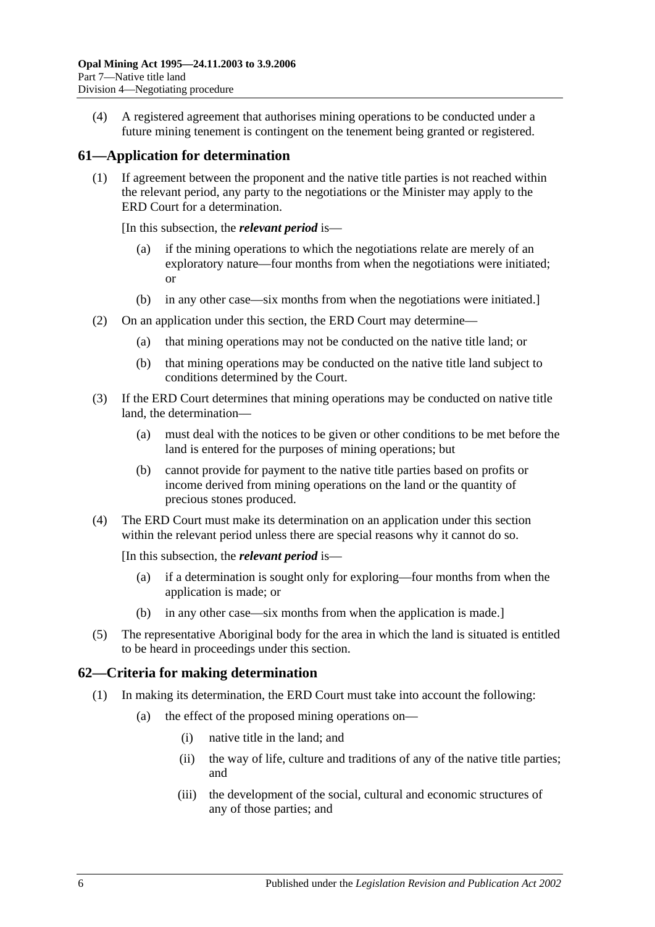(4) A registered agreement that authorises mining operations to be conducted under a future mining tenement is contingent on the tenement being granted or registered.

### <span id="page-43-0"></span>**61—Application for determination**

(1) If agreement between the proponent and the native title parties is not reached within the relevant period, any party to the negotiations or the Minister may apply to the ERD Court for a determination.

[In this subsection, the *relevant period* is—

- (a) if the mining operations to which the negotiations relate are merely of an exploratory nature—four months from when the negotiations were initiated; or
- (b) in any other case—six months from when the negotiations were initiated.]
- (2) On an application under this section, the ERD Court may determine—
	- (a) that mining operations may not be conducted on the native title land; or
	- (b) that mining operations may be conducted on the native title land subject to conditions determined by the Court.
- (3) If the ERD Court determines that mining operations may be conducted on native title land, the determination—
	- (a) must deal with the notices to be given or other conditions to be met before the land is entered for the purposes of mining operations; but
	- (b) cannot provide for payment to the native title parties based on profits or income derived from mining operations on the land or the quantity of precious stones produced.
- (4) The ERD Court must make its determination on an application under this section within the relevant period unless there are special reasons why it cannot do so.

[In this subsection, the *relevant period* is—

- (a) if a determination is sought only for exploring—four months from when the application is made; or
- (b) in any other case—six months from when the application is made.]
- (5) The representative Aboriginal body for the area in which the land is situated is entitled to be heard in proceedings under this section.

### <span id="page-43-1"></span>**62—Criteria for making determination**

- (1) In making its determination, the ERD Court must take into account the following:
	- (a) the effect of the proposed mining operations on—
		- (i) native title in the land; and
		- (ii) the way of life, culture and traditions of any of the native title parties; and
		- (iii) the development of the social, cultural and economic structures of any of those parties; and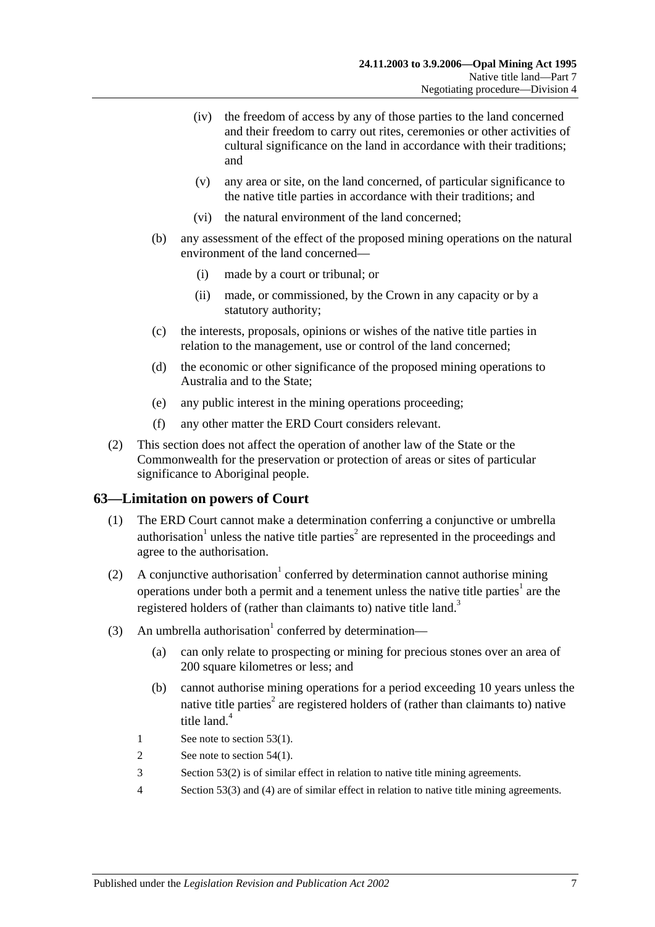- (iv) the freedom of access by any of those parties to the land concerned and their freedom to carry out rites, ceremonies or other activities of cultural significance on the land in accordance with their traditions; and
- (v) any area or site, on the land concerned, of particular significance to the native title parties in accordance with their traditions; and
- (vi) the natural environment of the land concerned;
- (b) any assessment of the effect of the proposed mining operations on the natural environment of the land concerned—
	- (i) made by a court or tribunal; or
	- (ii) made, or commissioned, by the Crown in any capacity or by a statutory authority;
- (c) the interests, proposals, opinions or wishes of the native title parties in relation to the management, use or control of the land concerned;
- (d) the economic or other significance of the proposed mining operations to Australia and to the State;
- (e) any public interest in the mining operations proceeding;
- (f) any other matter the ERD Court considers relevant.
- (2) This section does not affect the operation of another law of the State or the Commonwealth for the preservation or protection of areas or sites of particular significance to Aboriginal people.

### <span id="page-44-0"></span>**63—Limitation on powers of Court**

- (1) The ERD Court cannot make a determination conferring a conjunctive or umbrella authorisation<sup>1</sup> unless the native title parties<sup>2</sup> are represented in the proceedings and agree to the authorisation.
- (2) A conjunctive authorisation<sup>1</sup> conferred by determination cannot authorise mining operations under both a permit and a tenement unless the native title parties<sup>1</sup> are the registered holders of (rather than claimants to) native title land.<sup>3</sup>
- (3) An umbrella authorisation<sup>1</sup> conferred by determination—
	- (a) can only relate to prospecting or mining for precious stones over an area of 200 square kilometres or less; and
	- (b) cannot authorise mining operations for a period exceeding 10 years unless the native title parties<sup>2</sup> are registered holders of (rather than claimants to) native title land<sup>4</sup>
	- 1 See note to [section](#page-39-4) 53(1).
	- 2 See note to [section](#page-40-2) 54(1).
	- 3 [Section](#page-39-5) 53(2) is of similar effect in relation to native title mining agreements.
	- 4 [Section](#page-39-6) 53(3) and [\(4\)](#page-39-7) are of similar effect in relation to native title mining agreements.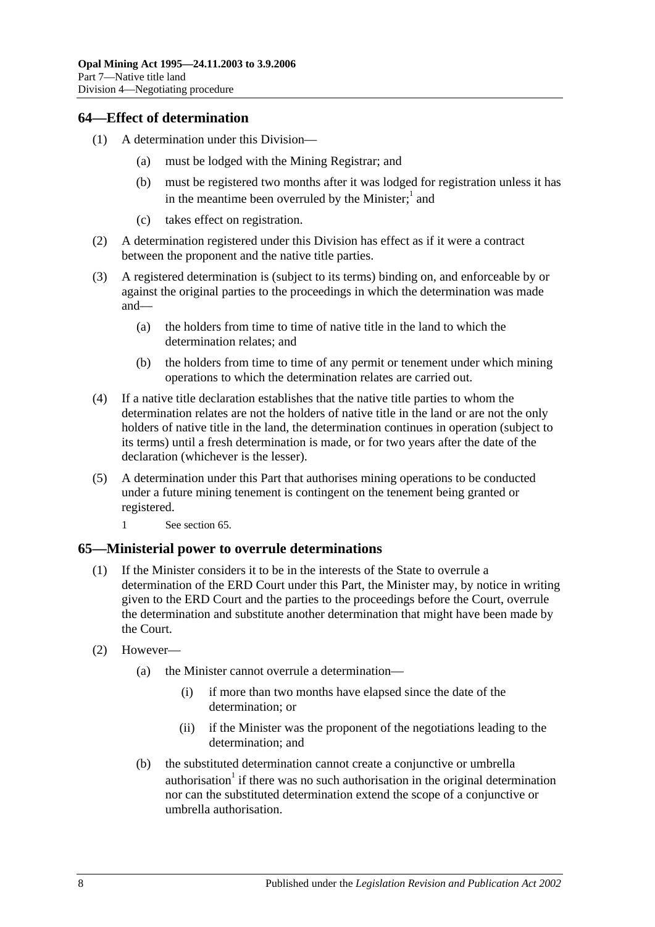### <span id="page-45-0"></span>**64—Effect of determination**

- (1) A determination under this Division—
	- (a) must be lodged with the Mining Registrar; and
	- (b) must be registered two months after it was lodged for registration unless it has in the meantime been overruled by the Minister: $<sup>1</sup>$  and</sup>
	- (c) takes effect on registration.
- (2) A determination registered under this Division has effect as if it were a contract between the proponent and the native title parties.
- (3) A registered determination is (subject to its terms) binding on, and enforceable by or against the original parties to the proceedings in which the determination was made and—
	- (a) the holders from time to time of native title in the land to which the determination relates; and
	- (b) the holders from time to time of any permit or tenement under which mining operations to which the determination relates are carried out.
- (4) If a native title declaration establishes that the native title parties to whom the determination relates are not the holders of native title in the land or are not the only holders of native title in the land, the determination continues in operation (subject to its terms) until a fresh determination is made, or for two years after the date of the declaration (whichever is the lesser).
- (5) A determination under this Part that authorises mining operations to be conducted under a future mining tenement is contingent on the tenement being granted or registered.
	- 1 See [section](#page-45-1) 65.

### <span id="page-45-1"></span>**65—Ministerial power to overrule determinations**

- (1) If the Minister considers it to be in the interests of the State to overrule a determination of the ERD Court under this Part, the Minister may, by notice in writing given to the ERD Court and the parties to the proceedings before the Court, overrule the determination and substitute another determination that might have been made by the Court.
- (2) However—
	- (a) the Minister cannot overrule a determination—
		- (i) if more than two months have elapsed since the date of the determination; or
		- (ii) if the Minister was the proponent of the negotiations leading to the determination; and
	- (b) the substituted determination cannot create a conjunctive or umbrella authorisation<sup>1</sup> if there was no such authorisation in the original determination nor can the substituted determination extend the scope of a conjunctive or umbrella authorisation.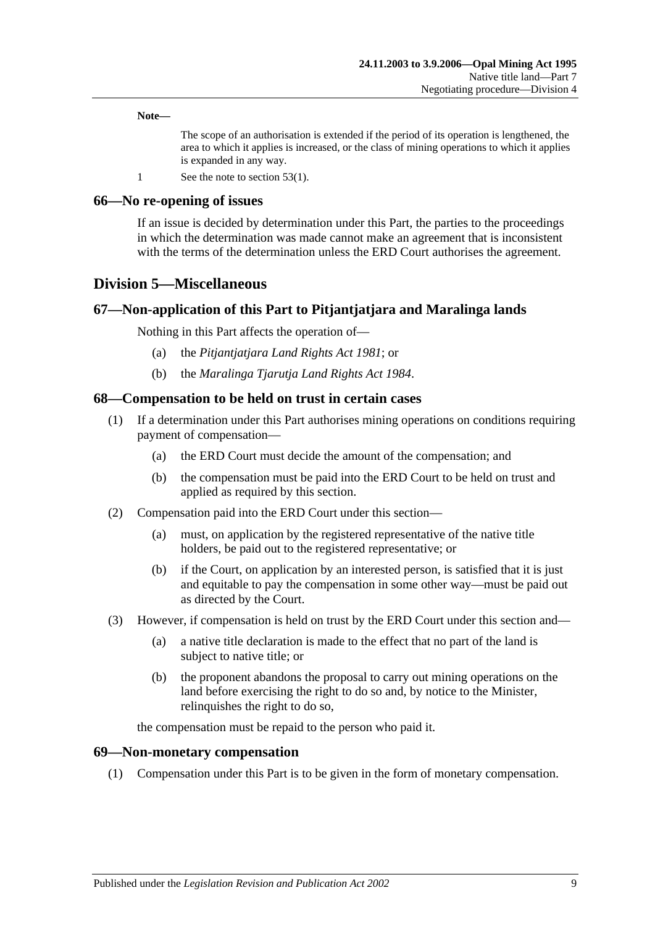**Note—**

The scope of an authorisation is extended if the period of its operation is lengthened, the area to which it applies is increased, or the class of mining operations to which it applies is expanded in any way.

1 See the note to [section](#page-39-4) 53(1).

#### <span id="page-46-0"></span>**66—No re-opening of issues**

If an issue is decided by determination under this Part, the parties to the proceedings in which the determination was made cannot make an agreement that is inconsistent with the terms of the determination unless the ERD Court authorises the agreement.

### <span id="page-46-1"></span>**Division 5—Miscellaneous**

### <span id="page-46-2"></span>**67—Non-application of this Part to Pitjantjatjara and Maralinga lands**

Nothing in this Part affects the operation of—

- (a) the *[Pitjantjatjara Land Rights Act](http://www.legislation.sa.gov.au/index.aspx?action=legref&type=act&legtitle=Pitjantjatjara%20Land%20Rights%20Act%201981) 1981*; or
- (b) the *[Maralinga Tjarutja Land Rights Act](http://www.legislation.sa.gov.au/index.aspx?action=legref&type=act&legtitle=Maralinga%20Tjarutja%20Land%20Rights%20Act%201984) 1984*.

### <span id="page-46-3"></span>**68—Compensation to be held on trust in certain cases**

- (1) If a determination under this Part authorises mining operations on conditions requiring payment of compensation—
	- (a) the ERD Court must decide the amount of the compensation; and
	- (b) the compensation must be paid into the ERD Court to be held on trust and applied as required by this section.
- (2) Compensation paid into the ERD Court under this section—
	- (a) must, on application by the registered representative of the native title holders, be paid out to the registered representative; or
	- (b) if the Court, on application by an interested person, is satisfied that it is just and equitable to pay the compensation in some other way—must be paid out as directed by the Court.
- (3) However, if compensation is held on trust by the ERD Court under this section and—
	- (a) a native title declaration is made to the effect that no part of the land is subject to native title; or
	- (b) the proponent abandons the proposal to carry out mining operations on the land before exercising the right to do so and, by notice to the Minister, relinquishes the right to do so,

the compensation must be repaid to the person who paid it.

#### <span id="page-46-4"></span>**69—Non-monetary compensation**

(1) Compensation under this Part is to be given in the form of monetary compensation.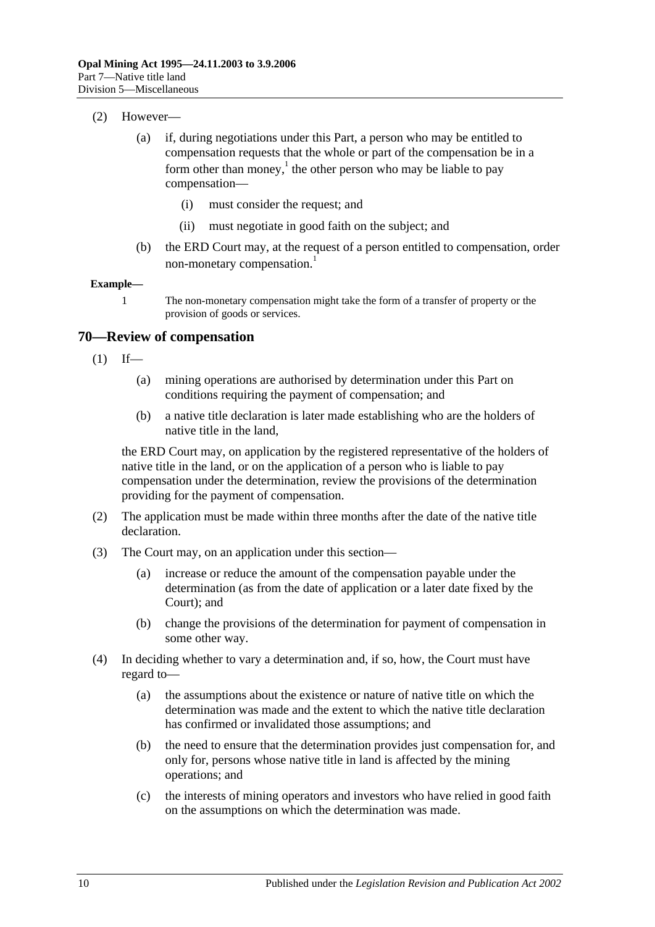- (2) However—
	- (a) if, during negotiations under this Part, a person who may be entitled to compensation requests that the whole or part of the compensation be in a form other than money,<sup>1</sup> the other person who may be liable to pay compensation—
		- (i) must consider the request; and
		- (ii) must negotiate in good faith on the subject; and
	- (b) the ERD Court may, at the request of a person entitled to compensation, order non-monetary compensation.<sup>1</sup>

#### **Example—**

1 The non-monetary compensation might take the form of a transfer of property or the provision of goods or services.

#### <span id="page-47-0"></span>**70—Review of compensation**

- $(1)$  If—
	- (a) mining operations are authorised by determination under this Part on conditions requiring the payment of compensation; and
	- (b) a native title declaration is later made establishing who are the holders of native title in the land,

the ERD Court may, on application by the registered representative of the holders of native title in the land, or on the application of a person who is liable to pay compensation under the determination, review the provisions of the determination providing for the payment of compensation.

- (2) The application must be made within three months after the date of the native title declaration.
- (3) The Court may, on an application under this section—
	- (a) increase or reduce the amount of the compensation payable under the determination (as from the date of application or a later date fixed by the Court); and
	- (b) change the provisions of the determination for payment of compensation in some other way.
- (4) In deciding whether to vary a determination and, if so, how, the Court must have regard to—
	- (a) the assumptions about the existence or nature of native title on which the determination was made and the extent to which the native title declaration has confirmed or invalidated those assumptions; and
	- (b) the need to ensure that the determination provides just compensation for, and only for, persons whose native title in land is affected by the mining operations; and
	- (c) the interests of mining operators and investors who have relied in good faith on the assumptions on which the determination was made.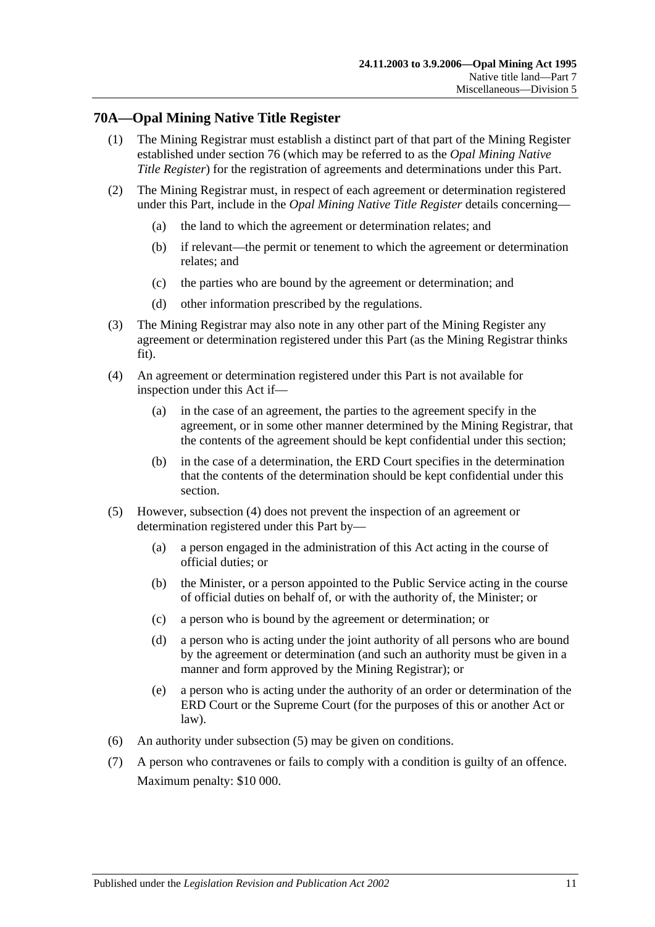### <span id="page-48-0"></span>**70A—Opal Mining Native Title Register**

- (1) The Mining Registrar must establish a distinct part of that part of the Mining Register established under [section](#page-54-1) 76 (which may be referred to as the *Opal Mining Native Title Register*) for the registration of agreements and determinations under this Part.
- (2) The Mining Registrar must, in respect of each agreement or determination registered under this Part, include in the *Opal Mining Native Title Register* details concerning—
	- (a) the land to which the agreement or determination relates; and
	- (b) if relevant—the permit or tenement to which the agreement or determination relates; and
	- (c) the parties who are bound by the agreement or determination; and
	- (d) other information prescribed by the regulations.
- (3) The Mining Registrar may also note in any other part of the Mining Register any agreement or determination registered under this Part (as the Mining Registrar thinks fit).
- <span id="page-48-1"></span>(4) An agreement or determination registered under this Part is not available for inspection under this Act if—
	- (a) in the case of an agreement, the parties to the agreement specify in the agreement, or in some other manner determined by the Mining Registrar, that the contents of the agreement should be kept confidential under this section;
	- (b) in the case of a determination, the ERD Court specifies in the determination that the contents of the determination should be kept confidential under this section.
- <span id="page-48-2"></span>(5) However, [subsection](#page-48-1) (4) does not prevent the inspection of an agreement or determination registered under this Part by—
	- (a) a person engaged in the administration of this Act acting in the course of official duties; or
	- (b) the Minister, or a person appointed to the Public Service acting in the course of official duties on behalf of, or with the authority of, the Minister; or
	- (c) a person who is bound by the agreement or determination; or
	- (d) a person who is acting under the joint authority of all persons who are bound by the agreement or determination (and such an authority must be given in a manner and form approved by the Mining Registrar); or
	- (e) a person who is acting under the authority of an order or determination of the ERD Court or the Supreme Court (for the purposes of this or another Act or law).
- (6) An authority under [subsection](#page-48-2) (5) may be given on conditions.
- (7) A person who contravenes or fails to comply with a condition is guilty of an offence. Maximum penalty: \$10 000.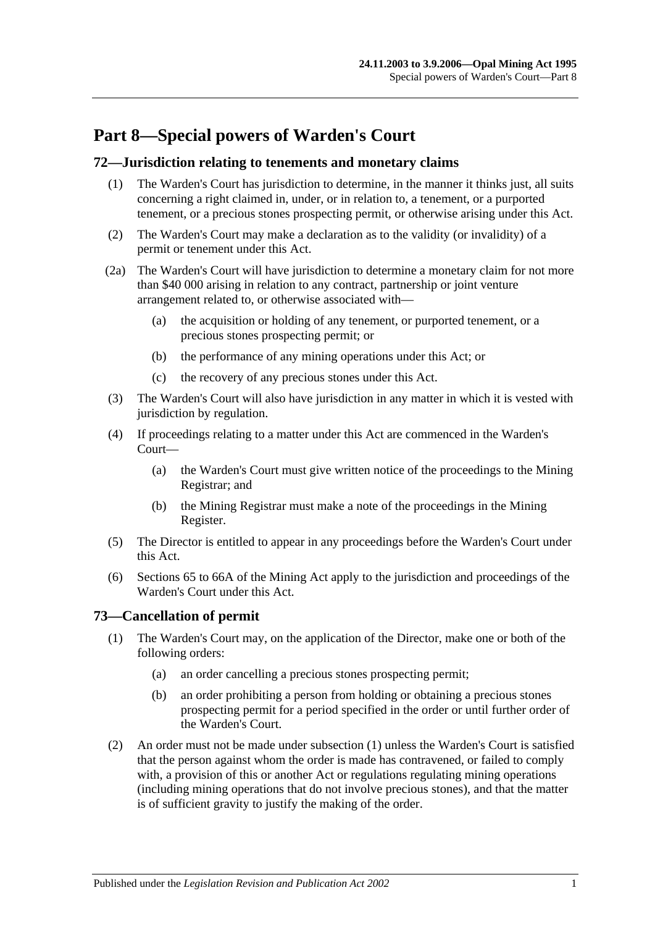## <span id="page-50-0"></span>**Part 8—Special powers of Warden's Court**

### <span id="page-50-1"></span>**72—Jurisdiction relating to tenements and monetary claims**

- (1) The Warden's Court has jurisdiction to determine, in the manner it thinks just, all suits concerning a right claimed in, under, or in relation to, a tenement, or a purported tenement, or a precious stones prospecting permit, or otherwise arising under this Act.
- (2) The Warden's Court may make a declaration as to the validity (or invalidity) of a permit or tenement under this Act.
- (2a) The Warden's Court will have jurisdiction to determine a monetary claim for not more than \$40 000 arising in relation to any contract, partnership or joint venture arrangement related to, or otherwise associated with—
	- (a) the acquisition or holding of any tenement, or purported tenement, or a precious stones prospecting permit; or
	- (b) the performance of any mining operations under this Act; or
	- (c) the recovery of any precious stones under this Act.
- (3) The Warden's Court will also have jurisdiction in any matter in which it is vested with jurisdiction by regulation.
- (4) If proceedings relating to a matter under this Act are commenced in the Warden's Court—
	- (a) the Warden's Court must give written notice of the proceedings to the Mining Registrar; and
	- (b) the Mining Registrar must make a note of the proceedings in the Mining Register.
- (5) The Director is entitled to appear in any proceedings before the Warden's Court under this Act.
- (6) Sections 65 to 66A of the Mining Act apply to the jurisdiction and proceedings of the Warden's Court under this Act.

### <span id="page-50-3"></span><span id="page-50-2"></span>**73—Cancellation of permit**

- (1) The Warden's Court may, on the application of the Director, make one or both of the following orders:
	- (a) an order cancelling a precious stones prospecting permit;
	- (b) an order prohibiting a person from holding or obtaining a precious stones prospecting permit for a period specified in the order or until further order of the Warden's Court.
- (2) An order must not be made under [subsection](#page-50-3) (1) unless the Warden's Court is satisfied that the person against whom the order is made has contravened, or failed to comply with, a provision of this or another Act or regulations regulating mining operations (including mining operations that do not involve precious stones), and that the matter is of sufficient gravity to justify the making of the order.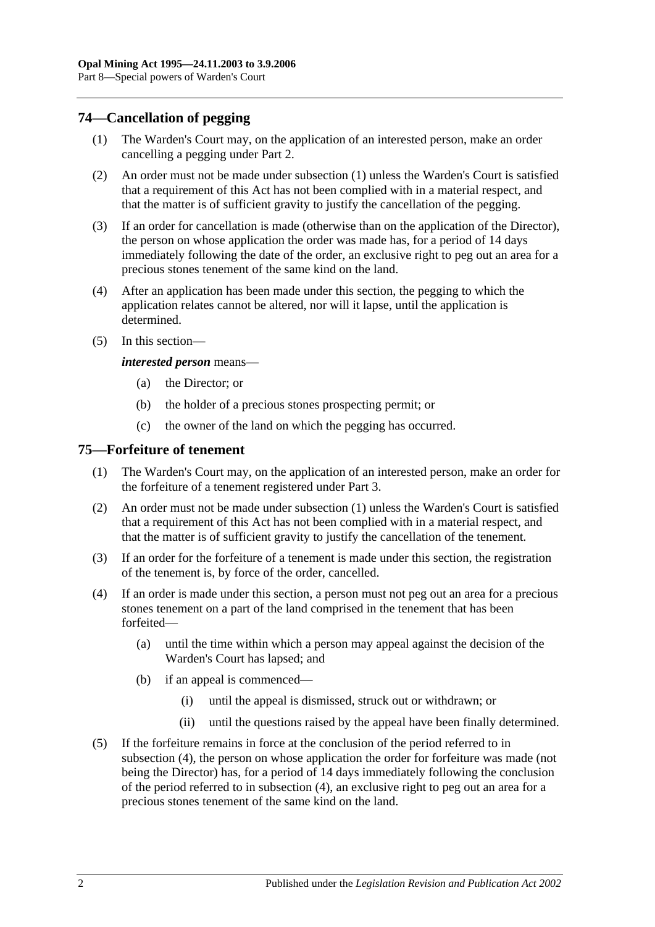### <span id="page-51-2"></span><span id="page-51-0"></span>**74—Cancellation of pegging**

- (1) The Warden's Court may, on the application of an interested person, make an order cancelling a pegging under [Part 2.](#page-10-0)
- (2) An order must not be made under [subsection](#page-51-2) (1) unless the Warden's Court is satisfied that a requirement of this Act has not been complied with in a material respect, and that the matter is of sufficient gravity to justify the cancellation of the pegging.
- (3) If an order for cancellation is made (otherwise than on the application of the Director), the person on whose application the order was made has, for a period of 14 days immediately following the date of the order, an exclusive right to peg out an area for a precious stones tenement of the same kind on the land.
- (4) After an application has been made under this section, the pegging to which the application relates cannot be altered, nor will it lapse, until the application is determined.
- (5) In this section—

#### *interested person* means—

- (a) the Director; or
- (b) the holder of a precious stones prospecting permit; or
- (c) the owner of the land on which the pegging has occurred.

### <span id="page-51-3"></span><span id="page-51-1"></span>**75—Forfeiture of tenement**

- (1) The Warden's Court may, on the application of an interested person, make an order for the forfeiture of a tenement registered under [Part 3.](#page-18-0)
- (2) An order must not be made under [subsection](#page-51-3) (1) unless the Warden's Court is satisfied that a requirement of this Act has not been complied with in a material respect, and that the matter is of sufficient gravity to justify the cancellation of the tenement.
- (3) If an order for the forfeiture of a tenement is made under this section, the registration of the tenement is, by force of the order, cancelled.
- <span id="page-51-4"></span>(4) If an order is made under this section, a person must not peg out an area for a precious stones tenement on a part of the land comprised in the tenement that has been forfeited—
	- (a) until the time within which a person may appeal against the decision of the Warden's Court has lapsed; and
	- (b) if an appeal is commenced—
		- (i) until the appeal is dismissed, struck out or withdrawn; or
		- (ii) until the questions raised by the appeal have been finally determined.
- (5) If the forfeiture remains in force at the conclusion of the period referred to in [subsection](#page-51-4) (4), the person on whose application the order for forfeiture was made (not being the Director) has, for a period of 14 days immediately following the conclusion of the period referred to in [subsection](#page-51-4) (4), an exclusive right to peg out an area for a precious stones tenement of the same kind on the land.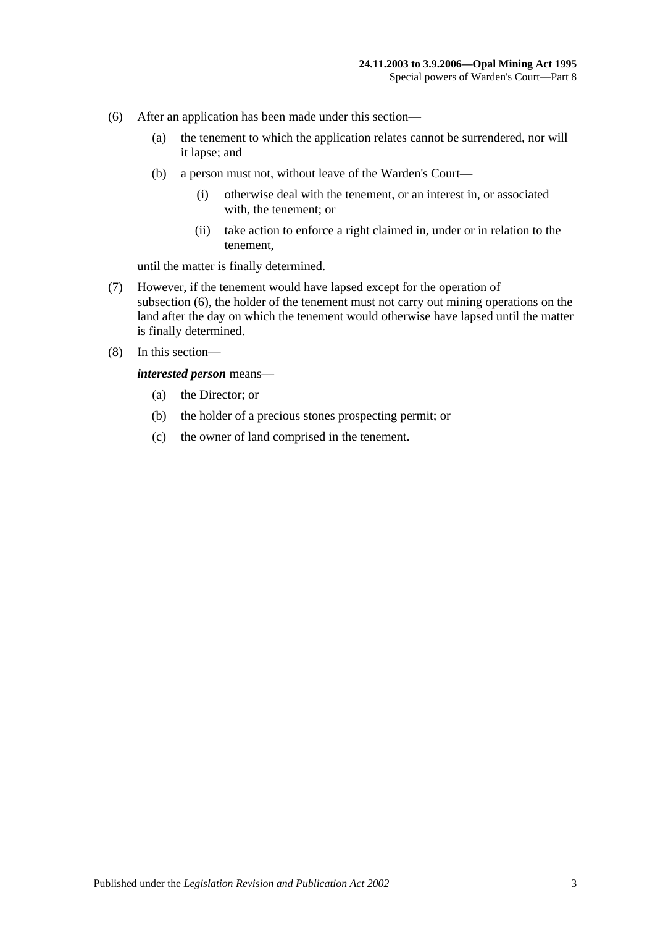- <span id="page-52-0"></span>(6) After an application has been made under this section—
	- (a) the tenement to which the application relates cannot be surrendered, nor will it lapse; and
	- (b) a person must not, without leave of the Warden's Court—
		- (i) otherwise deal with the tenement, or an interest in, or associated with, the tenement; or
		- (ii) take action to enforce a right claimed in, under or in relation to the tenement,

until the matter is finally determined.

- (7) However, if the tenement would have lapsed except for the operation of [subsection](#page-52-0) (6), the holder of the tenement must not carry out mining operations on the land after the day on which the tenement would otherwise have lapsed until the matter is finally determined.
- (8) In this section—

*interested person* means—

- (a) the Director; or
- (b) the holder of a precious stones prospecting permit; or
- (c) the owner of land comprised in the tenement.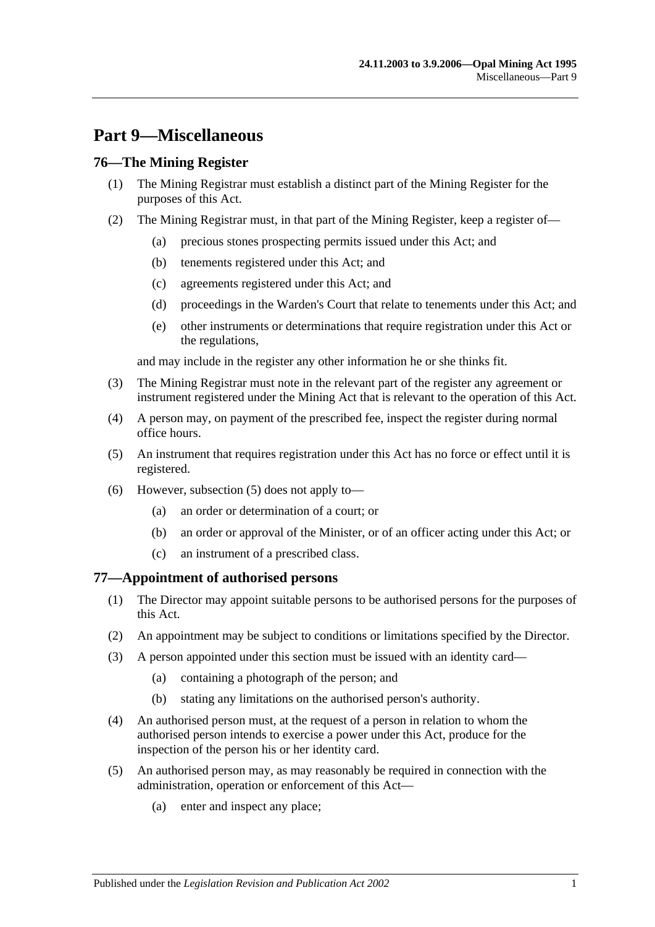## <span id="page-54-0"></span>**Part 9—Miscellaneous**

### <span id="page-54-1"></span>**76—The Mining Register**

- (1) The Mining Registrar must establish a distinct part of the Mining Register for the purposes of this Act.
- (2) The Mining Registrar must, in that part of the Mining Register, keep a register of—
	- (a) precious stones prospecting permits issued under this Act; and
	- (b) tenements registered under this Act; and
	- (c) agreements registered under this Act; and
	- (d) proceedings in the Warden's Court that relate to tenements under this Act; and
	- (e) other instruments or determinations that require registration under this Act or the regulations,

and may include in the register any other information he or she thinks fit.

- (3) The Mining Registrar must note in the relevant part of the register any agreement or instrument registered under the Mining Act that is relevant to the operation of this Act.
- (4) A person may, on payment of the prescribed fee, inspect the register during normal office hours.
- <span id="page-54-3"></span>(5) An instrument that requires registration under this Act has no force or effect until it is registered.
- (6) However, [subsection](#page-54-3) (5) does not apply to—
	- (a) an order or determination of a court; or
	- (b) an order or approval of the Minister, or of an officer acting under this Act; or
	- (c) an instrument of a prescribed class.

### <span id="page-54-2"></span>**77—Appointment of authorised persons**

- (1) The Director may appoint suitable persons to be authorised persons for the purposes of this Act.
- (2) An appointment may be subject to conditions or limitations specified by the Director.
- (3) A person appointed under this section must be issued with an identity card—
	- (a) containing a photograph of the person; and
	- (b) stating any limitations on the authorised person's authority.
- (4) An authorised person must, at the request of a person in relation to whom the authorised person intends to exercise a power under this Act, produce for the inspection of the person his or her identity card.
- (5) An authorised person may, as may reasonably be required in connection with the administration, operation or enforcement of this Act—
	- (a) enter and inspect any place;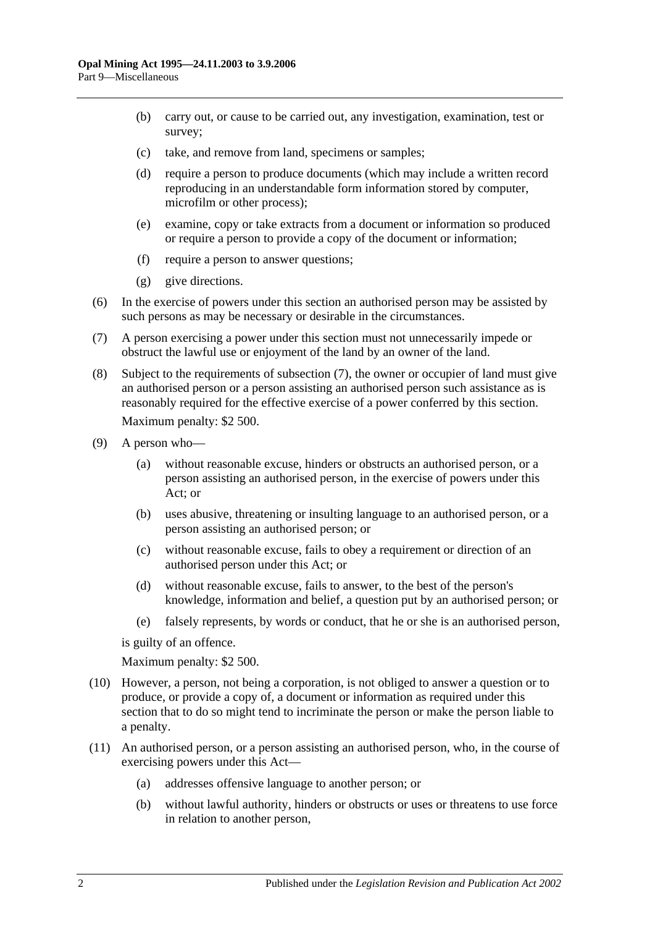- (b) carry out, or cause to be carried out, any investigation, examination, test or survey;
- (c) take, and remove from land, specimens or samples;
- (d) require a person to produce documents (which may include a written record reproducing in an understandable form information stored by computer, microfilm or other process);
- (e) examine, copy or take extracts from a document or information so produced or require a person to provide a copy of the document or information;
- (f) require a person to answer questions;
- (g) give directions.
- (6) In the exercise of powers under this section an authorised person may be assisted by such persons as may be necessary or desirable in the circumstances.
- <span id="page-55-0"></span>(7) A person exercising a power under this section must not unnecessarily impede or obstruct the lawful use or enjoyment of the land by an owner of the land.
- (8) Subject to the requirements of [subsection](#page-55-0) (7), the owner or occupier of land must give an authorised person or a person assisting an authorised person such assistance as is reasonably required for the effective exercise of a power conferred by this section. Maximum penalty: \$2 500.
- (9) A person who—
	- (a) without reasonable excuse, hinders or obstructs an authorised person, or a person assisting an authorised person, in the exercise of powers under this Act; or
	- (b) uses abusive, threatening or insulting language to an authorised person, or a person assisting an authorised person; or
	- (c) without reasonable excuse, fails to obey a requirement or direction of an authorised person under this Act; or
	- (d) without reasonable excuse, fails to answer, to the best of the person's knowledge, information and belief, a question put by an authorised person; or
	- (e) falsely represents, by words or conduct, that he or she is an authorised person,

is guilty of an offence.

Maximum penalty: \$2 500.

- (10) However, a person, not being a corporation, is not obliged to answer a question or to produce, or provide a copy of, a document or information as required under this section that to do so might tend to incriminate the person or make the person liable to a penalty.
- (11) An authorised person, or a person assisting an authorised person, who, in the course of exercising powers under this Act—
	- (a) addresses offensive language to another person; or
	- (b) without lawful authority, hinders or obstructs or uses or threatens to use force in relation to another person,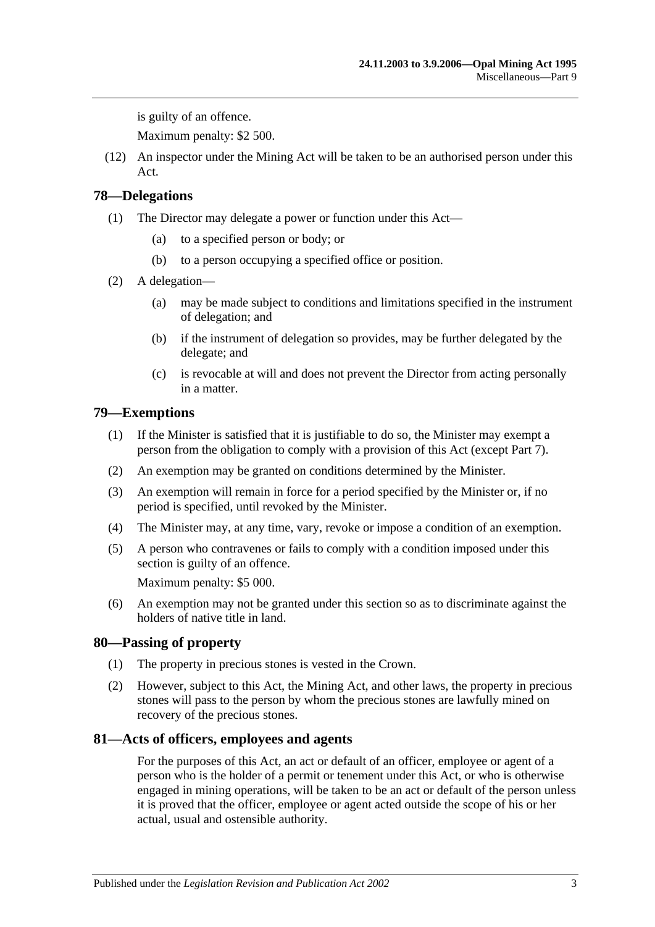is guilty of an offence.

Maximum penalty: \$2 500.

(12) An inspector under the Mining Act will be taken to be an authorised person under this Act.

### <span id="page-56-0"></span>**78—Delegations**

- (1) The Director may delegate a power or function under this Act—
	- (a) to a specified person or body; or
	- (b) to a person occupying a specified office or position.
- (2) A delegation—
	- (a) may be made subject to conditions and limitations specified in the instrument of delegation; and
	- (b) if the instrument of delegation so provides, may be further delegated by the delegate; and
	- (c) is revocable at will and does not prevent the Director from acting personally in a matter.

### <span id="page-56-1"></span>**79—Exemptions**

- (1) If the Minister is satisfied that it is justifiable to do so, the Minister may exempt a person from the obligation to comply with a provision of this Act (except [Part 7\)](#page-38-0).
- (2) An exemption may be granted on conditions determined by the Minister.
- (3) An exemption will remain in force for a period specified by the Minister or, if no period is specified, until revoked by the Minister.
- (4) The Minister may, at any time, vary, revoke or impose a condition of an exemption.
- (5) A person who contravenes or fails to comply with a condition imposed under this section is guilty of an offence. Maximum penalty: \$5 000.
- (6) An exemption may not be granted under this section so as to discriminate against the holders of native title in land.

### <span id="page-56-2"></span>**80—Passing of property**

- (1) The property in precious stones is vested in the Crown.
- (2) However, subject to this Act, the Mining Act, and other laws, the property in precious stones will pass to the person by whom the precious stones are lawfully mined on recovery of the precious stones.

### <span id="page-56-3"></span>**81—Acts of officers, employees and agents**

For the purposes of this Act, an act or default of an officer, employee or agent of a person who is the holder of a permit or tenement under this Act, or who is otherwise engaged in mining operations, will be taken to be an act or default of the person unless it is proved that the officer, employee or agent acted outside the scope of his or her actual, usual and ostensible authority.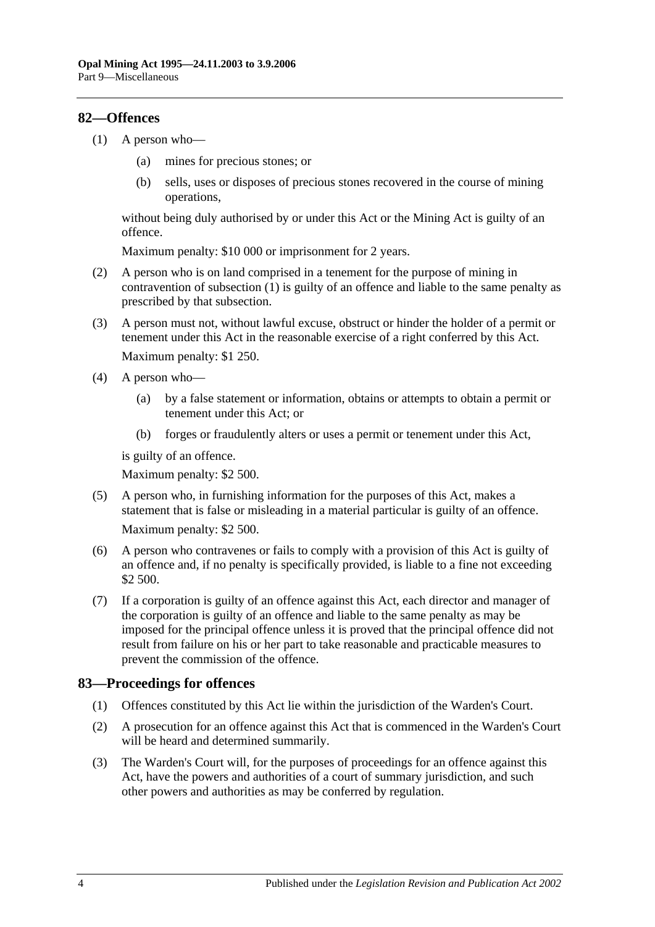### <span id="page-57-2"></span><span id="page-57-0"></span>**82—Offences**

- (1) A person who—
	- (a) mines for precious stones; or
	- (b) sells, uses or disposes of precious stones recovered in the course of mining operations,

without being duly authorised by or under this Act or the Mining Act is guilty of an offence.

Maximum penalty: \$10 000 or imprisonment for 2 years.

- (2) A person who is on land comprised in a tenement for the purpose of mining in contravention of [subsection](#page-57-2) (1) is guilty of an offence and liable to the same penalty as prescribed by that subsection.
- (3) A person must not, without lawful excuse, obstruct or hinder the holder of a permit or tenement under this Act in the reasonable exercise of a right conferred by this Act. Maximum penalty: \$1 250.
- (4) A person who—
	- (a) by a false statement or information, obtains or attempts to obtain a permit or tenement under this Act; or
	- (b) forges or fraudulently alters or uses a permit or tenement under this Act,

is guilty of an offence.

Maximum penalty: \$2 500.

- (5) A person who, in furnishing information for the purposes of this Act, makes a statement that is false or misleading in a material particular is guilty of an offence. Maximum penalty: \$2 500.
- (6) A person who contravenes or fails to comply with a provision of this Act is guilty of an offence and, if no penalty is specifically provided, is liable to a fine not exceeding \$2 500.
- (7) If a corporation is guilty of an offence against this Act, each director and manager of the corporation is guilty of an offence and liable to the same penalty as may be imposed for the principal offence unless it is proved that the principal offence did not result from failure on his or her part to take reasonable and practicable measures to prevent the commission of the offence.

### <span id="page-57-1"></span>**83—Proceedings for offences**

- (1) Offences constituted by this Act lie within the jurisdiction of the Warden's Court.
- (2) A prosecution for an offence against this Act that is commenced in the Warden's Court will be heard and determined summarily.
- (3) The Warden's Court will, for the purposes of proceedings for an offence against this Act, have the powers and authorities of a court of summary jurisdiction, and such other powers and authorities as may be conferred by regulation.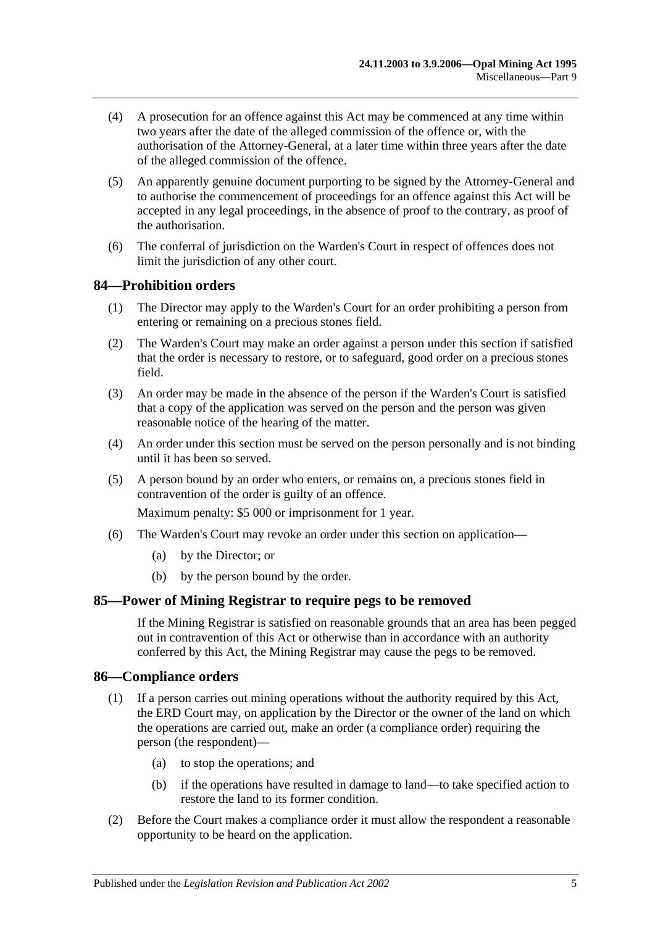- (4) A prosecution for an offence against this Act may be commenced at any time within two years after the date of the alleged commission of the offence or, with the authorisation of the Attorney-General, at a later time within three years after the date of the alleged commission of the offence.
- (5) An apparently genuine document purporting to be signed by the Attorney-General and to authorise the commencement of proceedings for an offence against this Act will be accepted in any legal proceedings, in the absence of proof to the contrary, as proof of the authorisation.
- (6) The conferral of jurisdiction on the Warden's Court in respect of offences does not limit the jurisdiction of any other court.

### <span id="page-58-0"></span>**84—Prohibition orders**

- (1) The Director may apply to the Warden's Court for an order prohibiting a person from entering or remaining on a precious stones field.
- (2) The Warden's Court may make an order against a person under this section if satisfied that the order is necessary to restore, or to safeguard, good order on a precious stones field.
- (3) An order may be made in the absence of the person if the Warden's Court is satisfied that a copy of the application was served on the person and the person was given reasonable notice of the hearing of the matter.
- (4) An order under this section must be served on the person personally and is not binding until it has been so served.
- (5) A person bound by an order who enters, or remains on, a precious stones field in contravention of the order is guilty of an offence.

Maximum penalty: \$5 000 or imprisonment for 1 year.

- (6) The Warden's Court may revoke an order under this section on application—
	- (a) by the Director; or
	- (b) by the person bound by the order.

### <span id="page-58-1"></span>**85—Power of Mining Registrar to require pegs to be removed**

If the Mining Registrar is satisfied on reasonable grounds that an area has been pegged out in contravention of this Act or otherwise than in accordance with an authority conferred by this Act, the Mining Registrar may cause the pegs to be removed.

### <span id="page-58-2"></span>**86—Compliance orders**

- (1) If a person carries out mining operations without the authority required by this Act, the ERD Court may, on application by the Director or the owner of the land on which the operations are carried out, make an order (a compliance order) requiring the person (the respondent)—
	- (a) to stop the operations; and
	- (b) if the operations have resulted in damage to land—to take specified action to restore the land to its former condition.
- (2) Before the Court makes a compliance order it must allow the respondent a reasonable opportunity to be heard on the application.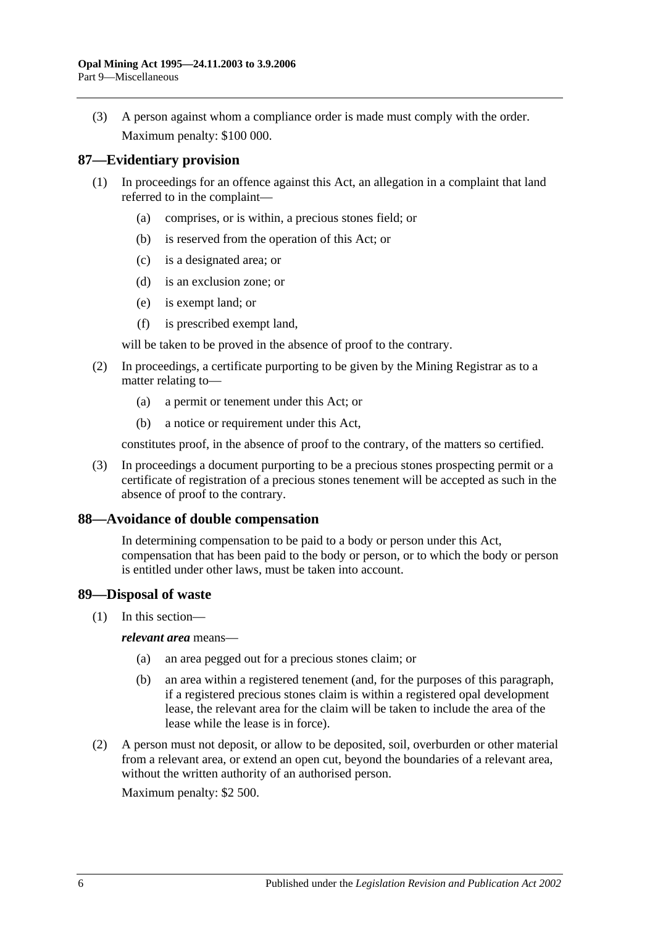(3) A person against whom a compliance order is made must comply with the order. Maximum penalty: \$100 000.

### <span id="page-59-0"></span>**87—Evidentiary provision**

- (1) In proceedings for an offence against this Act, an allegation in a complaint that land referred to in the complaint—
	- (a) comprises, or is within, a precious stones field; or
	- (b) is reserved from the operation of this Act; or
	- (c) is a designated area; or
	- (d) is an exclusion zone; or
	- (e) is exempt land; or
	- (f) is prescribed exempt land,

will be taken to be proved in the absence of proof to the contrary.

- (2) In proceedings, a certificate purporting to be given by the Mining Registrar as to a matter relating to—
	- (a) a permit or tenement under this Act; or
	- (b) a notice or requirement under this Act,

constitutes proof, in the absence of proof to the contrary, of the matters so certified.

(3) In proceedings a document purporting to be a precious stones prospecting permit or a certificate of registration of a precious stones tenement will be accepted as such in the absence of proof to the contrary.

### <span id="page-59-1"></span>**88—Avoidance of double compensation**

In determining compensation to be paid to a body or person under this Act, compensation that has been paid to the body or person, or to which the body or person is entitled under other laws, must be taken into account.

### <span id="page-59-2"></span>**89—Disposal of waste**

(1) In this section—

*relevant area* means—

- (a) an area pegged out for a precious stones claim; or
- (b) an area within a registered tenement (and, for the purposes of this paragraph, if a registered precious stones claim is within a registered opal development lease, the relevant area for the claim will be taken to include the area of the lease while the lease is in force).
- <span id="page-59-3"></span>(2) A person must not deposit, or allow to be deposited, soil, overburden or other material from a relevant area, or extend an open cut, beyond the boundaries of a relevant area, without the written authority of an authorised person.

Maximum penalty: \$2 500.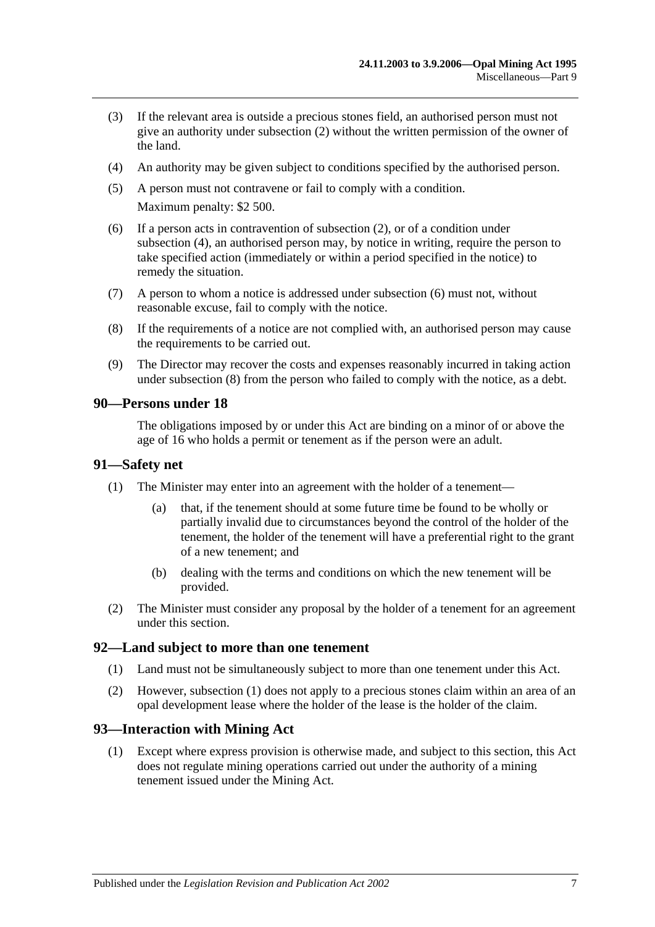- (3) If the relevant area is outside a precious stones field, an authorised person must not give an authority under [subsection](#page-59-3) (2) without the written permission of the owner of the land.
- <span id="page-60-4"></span>(4) An authority may be given subject to conditions specified by the authorised person.
- (5) A person must not contravene or fail to comply with a condition. Maximum penalty: \$2 500.
- <span id="page-60-5"></span>(6) If a person acts in contravention of [subsection](#page-59-3) (2), or of a condition under [subsection](#page-60-4) (4), an authorised person may, by notice in writing, require the person to take specified action (immediately or within a period specified in the notice) to remedy the situation.
- (7) A person to whom a notice is addressed under [subsection](#page-60-5) (6) must not, without reasonable excuse, fail to comply with the notice.
- <span id="page-60-6"></span>(8) If the requirements of a notice are not complied with, an authorised person may cause the requirements to be carried out.
- (9) The Director may recover the costs and expenses reasonably incurred in taking action under [subsection](#page-60-6) (8) from the person who failed to comply with the notice, as a debt.

### <span id="page-60-0"></span>**90—Persons under 18**

The obligations imposed by or under this Act are binding on a minor of or above the age of 16 who holds a permit or tenement as if the person were an adult.

### <span id="page-60-1"></span>**91—Safety net**

- (1) The Minister may enter into an agreement with the holder of a tenement—
	- (a) that, if the tenement should at some future time be found to be wholly or partially invalid due to circumstances beyond the control of the holder of the tenement, the holder of the tenement will have a preferential right to the grant of a new tenement; and
	- (b) dealing with the terms and conditions on which the new tenement will be provided.
- (2) The Minister must consider any proposal by the holder of a tenement for an agreement under this section.

### <span id="page-60-7"></span><span id="page-60-2"></span>**92—Land subject to more than one tenement**

- (1) Land must not be simultaneously subject to more than one tenement under this Act.
- (2) However, [subsection](#page-60-7) (1) does not apply to a precious stones claim within an area of an opal development lease where the holder of the lease is the holder of the claim.

### <span id="page-60-3"></span>**93—Interaction with Mining Act**

(1) Except where express provision is otherwise made, and subject to this section, this Act does not regulate mining operations carried out under the authority of a mining tenement issued under the Mining Act.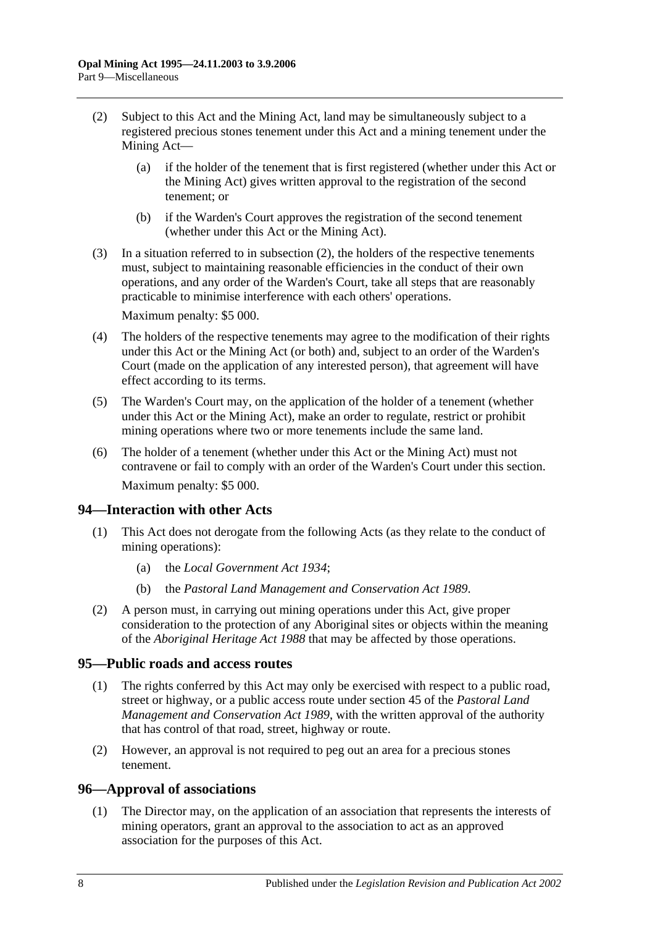- <span id="page-61-3"></span>(2) Subject to this Act and the Mining Act, land may be simultaneously subject to a registered precious stones tenement under this Act and a mining tenement under the Mining Act—
	- (a) if the holder of the tenement that is first registered (whether under this Act or the Mining Act) gives written approval to the registration of the second tenement; or
	- (b) if the Warden's Court approves the registration of the second tenement (whether under this Act or the Mining Act).
- (3) In a situation referred to in [subsection](#page-61-3) (2), the holders of the respective tenements must, subject to maintaining reasonable efficiencies in the conduct of their own operations, and any order of the Warden's Court, take all steps that are reasonably practicable to minimise interference with each others' operations.

Maximum penalty: \$5 000.

- (4) The holders of the respective tenements may agree to the modification of their rights under this Act or the Mining Act (or both) and, subject to an order of the Warden's Court (made on the application of any interested person), that agreement will have effect according to its terms.
- (5) The Warden's Court may, on the application of the holder of a tenement (whether under this Act or the Mining Act), make an order to regulate, restrict or prohibit mining operations where two or more tenements include the same land.
- (6) The holder of a tenement (whether under this Act or the Mining Act) must not contravene or fail to comply with an order of the Warden's Court under this section. Maximum penalty: \$5 000.

### <span id="page-61-0"></span>**94—Interaction with other Acts**

- (1) This Act does not derogate from the following Acts (as they relate to the conduct of mining operations):
	- (a) the *[Local Government Act](http://www.legislation.sa.gov.au/index.aspx?action=legref&type=act&legtitle=Local%20Government%20Act%201934) 1934*;
	- (b) the *[Pastoral Land Management and Conservation Act](http://www.legislation.sa.gov.au/index.aspx?action=legref&type=act&legtitle=Pastoral%20Land%20Management%20and%20Conservation%20Act%201989) 1989*.
- (2) A person must, in carrying out mining operations under this Act, give proper consideration to the protection of any Aboriginal sites or objects within the meaning of the *[Aboriginal Heritage Act](http://www.legislation.sa.gov.au/index.aspx?action=legref&type=act&legtitle=Aboriginal%20Heritage%20Act%201988) 1988* that may be affected by those operations.

### <span id="page-61-1"></span>**95—Public roads and access routes**

- (1) The rights conferred by this Act may only be exercised with respect to a public road, street or highway, or a public access route under section 45 of the *[Pastoral Land](http://www.legislation.sa.gov.au/index.aspx?action=legref&type=act&legtitle=Pastoral%20Land%20Management%20and%20Conservation%20Act%201989)  [Management and Conservation Act](http://www.legislation.sa.gov.au/index.aspx?action=legref&type=act&legtitle=Pastoral%20Land%20Management%20and%20Conservation%20Act%201989) 1989*, with the written approval of the authority that has control of that road, street, highway or route.
- (2) However, an approval is not required to peg out an area for a precious stones tenement.

### <span id="page-61-4"></span><span id="page-61-2"></span>**96—Approval of associations**

(1) The Director may, on the application of an association that represents the interests of mining operators, grant an approval to the association to act as an approved association for the purposes of this Act.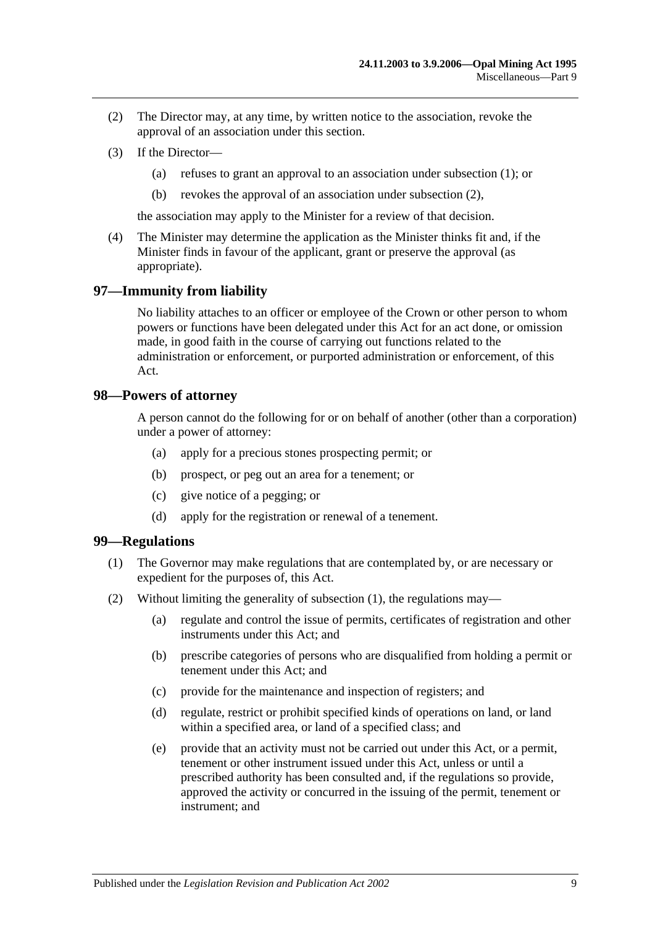- <span id="page-62-3"></span>(2) The Director may, at any time, by written notice to the association, revoke the approval of an association under this section.
- (3) If the Director—
	- (a) refuses to grant an approval to an association under [subsection](#page-61-4) (1); or
	- (b) revokes the approval of an association under [subsection](#page-62-3) (2),

the association may apply to the Minister for a review of that decision.

(4) The Minister may determine the application as the Minister thinks fit and, if the Minister finds in favour of the applicant, grant or preserve the approval (as appropriate).

### <span id="page-62-0"></span>**97—Immunity from liability**

No liability attaches to an officer or employee of the Crown or other person to whom powers or functions have been delegated under this Act for an act done, or omission made, in good faith in the course of carrying out functions related to the administration or enforcement, or purported administration or enforcement, of this Act.

#### <span id="page-62-1"></span>**98—Powers of attorney**

A person cannot do the following for or on behalf of another (other than a corporation) under a power of attorney:

- (a) apply for a precious stones prospecting permit; or
- (b) prospect, or peg out an area for a tenement; or
- (c) give notice of a pegging; or
- (d) apply for the registration or renewal of a tenement.

#### <span id="page-62-4"></span><span id="page-62-2"></span>**99—Regulations**

- (1) The Governor may make regulations that are contemplated by, or are necessary or expedient for the purposes of, this Act.
- (2) Without limiting the generality of [subsection](#page-62-4) (1), the regulations may—
	- (a) regulate and control the issue of permits, certificates of registration and other instruments under this Act; and
	- (b) prescribe categories of persons who are disqualified from holding a permit or tenement under this Act; and
	- (c) provide for the maintenance and inspection of registers; and
	- (d) regulate, restrict or prohibit specified kinds of operations on land, or land within a specified area, or land of a specified class; and
	- (e) provide that an activity must not be carried out under this Act, or a permit, tenement or other instrument issued under this Act, unless or until a prescribed authority has been consulted and, if the regulations so provide, approved the activity or concurred in the issuing of the permit, tenement or instrument; and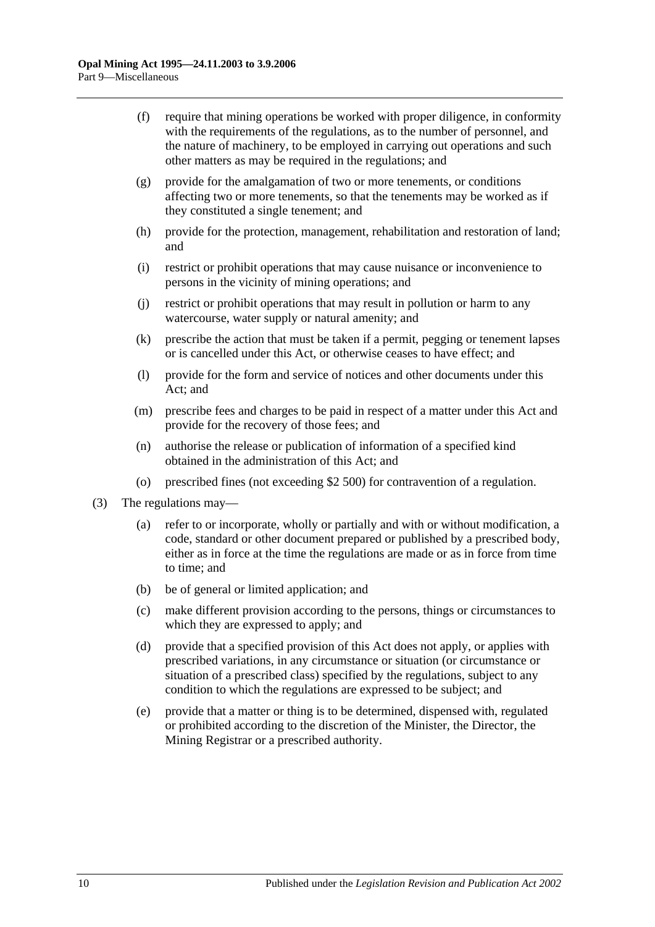- (f) require that mining operations be worked with proper diligence, in conformity with the requirements of the regulations, as to the number of personnel, and the nature of machinery, to be employed in carrying out operations and such other matters as may be required in the regulations; and
- (g) provide for the amalgamation of two or more tenements, or conditions affecting two or more tenements, so that the tenements may be worked as if they constituted a single tenement; and
- (h) provide for the protection, management, rehabilitation and restoration of land; and
- (i) restrict or prohibit operations that may cause nuisance or inconvenience to persons in the vicinity of mining operations; and
- (j) restrict or prohibit operations that may result in pollution or harm to any watercourse, water supply or natural amenity; and
- (k) prescribe the action that must be taken if a permit, pegging or tenement lapses or is cancelled under this Act, or otherwise ceases to have effect; and
- (l) provide for the form and service of notices and other documents under this Act; and
- (m) prescribe fees and charges to be paid in respect of a matter under this Act and provide for the recovery of those fees; and
- (n) authorise the release or publication of information of a specified kind obtained in the administration of this Act; and
- (o) prescribed fines (not exceeding \$2 500) for contravention of a regulation.
- (3) The regulations may—
	- (a) refer to or incorporate, wholly or partially and with or without modification, a code, standard or other document prepared or published by a prescribed body, either as in force at the time the regulations are made or as in force from time to time; and
	- (b) be of general or limited application; and
	- (c) make different provision according to the persons, things or circumstances to which they are expressed to apply; and
	- (d) provide that a specified provision of this Act does not apply, or applies with prescribed variations, in any circumstance or situation (or circumstance or situation of a prescribed class) specified by the regulations, subject to any condition to which the regulations are expressed to be subject; and
	- (e) provide that a matter or thing is to be determined, dispensed with, regulated or prohibited according to the discretion of the Minister, the Director, the Mining Registrar or a prescribed authority.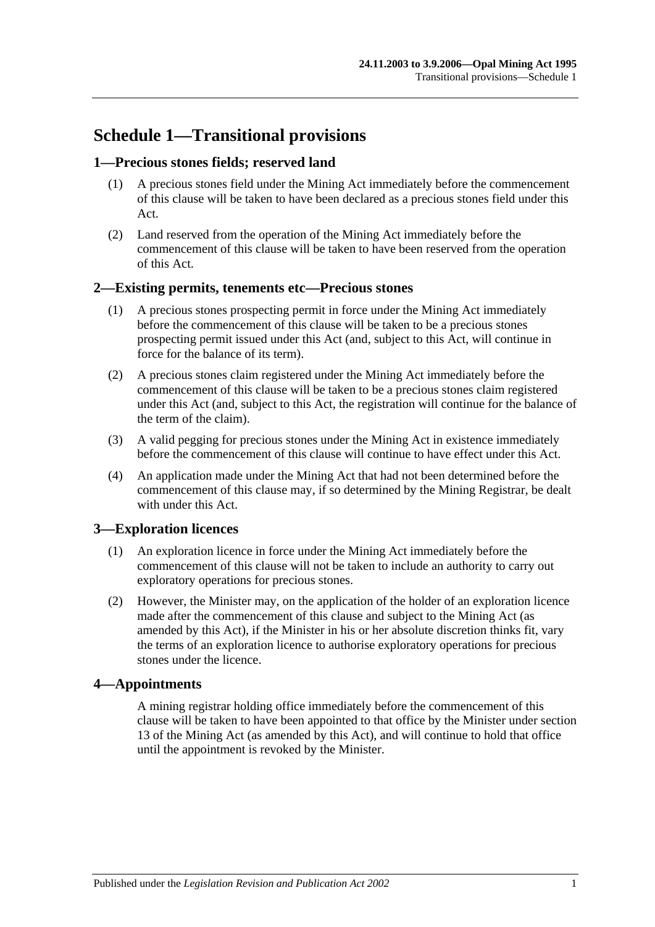## <span id="page-64-0"></span>**Schedule 1—Transitional provisions**

### <span id="page-64-1"></span>**1—Precious stones fields; reserved land**

- (1) A precious stones field under the Mining Act immediately before the commencement of this clause will be taken to have been declared as a precious stones field under this Act.
- (2) Land reserved from the operation of the Mining Act immediately before the commencement of this clause will be taken to have been reserved from the operation of this Act.

### <span id="page-64-2"></span>**2—Existing permits, tenements etc—Precious stones**

- (1) A precious stones prospecting permit in force under the Mining Act immediately before the commencement of this clause will be taken to be a precious stones prospecting permit issued under this Act (and, subject to this Act, will continue in force for the balance of its term).
- (2) A precious stones claim registered under the Mining Act immediately before the commencement of this clause will be taken to be a precious stones claim registered under this Act (and, subject to this Act, the registration will continue for the balance of the term of the claim).
- (3) A valid pegging for precious stones under the Mining Act in existence immediately before the commencement of this clause will continue to have effect under this Act.
- (4) An application made under the Mining Act that had not been determined before the commencement of this clause may, if so determined by the Mining Registrar, be dealt with under this Act.

### <span id="page-64-3"></span>**3—Exploration licences**

- (1) An exploration licence in force under the Mining Act immediately before the commencement of this clause will not be taken to include an authority to carry out exploratory operations for precious stones.
- (2) However, the Minister may, on the application of the holder of an exploration licence made after the commencement of this clause and subject to the Mining Act (as amended by this Act), if the Minister in his or her absolute discretion thinks fit, vary the terms of an exploration licence to authorise exploratory operations for precious stones under the licence.

### <span id="page-64-4"></span>**4—Appointments**

A mining registrar holding office immediately before the commencement of this clause will be taken to have been appointed to that office by the Minister under section 13 of the Mining Act (as amended by this Act), and will continue to hold that office until the appointment is revoked by the Minister.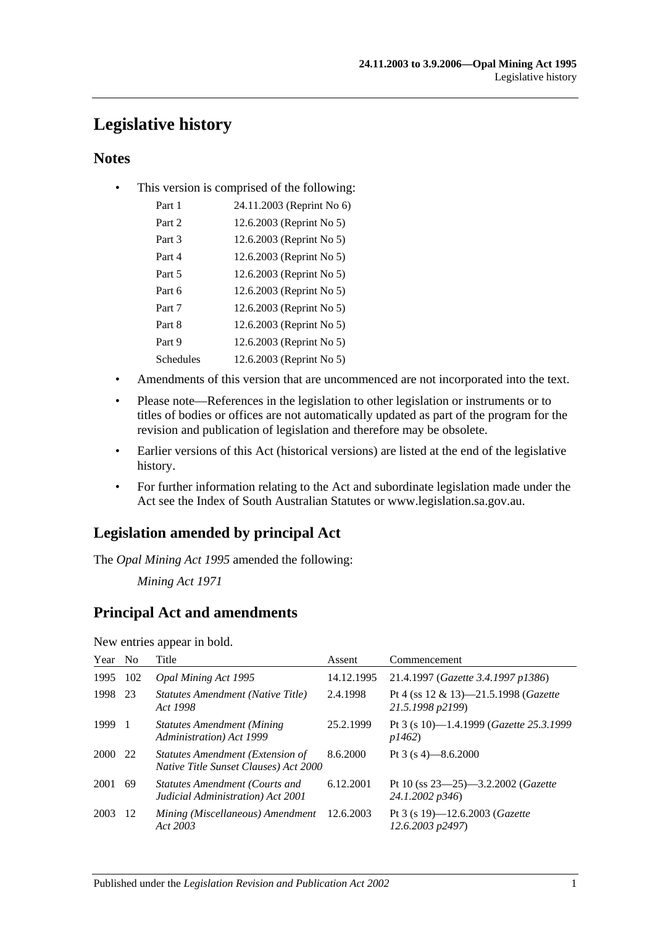## <span id="page-66-0"></span>**Legislative history**

### **Notes**

• This version is comprised of the following:

| Part 1    | 24.11.2003 (Reprint No 6) |
|-----------|---------------------------|
| Part 2    | 12.6.2003 (Reprint No 5)  |
| Part 3    | 12.6.2003 (Reprint No 5)  |
| Part 4    | 12.6.2003 (Reprint No 5)  |
| Part 5    | 12.6.2003 (Reprint No 5)  |
| Part 6    | 12.6.2003 (Reprint No 5)  |
| Part 7    | 12.6.2003 (Reprint No 5)  |
| Part 8    | 12.6.2003 (Reprint No 5)  |
| Part 9    | 12.6.2003 (Reprint No 5)  |
| Schedules | 12.6.2003 (Reprint No 5)  |
|           |                           |

- Amendments of this version that are uncommenced are not incorporated into the text.
- Please note—References in the legislation to other legislation or instruments or to titles of bodies or offices are not automatically updated as part of the program for the revision and publication of legislation and therefore may be obsolete.
- Earlier versions of this Act (historical versions) are listed at the end of the legislative history.
- For further information relating to the Act and subordinate legislation made under the Act see the Index of South Australian Statutes or www.legislation.sa.gov.au.

## **Legislation amended by principal Act**

The *Opal Mining Act 1995* amended the following:

*Mining Act 1971*

### **Principal Act and amendments**

New entries appear in bold.

| Year No |     | Title                                                                     | Assent     | Commencement                                                     |
|---------|-----|---------------------------------------------------------------------------|------------|------------------------------------------------------------------|
| 1995    | 102 | <b>Opal Mining Act 1995</b>                                               | 14.12.1995 | 21.4.1997 (Gazette 3.4.1997 p1386)                               |
| 1998    | 23  | Statutes Amendment (Native Title)<br>Act 1998                             | 2.4.1998   | Pt 4 (ss 12 & 13)-21.5.1998 ( <i>Gazette</i><br>21.5.1998 p2199) |
| 1999    | - 1 | <b>Statutes Amendment (Mining)</b><br>Administration) Act 1999            | 25.2.1999  | Pt 3 (s 10)-1.4.1999 ( <i>Gazette</i> 25.3.1999<br>p1462         |
| 2000    | 22  | Statutes Amendment (Extension of<br>Native Title Sunset Clauses) Act 2000 | 8.6.2000   | Pt 3 (s 4)–8.6.2000                                              |
| 2001    | 69  | Statutes Amendment (Courts and<br>Judicial Administration) Act 2001       | 6.12.2001  | Pt 10 (ss $23-25$ )-3.2.2002 ( <i>Gazette</i><br>24.1.2002 p346) |
| 2003    | -12 | Mining (Miscellaneous) Amendment<br>Act 2003                              | 12.6.2003  | Pt 3 (s 19)-12.6.2003 ( <i>Gazette</i><br>12.6.2003 p2497)       |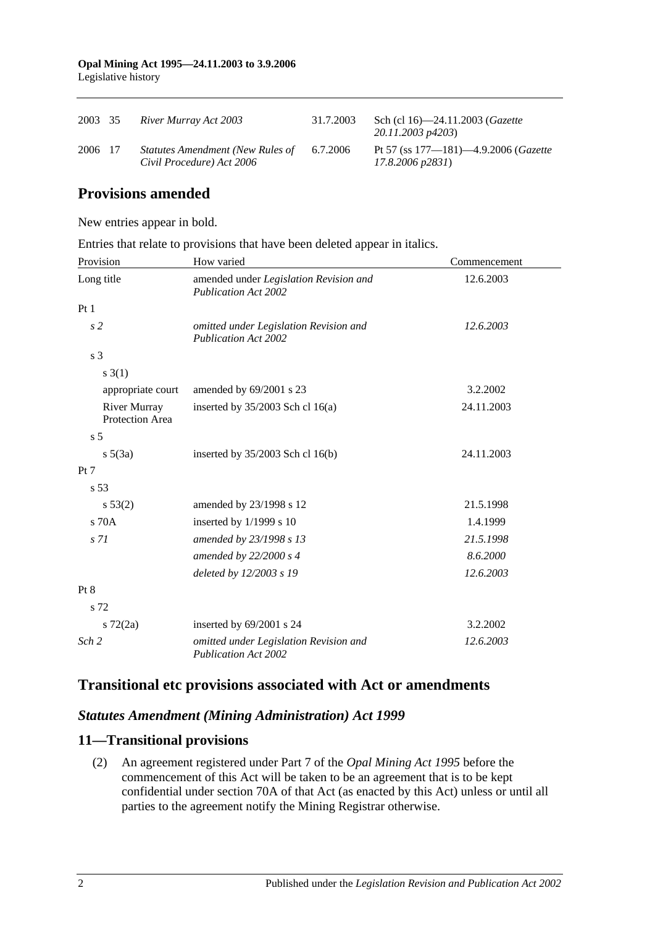| 2003 35 | River Murray Act 2003                                         | 31.7.2003 | Sch (cl 16)—24.11.2003 ( <i>Gazette</i><br>20.11.2003 p4203)                      |
|---------|---------------------------------------------------------------|-----------|-----------------------------------------------------------------------------------|
| 2006 17 | Statutes Amendment (New Rules of<br>Civil Procedure) Act 2006 | 6.7.2006  | Pt 57 (ss $177 - 181$ ) $-4.9.2006$ ( <i>Gazette</i><br>$17.8,2006 \text{ p}2831$ |

### **Provisions amended**

New entries appear in bold.

Entries that relate to provisions that have been deleted appear in italics.

| Provision                              | How varied                                                            | Commencement |
|----------------------------------------|-----------------------------------------------------------------------|--------------|
| Long title                             | amended under Legislation Revision and<br><b>Publication Act 2002</b> | 12.6.2003    |
| Pt1                                    |                                                                       |              |
| s <sub>2</sub>                         | omitted under Legislation Revision and<br><b>Publication Act 2002</b> | 12.6.2003    |
| s 3                                    |                                                                       |              |
| $s \; 3(1)$                            |                                                                       |              |
| appropriate court                      | amended by 69/2001 s 23                                               | 3.2.2002     |
| <b>River Murray</b><br>Protection Area | inserted by $35/2003$ Sch cl 16(a)                                    | 24.11.2003   |
| s <sub>5</sub>                         |                                                                       |              |
| $s\ 5(3a)$                             | inserted by $35/2003$ Sch cl 16(b)                                    | 24.11.2003   |
| Pt 7                                   |                                                                       |              |
| s <sub>53</sub>                        |                                                                       |              |
| s 53(2)                                | amended by 23/1998 s 12                                               | 21.5.1998    |
| $s$ 70 $A$                             | inserted by $1/1999$ s 10                                             | 1.4.1999     |
| s <sub>71</sub>                        | amended by 23/1998 s 13                                               | 21.5.1998    |
|                                        | amended by $22/2000 s 4$                                              | 8.6.2000     |
|                                        | deleted by 12/2003 s 19                                               | 12.6.2003    |
| Pt 8                                   |                                                                       |              |
| s 72                                   |                                                                       |              |
| $s$ 72 $(2a)$                          | inserted by 69/2001 s 24                                              | 3.2.2002     |
| Sch <sub>2</sub>                       | omitted under Legislation Revision and<br><b>Publication Act 2002</b> | 12.6.2003    |

### **Transitional etc provisions associated with Act or amendments**

### *Statutes Amendment (Mining Administration) Act 1999*

### **11—Transitional provisions**

(2) An agreement registered under Part 7 of the *[Opal Mining Act](http://www.legislation.sa.gov.au/index.aspx?action=legref&type=act&legtitle=Opal%20Mining%20Act%201995) 1995* before the commencement of this Act will be taken to be an agreement that is to be kept confidential under section 70A of that Act (as enacted by this Act) unless or until all parties to the agreement notify the Mining Registrar otherwise.